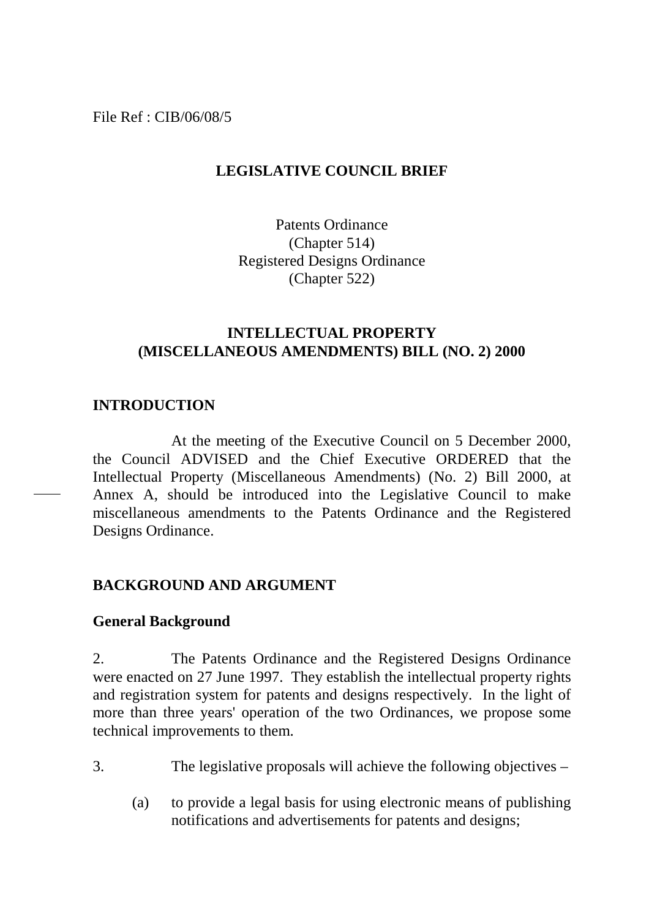File Ref : CIB/06/08/5

# **LEGISLATIVE COUNCIL BRIEF**

Patents Ordinance (Chapter 514) Registered Designs Ordinance (Chapter 522)

## **INTELLECTUAL PROPERTY (MISCELLANEOUS AMENDMENTS) BILL (NO. 2) 2000**

## **INTRODUCTION**

At the meeting of the Executive Council on 5 December 2000, the Council ADVISED and the Chief Executive ORDERED that the Intellectual Property (Miscellaneous Amendments) (No. 2) Bill 2000, at Annex A, should be introduced into the Legislative Council to make miscellaneous amendments to the Patents Ordinance and the Registered Designs Ordinance.

## **BACKGROUND AND ARGUMENT**

## **General Background**

2. The Patents Ordinance and the Registered Designs Ordinance were enacted on 27 June 1997. They establish the intellectual property rights and registration system for patents and designs respectively. In the light of more than three years' operation of the two Ordinances, we propose some technical improvements to them.

- 3. The legislative proposals will achieve the following objectives
	- (a) to provide a legal basis for using electronic means of publishing notifications and advertisements for patents and designs;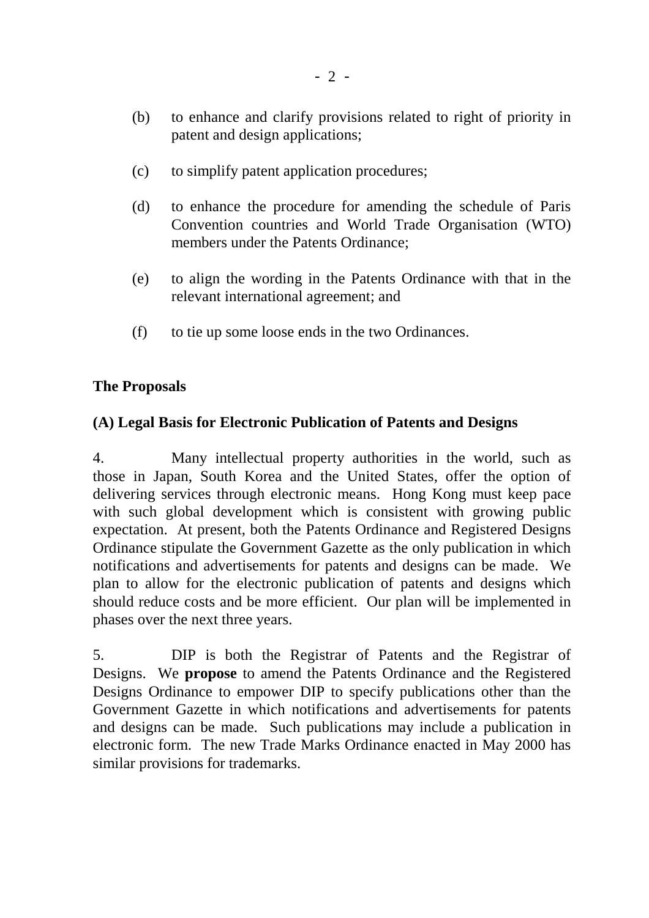- (b) to enhance and clarify provisions related to right of priority in patent and design applications;
- (c) to simplify patent application procedures;
- (d) to enhance the procedure for amending the schedule of Paris Convention countries and World Trade Organisation (WTO) members under the Patents Ordinance;
- (e) to align the wording in the Patents Ordinance with that in the relevant international agreement; and
- (f) to tie up some loose ends in the two Ordinances.

# **The Proposals**

# **(A) Legal Basis for Electronic Publication of Patents and Designs**

4. Many intellectual property authorities in the world, such as those in Japan, South Korea and the United States, offer the option of delivering services through electronic means. Hong Kong must keep pace with such global development which is consistent with growing public expectation. At present, both the Patents Ordinance and Registered Designs Ordinance stipulate the Government Gazette as the only publication in which notifications and advertisements for patents and designs can be made. We plan to allow for the electronic publication of patents and designs which should reduce costs and be more efficient. Our plan will be implemented in phases over the next three years.

5. DIP is both the Registrar of Patents and the Registrar of Designs. We **propose** to amend the Patents Ordinance and the Registered Designs Ordinance to empower DIP to specify publications other than the Government Gazette in which notifications and advertisements for patents and designs can be made. Such publications may include a publication in electronic form. The new Trade Marks Ordinance enacted in May 2000 has similar provisions for trademarks.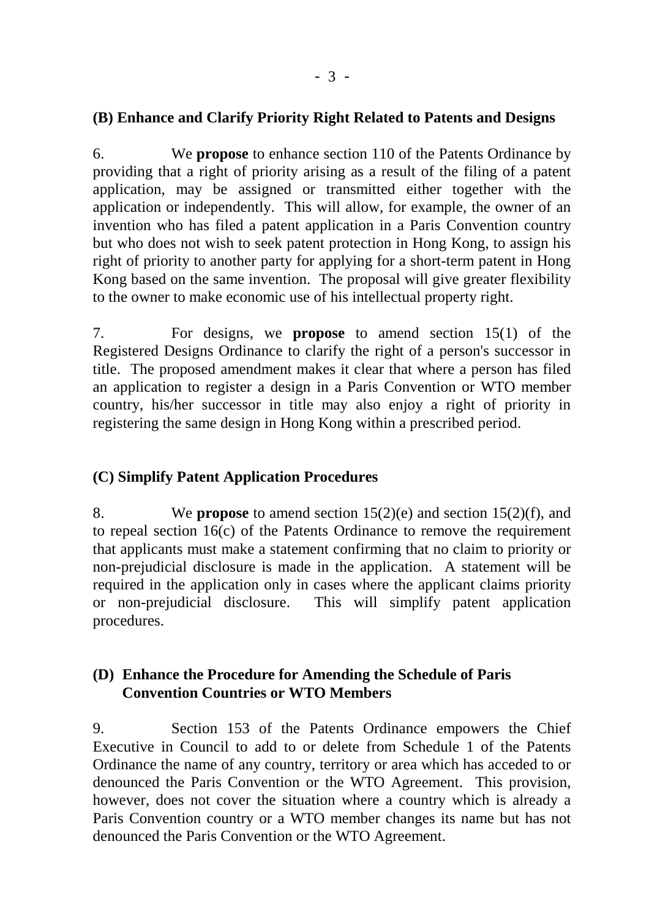## **(B) Enhance and Clarify Priority Right Related to Patents and Designs**

6. We **propose** to enhance section 110 of the Patents Ordinance by providing that a right of priority arising as a result of the filing of a patent application, may be assigned or transmitted either together with the application or independently. This will allow, for example, the owner of an invention who has filed a patent application in a Paris Convention country but who does not wish to seek patent protection in Hong Kong, to assign his right of priority to another party for applying for a short-term patent in Hong Kong based on the same invention. The proposal will give greater flexibility to the owner to make economic use of his intellectual property right.

7. For designs, we **propose** to amend section 15(1) of the Registered Designs Ordinance to clarify the right of a person's successor in title. The proposed amendment makes it clear that where a person has filed an application to register a design in a Paris Convention or WTO member country, his/her successor in title may also enjoy a right of priority in registering the same design in Hong Kong within a prescribed period.

# **(C) Simplify Patent Application Procedures**

8. We **propose** to amend section 15(2)(e) and section 15(2)(f), and to repeal section 16(c) of the Patents Ordinance to remove the requirement that applicants must make a statement confirming that no claim to priority or non-prejudicial disclosure is made in the application. A statement will be required in the application only in cases where the applicant claims priority or non-prejudicial disclosure. This will simplify patent application procedures.

# **(D) Enhance the Procedure for Amending the Schedule of Paris Convention Countries or WTO Members**

9. Section 153 of the Patents Ordinance empowers the Chief Executive in Council to add to or delete from Schedule 1 of the Patents Ordinance the name of any country, territory or area which has acceded to or denounced the Paris Convention or the WTO Agreement. This provision, however, does not cover the situation where a country which is already a Paris Convention country or a WTO member changes its name but has not denounced the Paris Convention or the WTO Agreement.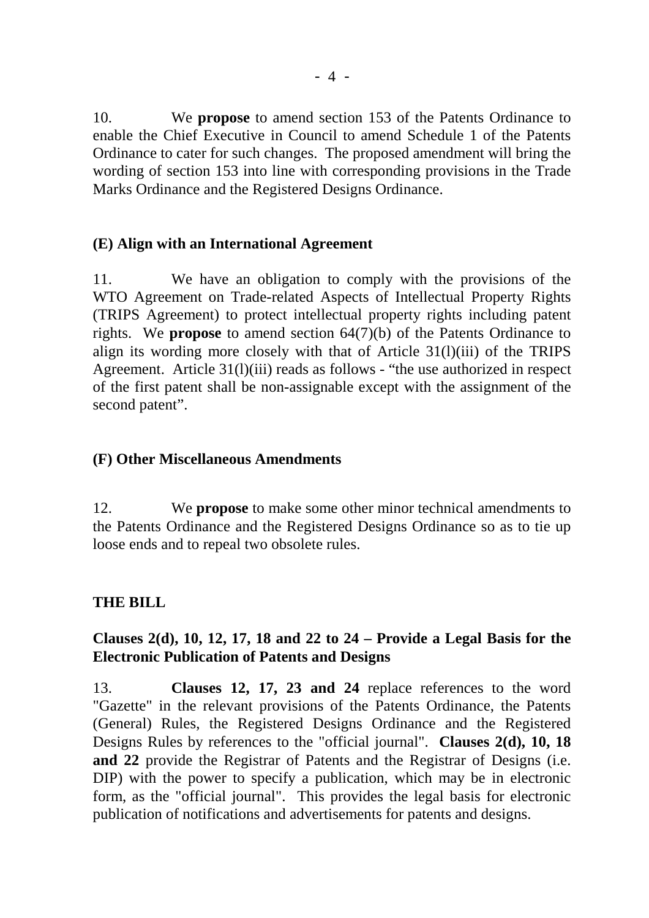10. We **propose** to amend section 153 of the Patents Ordinance to enable the Chief Executive in Council to amend Schedule 1 of the Patents Ordinance to cater for such changes. The proposed amendment will bring the wording of section 153 into line with corresponding provisions in the Trade Marks Ordinance and the Registered Designs Ordinance.

# **(E) Align with an International Agreement**

11. We have an obligation to comply with the provisions of the WTO Agreement on Trade-related Aspects of Intellectual Property Rights (TRIPS Agreement) to protect intellectual property rights including patent rights. We **propose** to amend section 64(7)(b) of the Patents Ordinance to align its wording more closely with that of Article 31(l)(iii) of the TRIPS Agreement. Article 31(l)(iii) reads as follows - "the use authorized in respect of the first patent shall be non-assignable except with the assignment of the second patent".

## **(F) Other Miscellaneous Amendments**

12. We **propose** to make some other minor technical amendments to the Patents Ordinance and the Registered Designs Ordinance so as to tie up loose ends and to repeal two obsolete rules.

# **THE BILL**

# **Clauses 2(d), 10, 12, 17, 18 and 22 to 24 – Provide a Legal Basis for the Electronic Publication of Patents and Designs**

13. **Clauses 12, 17, 23 and 24** replace references to the word "Gazette" in the relevant provisions of the Patents Ordinance, the Patents (General) Rules, the Registered Designs Ordinance and the Registered Designs Rules by references to the "official journal". **Clauses 2(d), 10, 18 and 22** provide the Registrar of Patents and the Registrar of Designs (i.e. DIP) with the power to specify a publication, which may be in electronic form, as the "official journal". This provides the legal basis for electronic publication of notifications and advertisements for patents and designs.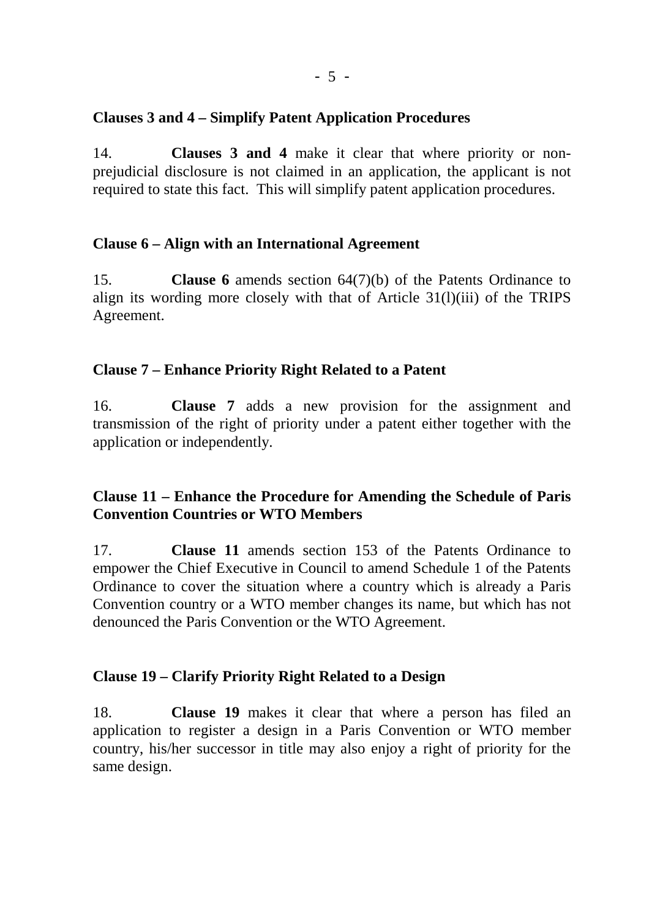# **Clauses 3 and 4 – Simplify Patent Application Procedures**

14. **Clauses 3 and 4** make it clear that where priority or nonprejudicial disclosure is not claimed in an application, the applicant is not required to state this fact. This will simplify patent application procedures.

## **Clause 6 – Align with an International Agreement**

15. **Clause 6** amends section 64(7)(b) of the Patents Ordinance to align its wording more closely with that of Article 31(l)(iii) of the TRIPS Agreement.

## **Clause 7 – Enhance Priority Right Related to a Patent**

16. **Clause 7** adds a new provision for the assignment and transmission of the right of priority under a patent either together with the application or independently.

# **Clause 11 – Enhance the Procedure for Amending the Schedule of Paris Convention Countries or WTO Members**

17. **Clause 11** amends section 153 of the Patents Ordinance to empower the Chief Executive in Council to amend Schedule 1 of the Patents Ordinance to cover the situation where a country which is already a Paris Convention country or a WTO member changes its name, but which has not denounced the Paris Convention or the WTO Agreement.

## **Clause 19 – Clarify Priority Right Related to a Design**

18. **Clause 19** makes it clear that where a person has filed an application to register a design in a Paris Convention or WTO member country, his/her successor in title may also enjoy a right of priority for the same design.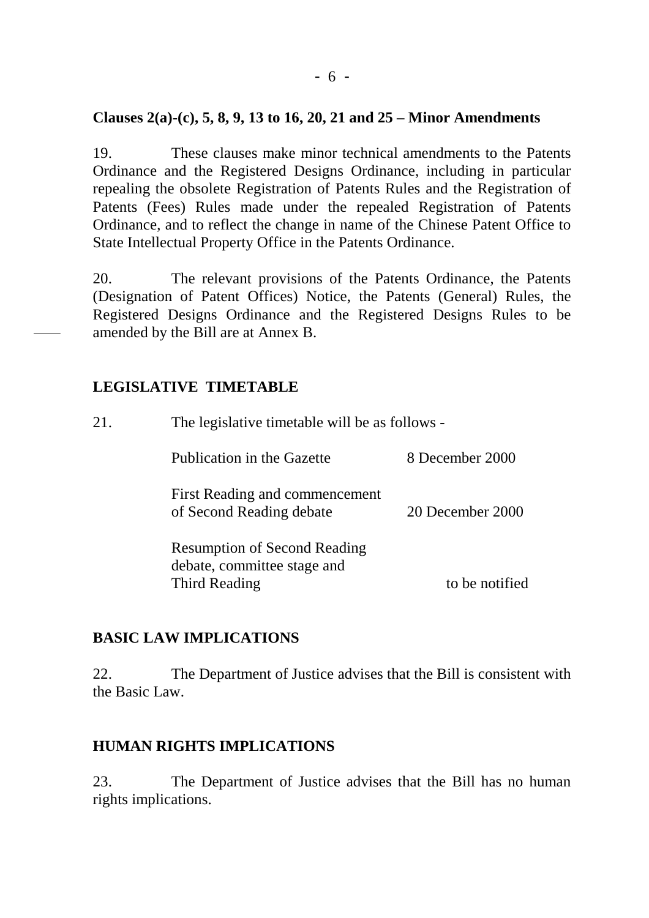## **Clauses 2(a)-(c), 5, 8, 9, 13 to 16, 20, 21 and 25 – Minor Amendments**

19. These clauses make minor technical amendments to the Patents Ordinance and the Registered Designs Ordinance, including in particular repealing the obsolete Registration of Patents Rules and the Registration of Patents (Fees) Rules made under the repealed Registration of Patents Ordinance, and to reflect the change in name of the Chinese Patent Office to State Intellectual Property Office in the Patents Ordinance.

20. The relevant provisions of the Patents Ordinance, the Patents (Designation of Patent Offices) Notice, the Patents (General) Rules, the Registered Designs Ordinance and the Registered Designs Rules to be amended by the Bill are at Annex B.

## **LEGISLATIVE TIMETABLE**

| 21. |                                                                                     | The legislative timetable will be as follows - |  |  |  |  |
|-----|-------------------------------------------------------------------------------------|------------------------------------------------|--|--|--|--|
|     | Publication in the Gazette                                                          | 8 December 2000                                |  |  |  |  |
|     | First Reading and commencement<br>of Second Reading debate                          | 20 December 2000                               |  |  |  |  |
|     | <b>Resumption of Second Reading</b><br>debate, committee stage and<br>Third Reading | to be notified                                 |  |  |  |  |
|     |                                                                                     |                                                |  |  |  |  |

## **BASIC LAW IMPLICATIONS**

22. The Department of Justice advises that the Bill is consistent with the Basic Law.

## **HUMAN RIGHTS IMPLICATIONS**

23. The Department of Justice advises that the Bill has no human rights implications.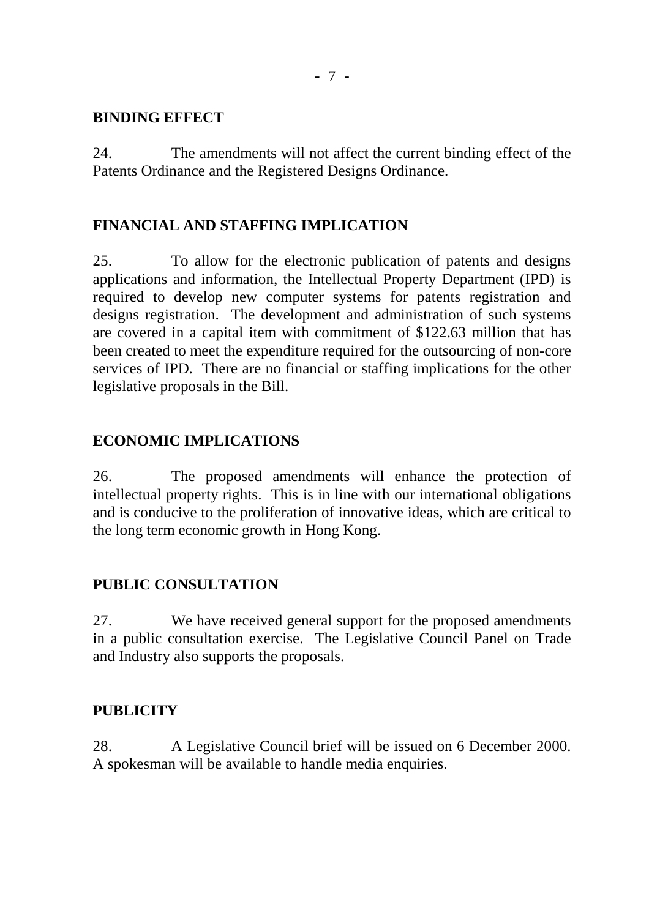## **BINDING EFFECT**

24. The amendments will not affect the current binding effect of the Patents Ordinance and the Registered Designs Ordinance.

# **FINANCIAL AND STAFFING IMPLICATION**

25. To allow for the electronic publication of patents and designs applications and information, the Intellectual Property Department (IPD) is required to develop new computer systems for patents registration and designs registration. The development and administration of such systems are covered in a capital item with commitment of \$122.63 million that has been created to meet the expenditure required for the outsourcing of non-core services of IPD. There are no financial or staffing implications for the other legislative proposals in the Bill.

# **ECONOMIC IMPLICATIONS**

26. The proposed amendments will enhance the protection of intellectual property rights. This is in line with our international obligations and is conducive to the proliferation of innovative ideas, which are critical to the long term economic growth in Hong Kong.

# **PUBLIC CONSULTATION**

27. We have received general support for the proposed amendments in a public consultation exercise. The Legislative Council Panel on Trade and Industry also supports the proposals.

## **PUBLICITY**

28. A Legislative Council brief will be issued on 6 December 2000. A spokesman will be available to handle media enquiries.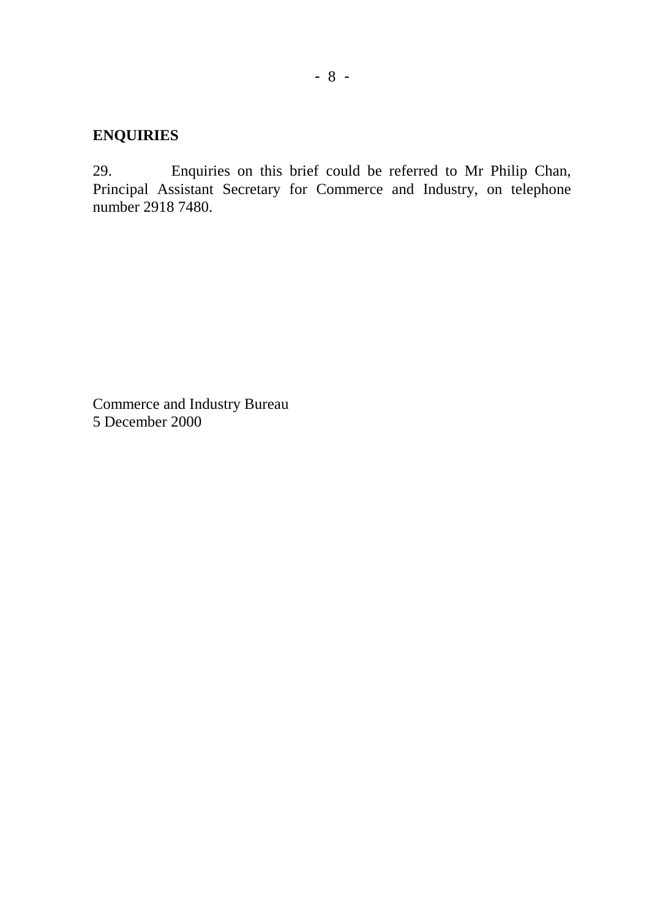# **ENQUIRIES**

29. Enquiries on this brief could be referred to Mr Philip Chan, Principal Assistant Secretary for Commerce and Industry, on telephone number 2918 7480.

Commerce and Industry Bureau 5 December 2000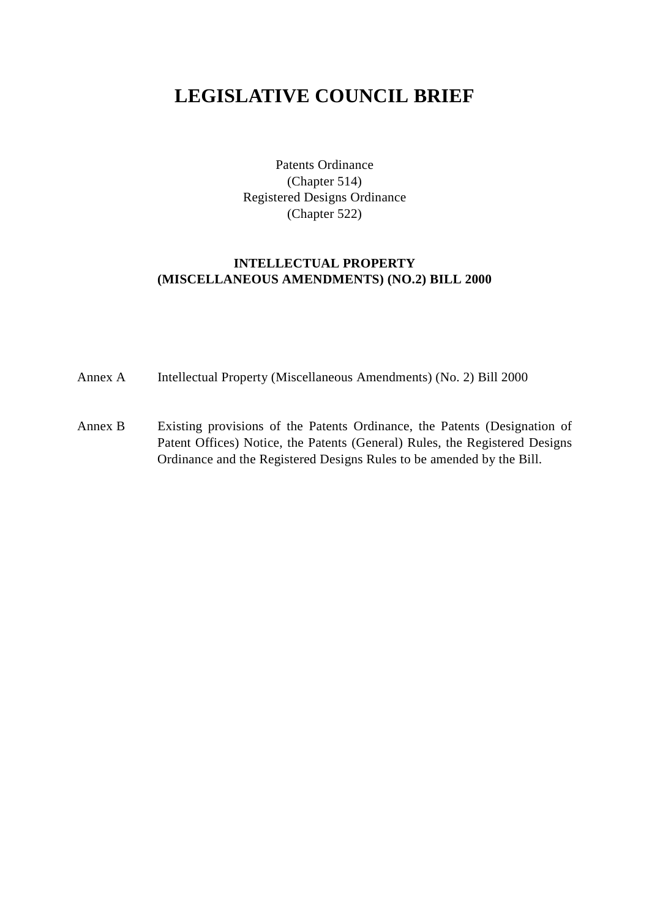# **LEGISLATIVE COUNCIL BRIEF**

Patents Ordinance (Chapter 514) Registered Designs Ordinance (Chapter 522)

## **INTELLECTUAL PROPERTY (MISCELLANEOUS AMENDMENTS) (NO.2) BILL 2000**

- Annex A Intellectual Property (Miscellaneous Amendments) (No. 2) Bill 2000
- Annex B Existing provisions of the Patents Ordinance, the Patents (Designation of Patent Offices) Notice, the Patents (General) Rules, the Registered Designs Ordinance and the Registered Designs Rules to be amended by the Bill.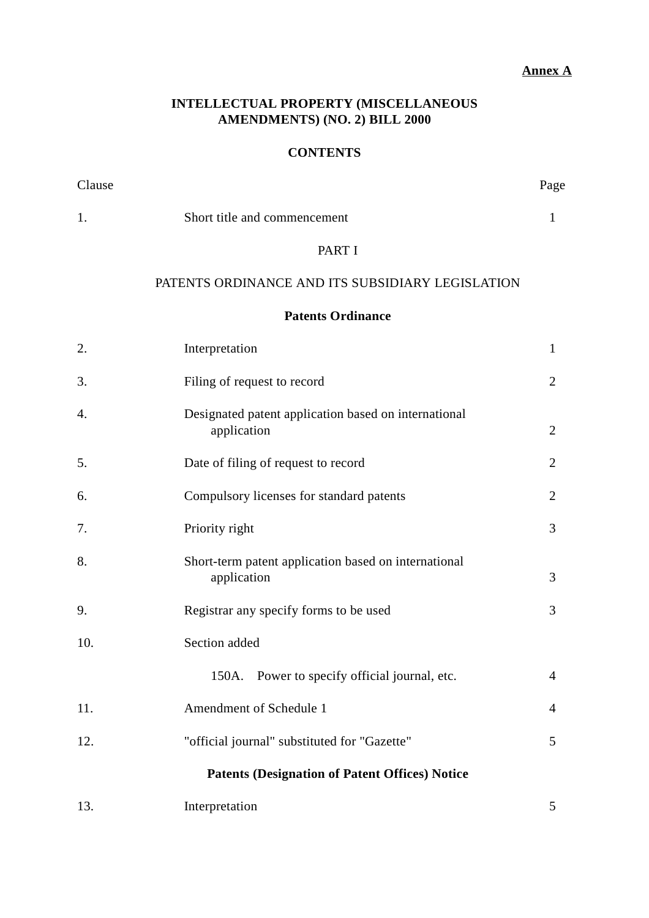## **Annex A**

## **INTELLECTUAL PROPERTY (MISCELLANEOUS AMENDMENTS) (NO. 2) BILL 2000**

## **CONTENTS**

| Clause |                                                                     | Page           |
|--------|---------------------------------------------------------------------|----------------|
| 1.     | Short title and commencement                                        | $\mathbf{1}$   |
|        | PART I                                                              |                |
|        | PATENTS ORDINANCE AND ITS SUBSIDIARY LEGISLATION                    |                |
|        | <b>Patents Ordinance</b>                                            |                |
| 2.     | Interpretation                                                      | $\mathbf{1}$   |
| 3.     | Filing of request to record                                         | $\overline{2}$ |
| 4.     | Designated patent application based on international<br>application | $\overline{2}$ |
| 5.     | Date of filing of request to record                                 | $\overline{2}$ |
| 6.     | Compulsory licenses for standard patents                            | $\overline{2}$ |
| 7.     | Priority right                                                      | 3              |
| 8.     | Short-term patent application based on international<br>application | 3              |
| 9.     | Registrar any specify forms to be used                              | 3              |
| 10.    | Section added                                                       |                |
|        | 150A. Power to specify official journal, etc.                       | $\overline{4}$ |
| 11.    | Amendment of Schedule 1                                             | $\overline{4}$ |
| 12.    | "official journal" substituted for "Gazette"                        | 5              |
|        | <b>Patents (Designation of Patent Offices) Notice</b>               |                |
| 13.    | Interpretation                                                      | 5              |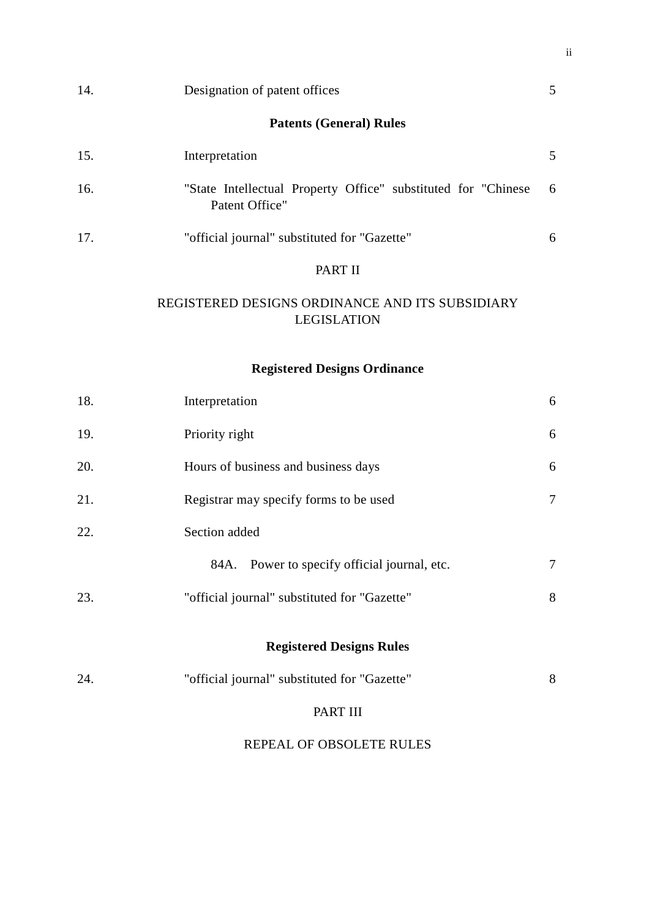| 14. | Designation of patent offices                                                    | 5 |
|-----|----------------------------------------------------------------------------------|---|
|     | <b>Patents (General) Rules</b>                                                   |   |
| 15. | Interpretation                                                                   | 5 |
| 16. | "State Intellectual Property Office" substituted for "Chinese"<br>Patent Office" | 6 |
| 17. | "official journal" substituted for "Gazette"                                     | 6 |
|     | PART II                                                                          |   |

## REGISTERED DESIGNS ORDINANCE AND ITS SUBSIDIARY LEGISLATION

# **Registered Designs Ordinance**

| 18. | Interpretation                               | 6      |
|-----|----------------------------------------------|--------|
| 19. | Priority right                               | 6      |
| 20. | Hours of business and business days          | 6      |
| 21. | Registrar may specify forms to be used       | $\tau$ |
| 22. | Section added                                |        |
|     | 84A. Power to specify official journal, etc. | $\tau$ |
| 23. | "official journal" substituted for "Gazette" | 8      |
|     | <b>Registered Designs Rules</b>              |        |
|     |                                              |        |
| 24. | "official journal" substituted for "Gazette" | 8      |
|     | PART III                                     |        |
|     | REPEAL OF OBSOLETE RULES                     |        |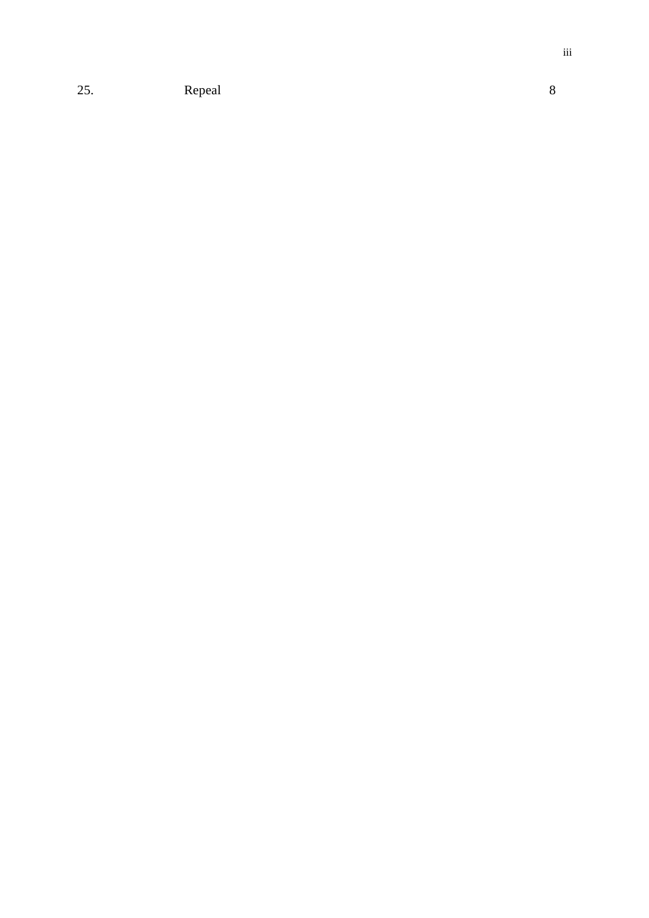25. Repeal 8

iii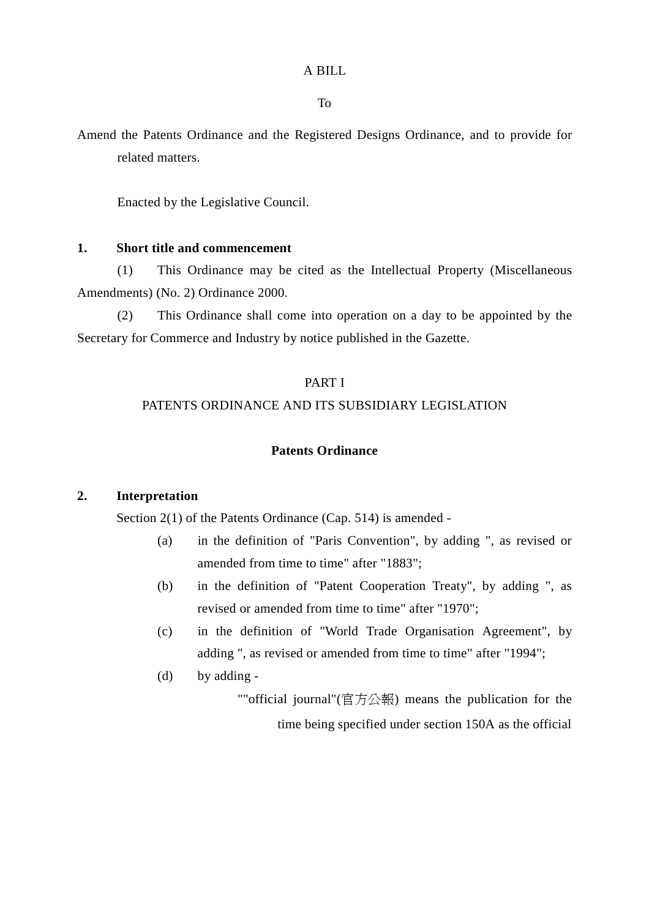To

Amend the Patents Ordinance and the Registered Designs Ordinance, and to provide for related matters.

Enacted by the Legislative Council.

## **1. Short title and commencement**

(1) This Ordinance may be cited as the Intellectual Property (Miscellaneous Amendments) (No. 2) Ordinance 2000.

(2) This Ordinance shall come into operation on a day to be appointed by the Secretary for Commerce and Industry by notice published in the Gazette.

## PART I

## PATENTS ORDINANCE AND ITS SUBSIDIARY LEGISLATION

## **Patents Ordinance**

#### **2. Interpretation**

Section 2(1) of the Patents Ordinance (Cap. 514) is amended -

- (a) in the definition of "Paris Convention", by adding ", as revised or amended from time to time" after "1883";
- (b) in the definition of "Patent Cooperation Treaty", by adding ", as revised or amended from time to time" after "1970";
- (c) in the definition of "World Trade Organisation Agreement", by adding ", as revised or amended from time to time" after "1994";
- (d) by adding -

""official journal"(官方公報) means the publication for the time being specified under section 150A as the official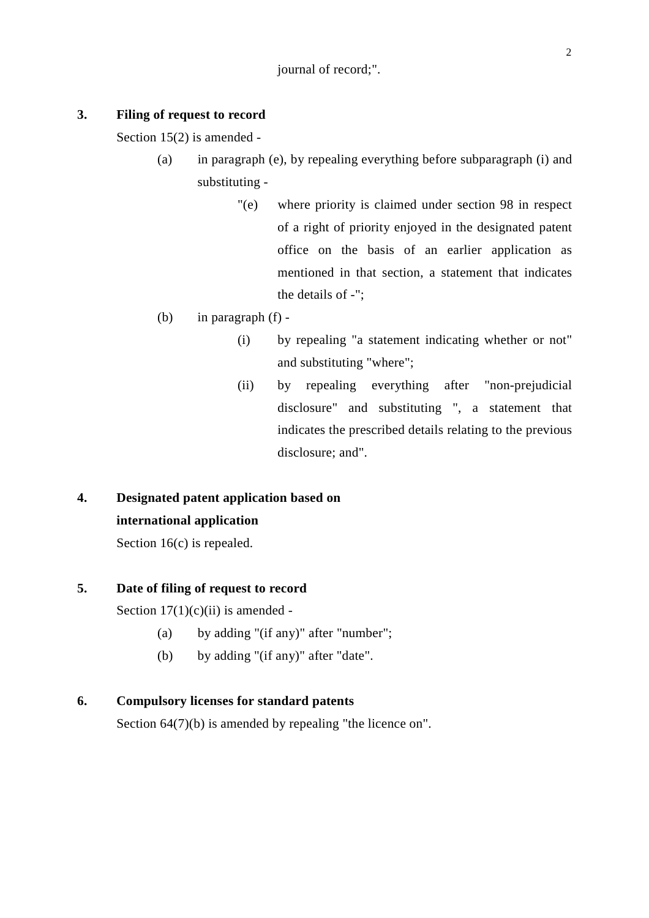#### **3. Filing of request to record**

Section 15(2) is amended -

- (a) in paragraph (e), by repealing everything before subparagraph (i) and substituting -
	- "(e) where priority is claimed under section 98 in respect of a right of priority enjoyed in the designated patent office on the basis of an earlier application as mentioned in that section, a statement that indicates the details of -";
- (b) in paragraph (f)
	- (i) by repealing "a statement indicating whether or not" and substituting "where";
	- (ii) by repealing everything after "non-prejudicial disclosure" and substituting ", a statement that indicates the prescribed details relating to the previous disclosure; and".

# **4. Designated patent application based on international application**

Section 16(c) is repealed.

### **5. Date of filing of request to record**

Section  $17(1)(c)(ii)$  is amended -

- (a) by adding "(if any)" after "number";
- (b) by adding "(if any)" after "date".

## **6. Compulsory licenses for standard patents**

Section  $64(7)(b)$  is amended by repealing "the licence on".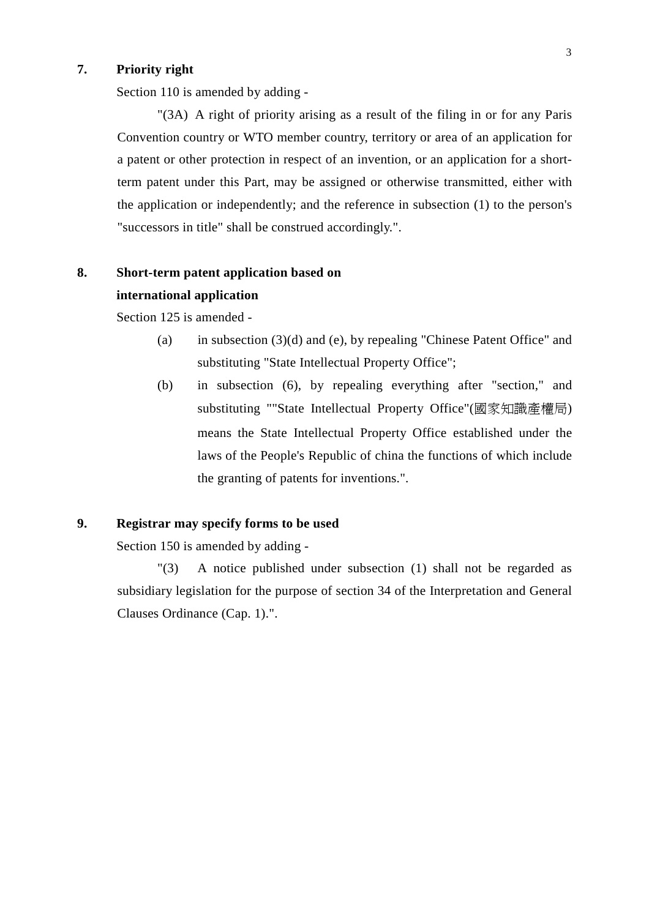## **7. Priority right**

Section 110 is amended by adding -

"(3A) A right of priority arising as a result of the filing in or for any Paris Convention country or WTO member country, territory or area of an application for a patent or other protection in respect of an invention, or an application for a shortterm patent under this Part, may be assigned or otherwise transmitted, either with the application or independently; and the reference in subsection (1) to the person's "successors in title" shall be construed accordingly.".

# **8. Short-term patent application based on international application**

Section 125 is amended -

- (a) in subsection (3)(d) and (e), by repealing "Chinese Patent Office" and substituting "State Intellectual Property Office";
- (b) in subsection (6), by repealing everything after "section," and substituting ""State Intellectual Property Office"(國家知識產權局) means the State Intellectual Property Office established under the laws of the People's Republic of china the functions of which include the granting of patents for inventions.".

### **9. Registrar may specify forms to be used**

Section 150 is amended by adding -

"(3) A notice published under subsection (1) shall not be regarded as subsidiary legislation for the purpose of section 34 of the Interpretation and General Clauses Ordinance (Cap. 1).".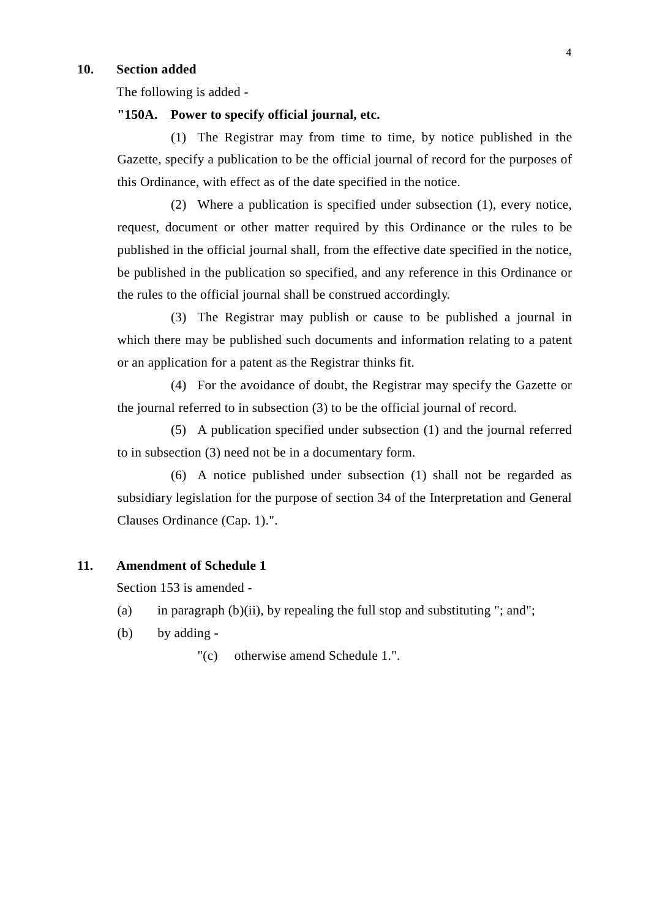#### **10. Section added**

The following is added -

## **"150A. Power to specify official journal, etc.**

(1) The Registrar may from time to time, by notice published in the Gazette, specify a publication to be the official journal of record for the purposes of this Ordinance, with effect as of the date specified in the notice.

(2) Where a publication is specified under subsection (1), every notice, request, document or other matter required by this Ordinance or the rules to be published in the official journal shall, from the effective date specified in the notice, be published in the publication so specified, and any reference in this Ordinance or the rules to the official journal shall be construed accordingly.

(3) The Registrar may publish or cause to be published a journal in which there may be published such documents and information relating to a patent or an application for a patent as the Registrar thinks fit.

(4) For the avoidance of doubt, the Registrar may specify the Gazette or the journal referred to in subsection (3) to be the official journal of record.

(5) A publication specified under subsection (1) and the journal referred to in subsection (3) need not be in a documentary form.

(6) A notice published under subsection (1) shall not be regarded as subsidiary legislation for the purpose of section 34 of the Interpretation and General Clauses Ordinance (Cap. 1).".

#### **11. Amendment of Schedule 1**

Section 153 is amended -

- (a) in paragraph  $(b)(ii)$ , by repealing the full stop and substituting "; and";
- (b) by adding -

"(c) otherwise amend Schedule 1.".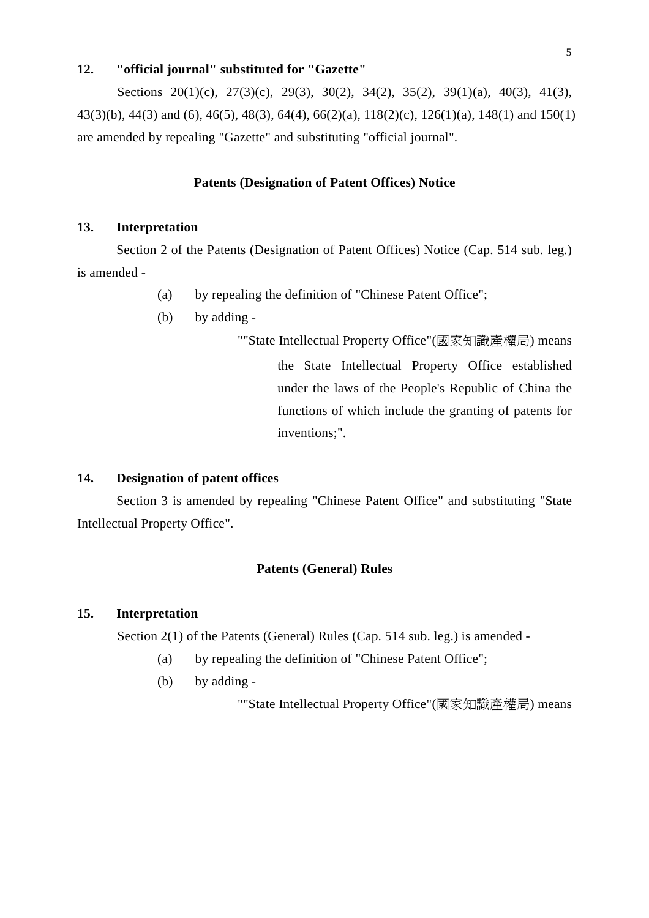#### **12. "official journal" substituted for "Gazette"**

Sections 20(1)(c), 27(3)(c), 29(3), 30(2), 34(2), 35(2), 39(1)(a), 40(3), 41(3), 43(3)(b), 44(3) and (6), 46(5), 48(3), 64(4), 66(2)(a), 118(2)(c), 126(1)(a), 148(1) and 150(1) are amended by repealing "Gazette" and substituting "official journal".

#### **Patents (Designation of Patent Offices) Notice**

#### **13. Interpretation**

Section 2 of the Patents (Designation of Patent Offices) Notice (Cap. 514 sub. leg.) is amended -

- (a) by repealing the definition of "Chinese Patent Office";
- (b) by adding -

""State Intellectual Property Office"(國家知識產權局) means the State Intellectual Property Office established under the laws of the People's Republic of China the functions of which include the granting of patents for inventions;".

#### **14. Designation of patent offices**

Section 3 is amended by repealing "Chinese Patent Office" and substituting "State Intellectual Property Office".

### **Patents (General) Rules**

#### **15. Interpretation**

Section 2(1) of the Patents (General) Rules (Cap. 514 sub. leg.) is amended -

- (a) by repealing the definition of "Chinese Patent Office";
- (b) by adding -

""State Intellectual Property Office"(國家知識產權局) means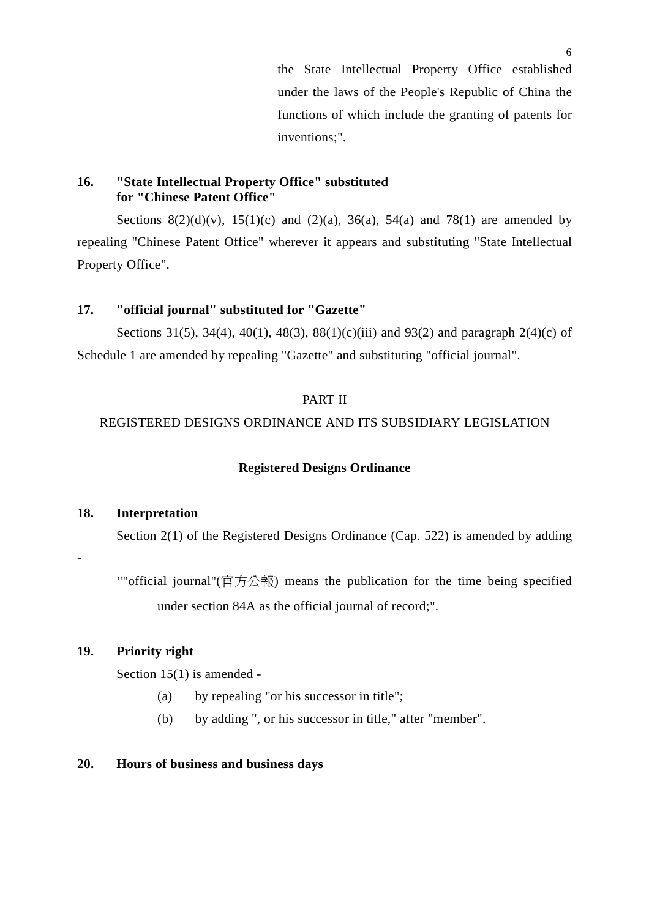the State Intellectual Property Office established under the laws of the People's Republic of China the functions of which include the granting of patents for inventions;".

## **16. "State Intellectual Property Office" substituted for "Chinese Patent Office"**

Sections  $8(2)(d)(v)$ ,  $15(1)(c)$  and  $(2)(a)$ ,  $36(a)$ ,  $54(a)$  and  $78(1)$  are amended by repealing "Chinese Patent Office" wherever it appears and substituting "State Intellectual Property Office".

### **17. "official journal" substituted for "Gazette"**

Sections 31(5), 34(4), 40(1), 48(3), 88(1)(c)(iii) and 93(2) and paragraph 2(4)(c) of Schedule 1 are amended by repealing "Gazette" and substituting "official journal".

## PART II

## REGISTERED DESIGNS ORDINANCE AND ITS SUBSIDIARY LEGISLATION

#### **Registered Designs Ordinance**

### **18. Interpretation**

 $\overline{a}$ 

Section 2(1) of the Registered Designs Ordinance (Cap. 522) is amended by adding

""official journal"(官方公報) means the publication for the time being specified under section 84A as the official journal of record;".

## **19. Priority right**

Section 15(1) is amended -

- (a) by repealing "or his successor in title";
- (b) by adding ", or his successor in title," after "member".

#### **20. Hours of business and business days**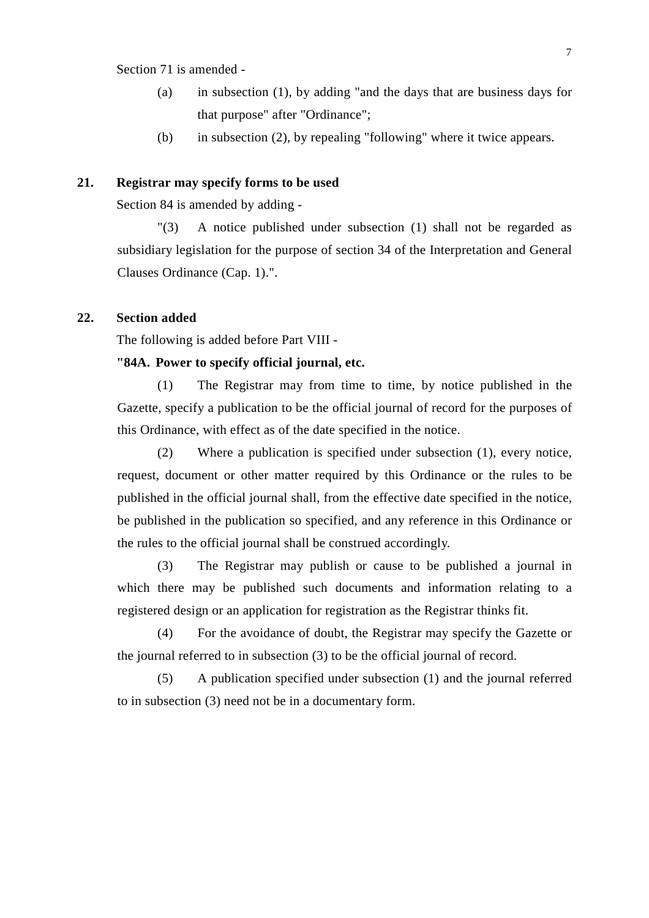Section 71 is amended -

- (a) in subsection (1), by adding "and the days that are business days for that purpose" after "Ordinance";
- (b) in subsection (2), by repealing "following" where it twice appears.

#### **21. Registrar may specify forms to be used**

Section 84 is amended by adding -

"(3) A notice published under subsection (1) shall not be regarded as subsidiary legislation for the purpose of section 34 of the Interpretation and General Clauses Ordinance (Cap. 1).".

## **22. Section added**

The following is added before Part VIII -

#### **"84A. Power to specify official journal, etc.**

(1) The Registrar may from time to time, by notice published in the Gazette, specify a publication to be the official journal of record for the purposes of this Ordinance, with effect as of the date specified in the notice.

(2) Where a publication is specified under subsection (1), every notice, request, document or other matter required by this Ordinance or the rules to be published in the official journal shall, from the effective date specified in the notice, be published in the publication so specified, and any reference in this Ordinance or the rules to the official journal shall be construed accordingly.

(3) The Registrar may publish or cause to be published a journal in which there may be published such documents and information relating to a registered design or an application for registration as the Registrar thinks fit.

(4) For the avoidance of doubt, the Registrar may specify the Gazette or the journal referred to in subsection (3) to be the official journal of record.

(5) A publication specified under subsection (1) and the journal referred to in subsection (3) need not be in a documentary form.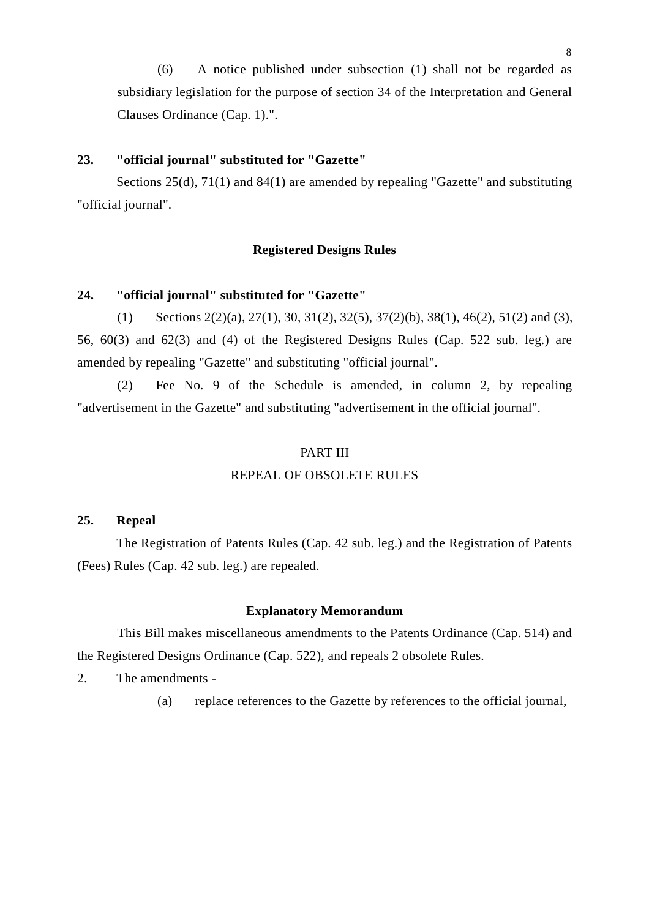(6) A notice published under subsection (1) shall not be regarded as subsidiary legislation for the purpose of section 34 of the Interpretation and General Clauses Ordinance (Cap. 1).".

#### **23. "official journal" substituted for "Gazette"**

Sections 25(d), 71(1) and 84(1) are amended by repealing "Gazette" and substituting "official journal".

#### **Registered Designs Rules**

#### **24. "official journal" substituted for "Gazette"**

(1) Sections 2(2)(a), 27(1), 30, 31(2), 32(5), 37(2)(b), 38(1), 46(2), 51(2) and (3), 56, 60(3) and 62(3) and (4) of the Registered Designs Rules (Cap. 522 sub. leg.) are amended by repealing "Gazette" and substituting "official journal".

(2) Fee No. 9 of the Schedule is amended, in column 2, by repealing "advertisement in the Gazette" and substituting "advertisement in the official journal".

#### PART III

#### REPEAL OF OBSOLETE RULES

#### **25. Repeal**

The Registration of Patents Rules (Cap. 42 sub. leg.) and the Registration of Patents (Fees) Rules (Cap. 42 sub. leg.) are repealed.

#### **Explanatory Memorandum**

This Bill makes miscellaneous amendments to the Patents Ordinance (Cap. 514) and the Registered Designs Ordinance (Cap. 522), and repeals 2 obsolete Rules.

2. The amendments -

(a) replace references to the Gazette by references to the official journal,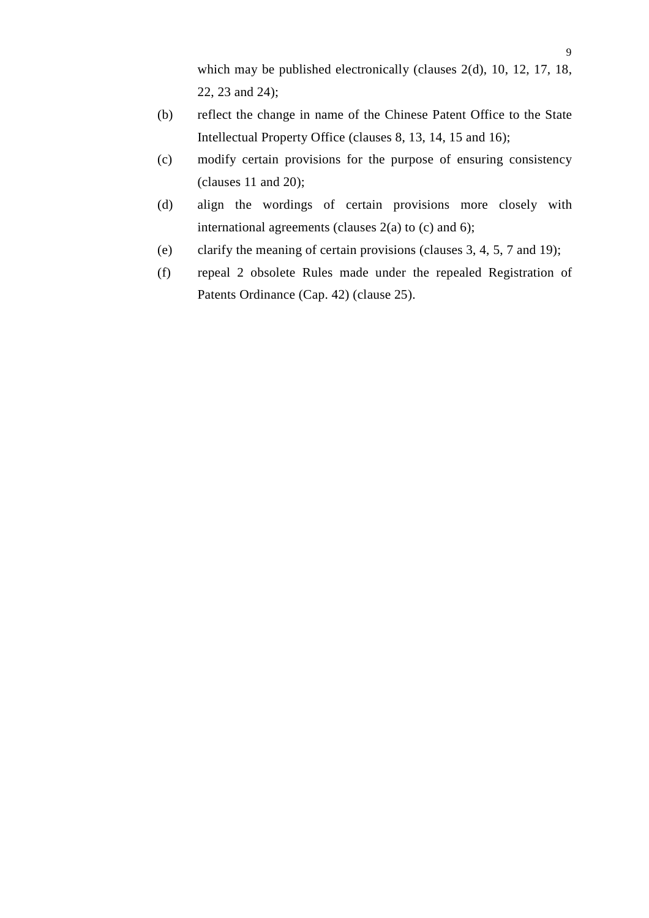which may be published electronically (clauses 2(d), 10, 12, 17, 18, 22, 23 and 24);

- (b) reflect the change in name of the Chinese Patent Office to the State Intellectual Property Office (clauses 8, 13, 14, 15 and 16);
- (c) modify certain provisions for the purpose of ensuring consistency (clauses 11 and 20);
- (d) align the wordings of certain provisions more closely with international agreements (clauses  $2(a)$  to (c) and 6);
- (e) clarify the meaning of certain provisions (clauses 3, 4, 5, 7 and 19);
- (f) repeal 2 obsolete Rules made under the repealed Registration of Patents Ordinance (Cap. 42) (clause 25).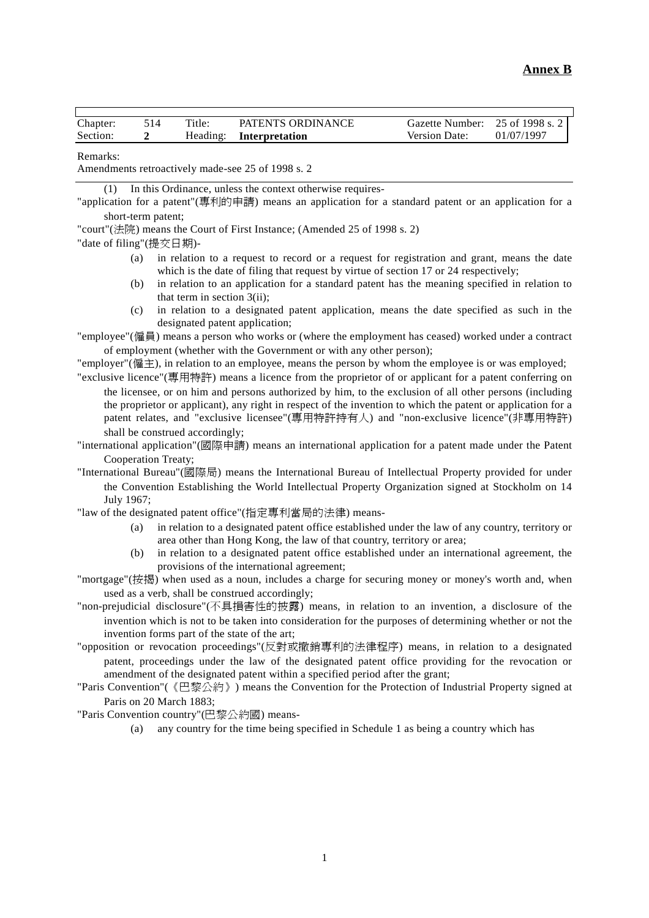| Chapter: | 14٠ | Title:   | PATENTS ORDINANCE | Gazette Number:      | 25 of 1998 s. 2 |
|----------|-----|----------|-------------------|----------------------|-----------------|
| Section: |     | Heading: | Interpretation    | <b>Version Date:</b> | 01/07/1997      |

Remarks:

Amendments retroactively made-see 25 of 1998 s. 2

(1) In this Ordinance, unless the context otherwise requires-

"application for a patent"(專利的申請) means an application for a standard patent or an application for a short-term patent;

"court"(法院) means the Court of First Instance; (Amended 25 of 1998 s. 2)

"date of filing"(提交日期)-

- (a) in relation to a request to record or a request for registration and grant, means the date which is the date of filing that request by virtue of section 17 or 24 respectively;
- (b) in relation to an application for a standard patent has the meaning specified in relation to that term in section 3(ii);
- (c) in relation to a designated patent application, means the date specified as such in the designated patent application;

"employee"(僱員) means a person who works or (where the employment has ceased) worked under a contract of employment (whether with the Government or with any other person);

"employer"( $(\mathbf{k} \pm)$ , in relation to an employee, means the person by whom the employee is or was employed;

"exclusive licence"(專用特許) means a licence from the proprietor of or applicant for a patent conferring on the licensee, or on him and persons authorized by him, to the exclusion of all other persons (including the proprietor or applicant), any right in respect of the invention to which the patent or application for a patent relates, and "exclusive licensee"(專用特許持有人) and "non-exclusive licence"(非專用特許) shall be construed accordingly;

"international application"(國際申請) means an international application for a patent made under the Patent Cooperation Treaty;

"International Bureau"(國際局) means the International Bureau of Intellectual Property provided for under the Convention Establishing the World Intellectual Property Organization signed at Stockholm on 14 July 1967;

"law of the designated patent office"(指定專利當局的法律) means-

- (a) in relation to a designated patent office established under the law of any country, territory or area other than Hong Kong, the law of that country, territory or area;
- (b) in relation to a designated patent office established under an international agreement, the provisions of the international agreement;

"mortgage"(按揭) when used as a noun, includes a charge for securing money or money's worth and, when used as a verb, shall be construed accordingly;

"non-prejudicial disclosure"(不具損害性的披露) means, in relation to an invention, a disclosure of the invention which is not to be taken into consideration for the purposes of determining whether or not the invention forms part of the state of the art;

"opposition or revocation proceedings"(反對或撤銷專利的法律程序) means, in relation to a designated patent, proceedings under the law of the designated patent office providing for the revocation or amendment of the designated patent within a specified period after the grant;

"Paris Convention"(《巴黎公約》) means the Convention for the Protection of Industrial Property signed at Paris on 20 March 1883;

"Paris Convention country"(巴黎公約國) means-

(a) any country for the time being specified in Schedule 1 as being a country which has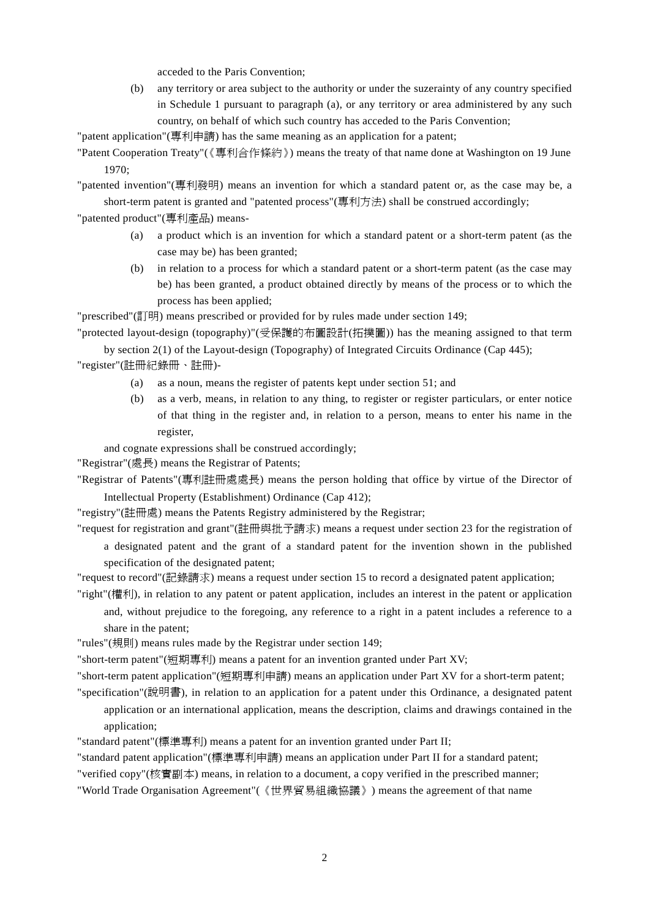acceded to the Paris Convention;

(b) any territory or area subject to the authority or under the suzerainty of any country specified in Schedule 1 pursuant to paragraph (a), or any territory or area administered by any such country, on behalf of which such country has acceded to the Paris Convention;

"patent application"(專利申請) has the same meaning as an application for a patent;

"Patent Cooperation Treaty"(《專利合作條約》) means the treaty of that name done at Washington on 19 June 1970;

"patented invention"(專利發明) means an invention for which a standard patent or, as the case may be, a short-term patent is granted and "patented process"(專利方法) shall be construed accordingly;

"patented product"(專利產品) means-

- (a) a product which is an invention for which a standard patent or a short-term patent (as the case may be) has been granted;
- (b) in relation to a process for which a standard patent or a short-term patent (as the case may be) has been granted, a product obtained directly by means of the process or to which the process has been applied;

"prescribed"(訂明) means prescribed or provided for by rules made under section 149;

"protected layout-design (topography)"(受保護的布圖設計(拓撲圖)) has the meaning assigned to that term

by section 2(1) of the Layout-design (Topography) of Integrated Circuits Ordinance (Cap 445); "register"(註冊紀錄冊、註冊)-

- (a) as a noun, means the register of patents kept under section 51; and
- (b) as a verb, means, in relation to any thing, to register or register particulars, or enter notice of that thing in the register and, in relation to a person, means to enter his name in the register,

and cognate expressions shall be construed accordingly;

"Registrar"(處長) means the Registrar of Patents;

"Registrar of Patents"(專利註冊處處長) means the person holding that office by virtue of the Director of Intellectual Property (Establishment) Ordinance (Cap 412);

"registry"(註冊處) means the Patents Registry administered by the Registrar;

"request for registration and grant"(註冊與批予請求) means a request under section 23 for the registration of a designated patent and the grant of a standard patent for the invention shown in the published

specification of the designated patent;

"request to record"(記錄請求) means a request under section 15 to record a designated patent application;

"right"(權利), in relation to any patent or patent application, includes an interest in the patent or application

and, without prejudice to the foregoing, any reference to a right in a patent includes a reference to a share in the patent;

"rules"(規則) means rules made by the Registrar under section 149;

"short-term patent"(短期專利) means a patent for an invention granted under Part XV;

"short-term patent application"(短期專利申請) means an application under Part XV for a short-term patent;

"specification"(說明書), in relation to an application for a patent under this Ordinance, a designated patent application or an international application, means the description, claims and drawings contained in the application;

"standard patent"(標準專利) means a patent for an invention granted under Part II;

"standard patent application"(標準專利申請) means an application under Part II for a standard patent;

"verified copy"(核實副本) means, in relation to a document, a copy verified in the prescribed manner;

"World Trade Organisation Agreement"(《世界貿易組織協議》) means the agreement of that name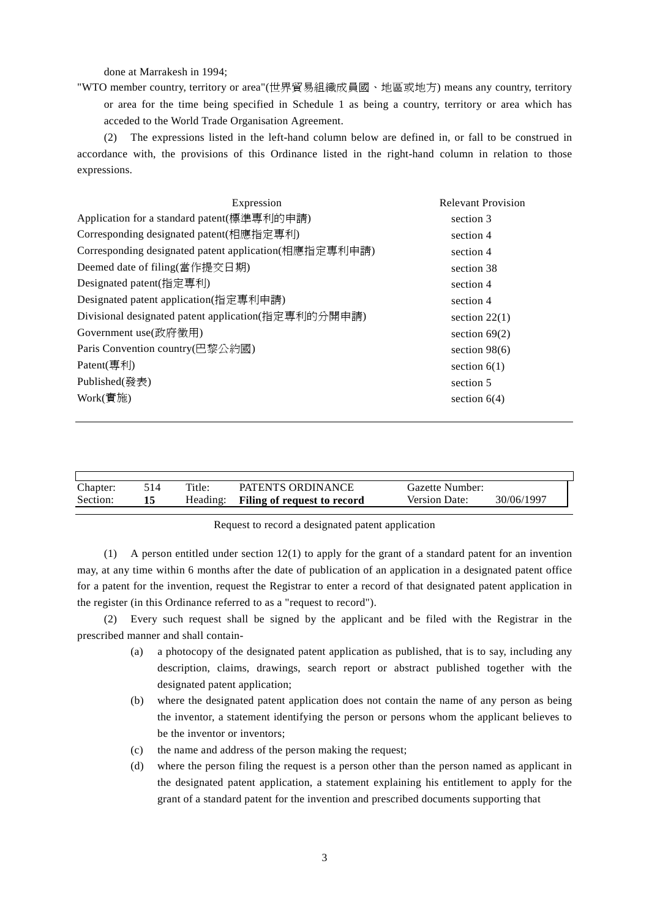done at Marrakesh in 1994;

"WTO member country, territory or area"(世界貿易組織成員國、㆞區或㆞方) means any country, territory or area for the time being specified in Schedule 1 as being a country, territory or area which has acceded to the World Trade Organisation Agreement.

(2) The expressions listed in the left-hand column below are defined in, or fall to be construed in accordance with, the provisions of this Ordinance listed in the right-hand column in relation to those expressions.

| Expression                                            | <b>Relevant Provision</b> |
|-------------------------------------------------------|---------------------------|
| Application for a standard patent(標準專利的申請)            | section 3                 |
| Corresponding designated patent(相應指定專利)               | section 4                 |
| Corresponding designated patent application(相應指定專利申請) | section 4                 |
| Deemed date of filing(當作提交日期)                         | section 38                |
| Designated patent(指定專利)                               | section 4                 |
| Designated patent application(指定專利申請)                 | section 4                 |
| Divisional designated patent application(指定專利的分開申請)   | section $22(1)$           |
| Government use(政府徵用)                                  | section $69(2)$           |
| Paris Convention country(巴黎公約國)                       | section $98(6)$           |
| Patent(專利)                                            | section $6(1)$            |
| Published(發表)                                         | section 5                 |
| $Work$ (實施)                                           | section $6(4)$            |
|                                                       |                           |

| Chapter: | 514 | Title:   | PATENTS ORDINANCE           | Gazette Number: |            |
|----------|-----|----------|-----------------------------|-----------------|------------|
| Section: |     | Heading: | Filing of request to record | Version Date:   | 30/06/1997 |
|          |     |          |                             |                 |            |

#### Request to record a designated patent application

(1) A person entitled under section 12(1) to apply for the grant of a standard patent for an invention may, at any time within 6 months after the date of publication of an application in a designated patent office for a patent for the invention, request the Registrar to enter a record of that designated patent application in the register (in this Ordinance referred to as a "request to record").

(2) Every such request shall be signed by the applicant and be filed with the Registrar in the prescribed manner and shall contain-

- (a) a photocopy of the designated patent application as published, that is to say, including any description, claims, drawings, search report or abstract published together with the designated patent application;
- (b) where the designated patent application does not contain the name of any person as being the inventor, a statement identifying the person or persons whom the applicant believes to be the inventor or inventors;
- (c) the name and address of the person making the request;
- (d) where the person filing the request is a person other than the person named as applicant in the designated patent application, a statement explaining his entitlement to apply for the grant of a standard patent for the invention and prescribed documents supporting that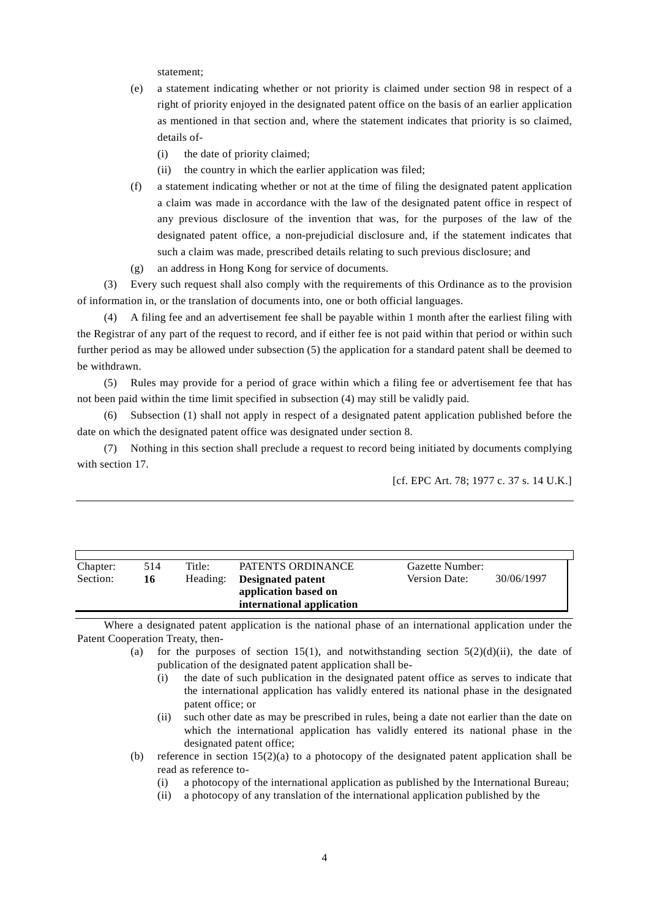statement;

- (e) a statement indicating whether or not priority is claimed under section 98 in respect of a right of priority enjoyed in the designated patent office on the basis of an earlier application as mentioned in that section and, where the statement indicates that priority is so claimed, details of-
	- (i) the date of priority claimed;
	- (ii) the country in which the earlier application was filed;
- (f) a statement indicating whether or not at the time of filing the designated patent application a claim was made in accordance with the law of the designated patent office in respect of any previous disclosure of the invention that was, for the purposes of the law of the designated patent office, a non-prejudicial disclosure and, if the statement indicates that such a claim was made, prescribed details relating to such previous disclosure; and
- (g) an address in Hong Kong for service of documents.

(3) Every such request shall also comply with the requirements of this Ordinance as to the provision of information in, or the translation of documents into, one or both official languages.

(4) A filing fee and an advertisement fee shall be payable within 1 month after the earliest filing with the Registrar of any part of the request to record, and if either fee is not paid within that period or within such further period as may be allowed under subsection (5) the application for a standard patent shall be deemed to be withdrawn.

(5) Rules may provide for a period of grace within which a filing fee or advertisement fee that has not been paid within the time limit specified in subsection (4) may still be validly paid.

(6) Subsection (1) shall not apply in respect of a designated patent application published before the date on which the designated patent office was designated under section 8.

(7) Nothing in this section shall preclude a request to record being initiated by documents complying with section 17.

[cf. EPC Art. 78; 1977 c. 37 s. 14 U.K.]

| Chapter:<br>Section: | 514<br>16 | Title:<br>Heading: | PATENTS ORDINANCE<br><b>Designated patent</b><br>application based on | Gazette Number:<br>Version Date: | 30/06/1997 |
|----------------------|-----------|--------------------|-----------------------------------------------------------------------|----------------------------------|------------|
|                      |           |                    | international application                                             |                                  |            |

Where a designated patent application is the national phase of an international application under the Patent Cooperation Treaty, then-

- (a) for the purposes of section 15(1), and notwithstanding section  $5(2)(d)(ii)$ , the date of publication of the designated patent application shall be-
	- (i) the date of such publication in the designated patent office as serves to indicate that the international application has validly entered its national phase in the designated patent office; or
	- (ii) such other date as may be prescribed in rules, being a date not earlier than the date on which the international application has validly entered its national phase in the designated patent office;
- (b) reference in section 15(2)(a) to a photocopy of the designated patent application shall be read as reference to-
	- (i) a photocopy of the international application as published by the International Bureau;
	- (ii) a photocopy of any translation of the international application published by the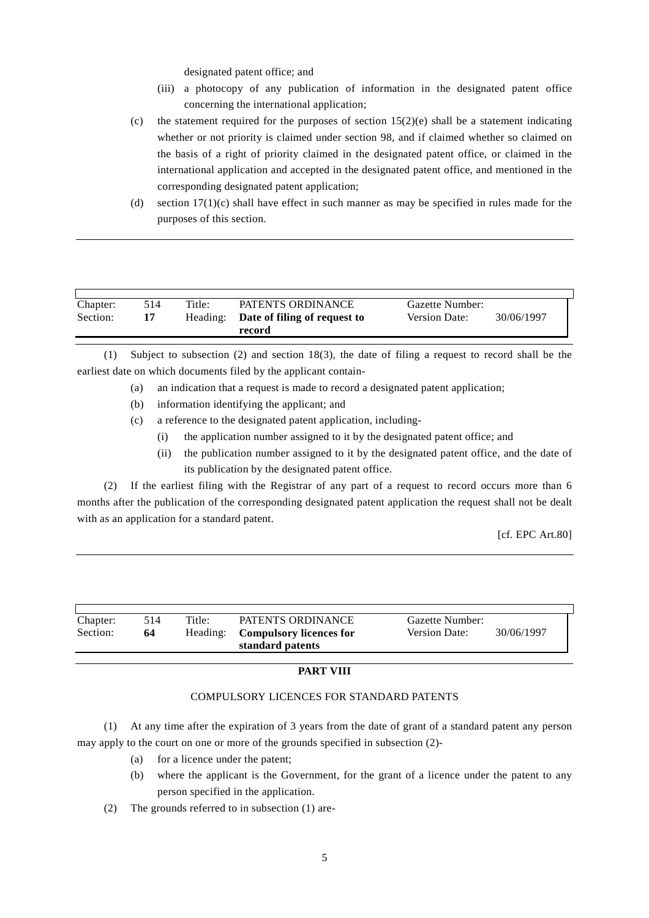designated patent office; and

- (iii) a photocopy of any publication of information in the designated patent office concerning the international application;
- (c) the statement required for the purposes of section  $15(2)(e)$  shall be a statement indicating whether or not priority is claimed under section 98, and if claimed whether so claimed on the basis of a right of priority claimed in the designated patent office, or claimed in the international application and accepted in the designated patent office, and mentioned in the corresponding designated patent application;
- (d) section 17(1)(c) shall have effect in such manner as may be specified in rules made for the purposes of this section.

| Chapter:<br>Section: | 514 | Title:<br>Heading: | PATENTS ORDINANCE<br>Date of filing of request to<br>record | Gazette Number:<br>Version Date: | 30/06/1997 |
|----------------------|-----|--------------------|-------------------------------------------------------------|----------------------------------|------------|

(1) Subject to subsection (2) and section 18(3), the date of filing a request to record shall be the earliest date on which documents filed by the applicant contain-

- (a) an indication that a request is made to record a designated patent application;
- (b) information identifying the applicant; and
- (c) a reference to the designated patent application, including-
	- (i) the application number assigned to it by the designated patent office; and
	- (ii) the publication number assigned to it by the designated patent office, and the date of its publication by the designated patent office.

(2) If the earliest filing with the Registrar of any part of a request to record occurs more than 6 months after the publication of the corresponding designated patent application the request shall not be dealt with as an application for a standard patent.

[cf. EPC Art.80]

| Chapter:<br>Title:<br>PATENTS ORDINANCE<br>514<br>Gazette Number:<br>30/06/1997<br>Version Date:<br>Section:<br><b>Compulsory licences for</b><br>Heading:<br>64<br>standard patents |  |
|--------------------------------------------------------------------------------------------------------------------------------------------------------------------------------------|--|
|--------------------------------------------------------------------------------------------------------------------------------------------------------------------------------------|--|

#### **PART VIII**

#### COMPULSORY LICENCES FOR STANDARD PATENTS

(1) At any time after the expiration of 3 years from the date of grant of a standard patent any person may apply to the court on one or more of the grounds specified in subsection (2)-

- (a) for a licence under the patent;
- (b) where the applicant is the Government, for the grant of a licence under the patent to any person specified in the application.
- (2) The grounds referred to in subsection (1) are-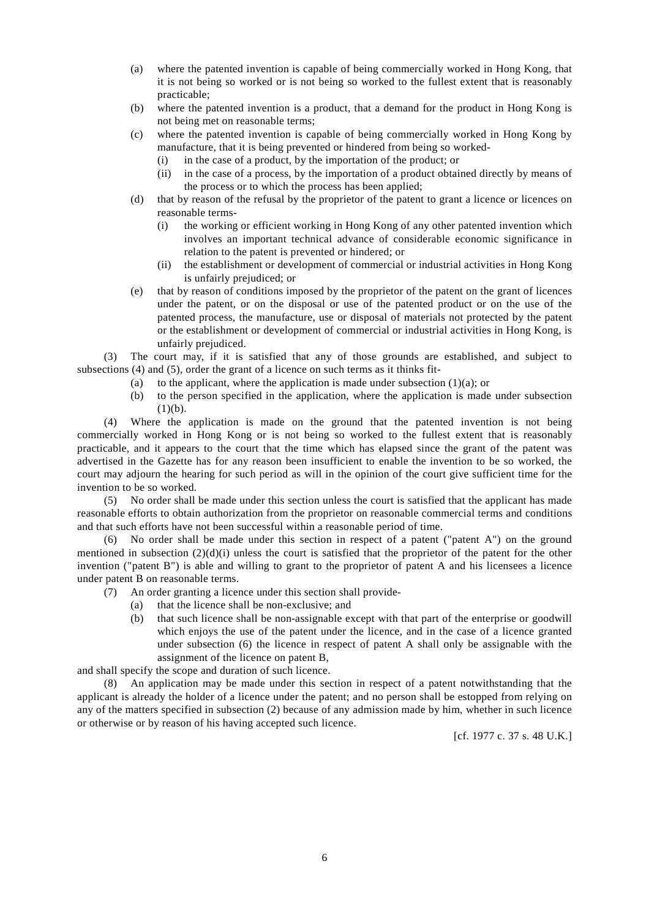- (a) where the patented invention is capable of being commercially worked in Hong Kong, that it is not being so worked or is not being so worked to the fullest extent that is reasonably practicable;
- (b) where the patented invention is a product, that a demand for the product in Hong Kong is not being met on reasonable terms;
- (c) where the patented invention is capable of being commercially worked in Hong Kong by manufacture, that it is being prevented or hindered from being so worked-
	- (i) in the case of a product, by the importation of the product; or
	- (ii) in the case of a process, by the importation of a product obtained directly by means of the process or to which the process has been applied;
- (d) that by reason of the refusal by the proprietor of the patent to grant a licence or licences on reasonable terms-
	- (i) the working or efficient working in Hong Kong of any other patented invention which involves an important technical advance of considerable economic significance in relation to the patent is prevented or hindered; or
	- (ii) the establishment or development of commercial or industrial activities in Hong Kong is unfairly prejudiced; or
- (e) that by reason of conditions imposed by the proprietor of the patent on the grant of licences under the patent, or on the disposal or use of the patented product or on the use of the patented process, the manufacture, use or disposal of materials not protected by the patent or the establishment or development of commercial or industrial activities in Hong Kong, is unfairly prejudiced.

(3) The court may, if it is satisfied that any of those grounds are established, and subject to subsections (4) and (5), order the grant of a licence on such terms as it thinks fit-

- (a) to the applicant, where the application is made under subsection  $(1)(a)$ ; or
- (b) to the person specified in the application, where the application is made under subsection  $(1)(b)$ .

(4) Where the application is made on the ground that the patented invention is not being commercially worked in Hong Kong or is not being so worked to the fullest extent that is reasonably practicable, and it appears to the court that the time which has elapsed since the grant of the patent was advertised in the Gazette has for any reason been insufficient to enable the invention to be so worked, the court may adjourn the hearing for such period as will in the opinion of the court give sufficient time for the invention to be so worked.

(5) No order shall be made under this section unless the court is satisfied that the applicant has made reasonable efforts to obtain authorization from the proprietor on reasonable commercial terms and conditions and that such efforts have not been successful within a reasonable period of time.

(6) No order shall be made under this section in respect of a patent ("patent A") on the ground mentioned in subsection  $(2)(d)(i)$  unless the court is satisfied that the proprietor of the patent for the other invention ("patent B") is able and willing to grant to the proprietor of patent A and his licensees a licence under patent B on reasonable terms.

- (7) An order granting a licence under this section shall provide-
	- (a) that the licence shall be non-exclusive; and
	- (b) that such licence shall be non-assignable except with that part of the enterprise or goodwill which enjoys the use of the patent under the licence, and in the case of a licence granted under subsection (6) the licence in respect of patent A shall only be assignable with the assignment of the licence on patent B,

and shall specify the scope and duration of such licence.

(8) An application may be made under this section in respect of a patent notwithstanding that the applicant is already the holder of a licence under the patent; and no person shall be estopped from relying on any of the matters specified in subsection (2) because of any admission made by him, whether in such licence or otherwise or by reason of his having accepted such licence.

[cf. 1977 c. 37 s. 48 U.K.]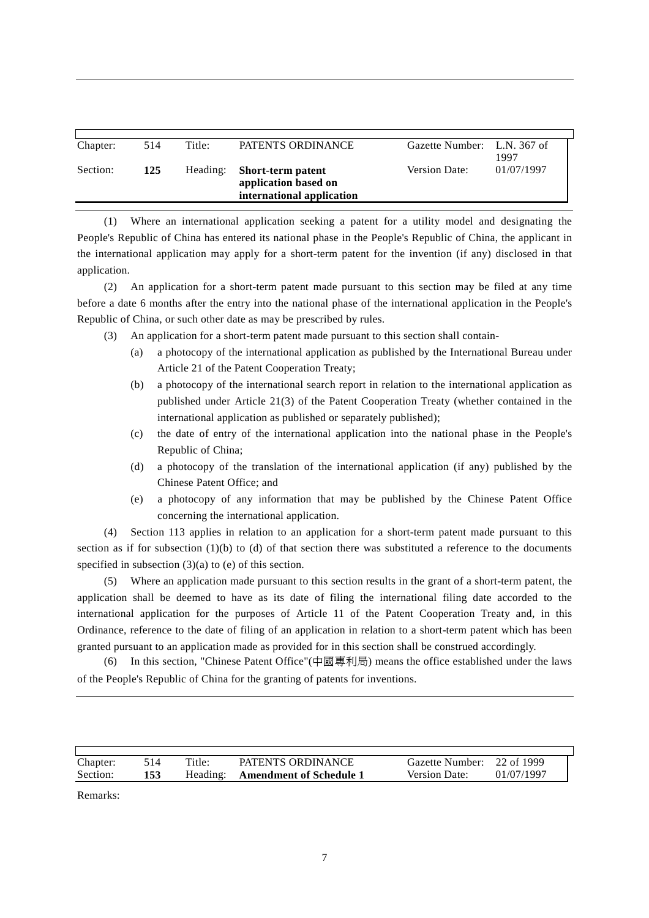| Chapter: | 514 | Title:   | PATENTS ORDINANCE                                                      | Gazette Number: L.N. 367 of | 1997       |
|----------|-----|----------|------------------------------------------------------------------------|-----------------------------|------------|
| Section: | 125 | Heading: | Short-term patent<br>application based on<br>international application | Version Date:               | 01/07/1997 |

(1) Where an international application seeking a patent for a utility model and designating the People's Republic of China has entered its national phase in the People's Republic of China, the applicant in the international application may apply for a short-term patent for the invention (if any) disclosed in that application.

(2) An application for a short-term patent made pursuant to this section may be filed at any time before a date 6 months after the entry into the national phase of the international application in the People's Republic of China, or such other date as may be prescribed by rules.

- (3) An application for a short-term patent made pursuant to this section shall contain-
	- (a) a photocopy of the international application as published by the International Bureau under Article 21 of the Patent Cooperation Treaty;
	- (b) a photocopy of the international search report in relation to the international application as published under Article 21(3) of the Patent Cooperation Treaty (whether contained in the international application as published or separately published);
	- (c) the date of entry of the international application into the national phase in the People's Republic of China;
	- (d) a photocopy of the translation of the international application (if any) published by the Chinese Patent Office; and
	- (e) a photocopy of any information that may be published by the Chinese Patent Office concerning the international application.

(4) Section 113 applies in relation to an application for a short-term patent made pursuant to this section as if for subsection (1)(b) to (d) of that section there was substituted a reference to the documents specified in subsection  $(3)(a)$  to  $(e)$  of this section.

(5) Where an application made pursuant to this section results in the grant of a short-term patent, the application shall be deemed to have as its date of filing the international filing date accorded to the international application for the purposes of Article 11 of the Patent Cooperation Treaty and, in this Ordinance, reference to the date of filing of an application in relation to a short-term patent which has been granted pursuant to an application made as provided for in this section shall be construed accordingly.

(6) In this section, "Chinese Patent Office"(中國專利局) means the office established under the laws of the People's Republic of China for the granting of patents for inventions.

| Chapter: | 514 | Title:   | PATENTS ORDINANCE              | Gazette Number: 22 of 1999 |            |
|----------|-----|----------|--------------------------------|----------------------------|------------|
| Section: | 153 | Heading: | <b>Amendment of Schedule 1</b> | <b>Version Date:</b>       | 01/07/1997 |

Remarks: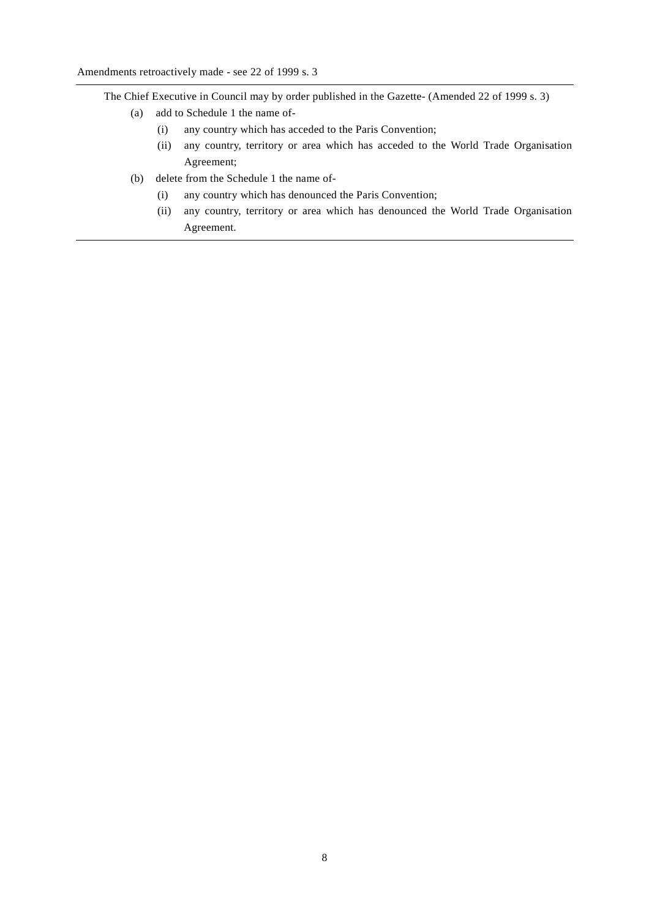The Chief Executive in Council may by order published in the Gazette- (Amended 22 of 1999 s. 3)

- (a) add to Schedule 1 the name of-
	- (i) any country which has acceded to the Paris Convention;
	- (ii) any country, territory or area which has acceded to the World Trade Organisation Agreement;
- (b) delete from the Schedule 1 the name of-
	- (i) any country which has denounced the Paris Convention;
	- (ii) any country, territory or area which has denounced the World Trade Organisation Agreement.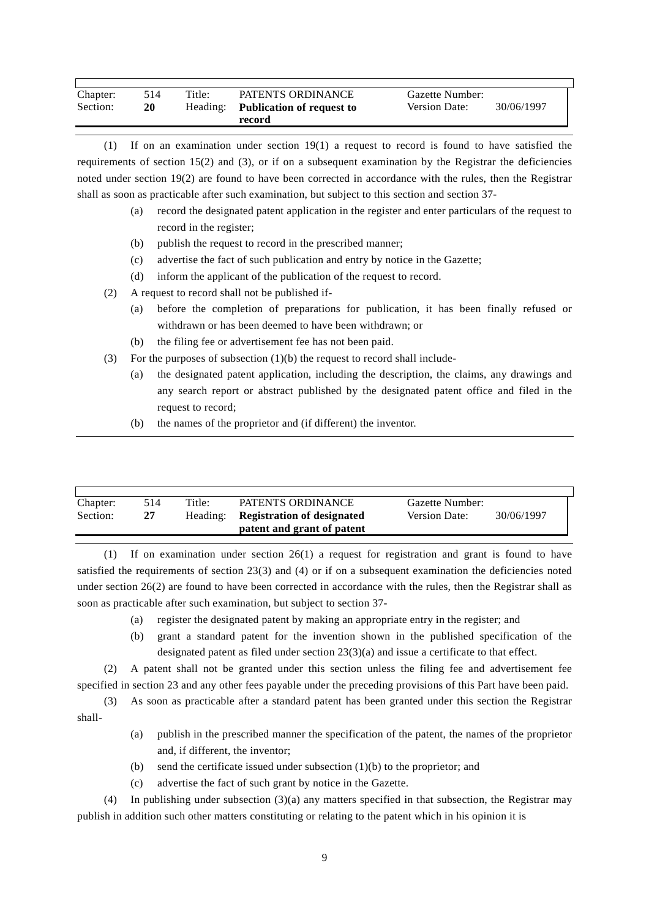| Chapter: | 514 | Title: | PATENTS ORDINANCE                  | Gazette Number:      |            |
|----------|-----|--------|------------------------------------|----------------------|------------|
| Section: | 20  |        | Heading: Publication of request to | <b>Version Date:</b> | 30/06/1997 |
|          |     |        | record                             |                      |            |

(1) If on an examination under section 19(1) a request to record is found to have satisfied the requirements of section  $15(2)$  and  $(3)$ , or if on a subsequent examination by the Registrar the deficiencies noted under section 19(2) are found to have been corrected in accordance with the rules, then the Registrar shall as soon as practicable after such examination, but subject to this section and section 37-

- (a) record the designated patent application in the register and enter particulars of the request to record in the register;
- (b) publish the request to record in the prescribed manner;
- (c) advertise the fact of such publication and entry by notice in the Gazette;
- (d) inform the applicant of the publication of the request to record.
- (2) A request to record shall not be published if-
	- (a) before the completion of preparations for publication, it has been finally refused or withdrawn or has been deemed to have been withdrawn; or
	- (b) the filing fee or advertisement fee has not been paid.
- (3) For the purposes of subsection  $(1)(b)$  the request to record shall include-
	- (a) the designated patent application, including the description, the claims, any drawings and any search report or abstract published by the designated patent office and filed in the request to record;
	- (b) the names of the proprietor and (if different) the inventor.

| Chapter: | 514 | Title:   | PATENTS ORDINANCE                 | Gazette Number:      |            |
|----------|-----|----------|-----------------------------------|----------------------|------------|
| Section: | 27  | Heading: | <b>Registration of designated</b> | <b>Version Date:</b> | 30/06/1997 |
|          |     |          | patent and grant of patent        |                      |            |

(1) If on examination under section 26(1) a request for registration and grant is found to have satisfied the requirements of section 23(3) and (4) or if on a subsequent examination the deficiencies noted under section 26(2) are found to have been corrected in accordance with the rules, then the Registrar shall as soon as practicable after such examination, but subject to section 37-

- (a) register the designated patent by making an appropriate entry in the register; and
- (b) grant a standard patent for the invention shown in the published specification of the designated patent as filed under section 23(3)(a) and issue a certificate to that effect.

(2) A patent shall not be granted under this section unless the filing fee and advertisement fee specified in section 23 and any other fees payable under the preceding provisions of this Part have been paid.

(3) As soon as practicable after a standard patent has been granted under this section the Registrar shall-

- (a) publish in the prescribed manner the specification of the patent, the names of the proprietor and, if different, the inventor;
- (b) send the certificate issued under subsection (1)(b) to the proprietor; and
- (c) advertise the fact of such grant by notice in the Gazette.

(4) In publishing under subsection (3)(a) any matters specified in that subsection, the Registrar may publish in addition such other matters constituting or relating to the patent which in his opinion it is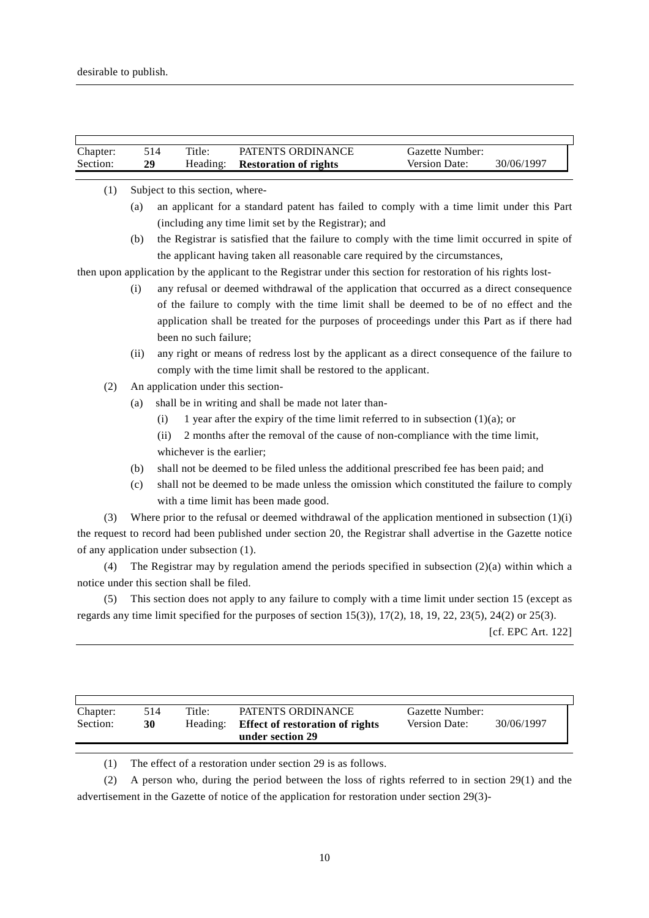$\overline{1}$ 

| Chapter: |      | 514  | Title:                                    | PATENTS ORDINANCE                                                                                                                    | Gazette Number: |                    |
|----------|------|------|-------------------------------------------|--------------------------------------------------------------------------------------------------------------------------------------|-----------------|--------------------|
| Section: | 29   |      | Heading:                                  | <b>Restoration of rights</b>                                                                                                         | Version Date:   | 30/06/1997         |
|          |      |      |                                           |                                                                                                                                      |                 |                    |
| (1)      |      |      | Subject to this section, where-           |                                                                                                                                      |                 |                    |
|          | (a)  |      |                                           | an applicant for a standard patent has failed to comply with a time limit under this Part                                            |                 |                    |
|          |      |      |                                           | (including any time limit set by the Registrar); and                                                                                 |                 |                    |
|          | (b)  |      |                                           | the Registrar is satisfied that the failure to comply with the time limit occurred in spite of                                       |                 |                    |
|          |      |      |                                           | the applicant having taken all reasonable care required by the circumstances,                                                        |                 |                    |
|          |      |      |                                           | then upon application by the applicant to the Registrar under this section for restoration of his rights lost-                       |                 |                    |
|          | (i)  |      |                                           | any refusal or deemed withdrawal of the application that occurred as a direct consequence                                            |                 |                    |
|          |      |      |                                           | of the failure to comply with the time limit shall be deemed to be of no effect and the                                              |                 |                    |
|          |      |      |                                           | application shall be treated for the purposes of proceedings under this Part as if there had                                         |                 |                    |
|          |      |      | been no such failure;                     |                                                                                                                                      |                 |                    |
|          | (ii) |      |                                           | any right or means of redress lost by the applicant as a direct consequence of the failure to                                        |                 |                    |
|          |      |      |                                           | comply with the time limit shall be restored to the applicant.                                                                       |                 |                    |
| (2)      |      |      | An application under this section-        |                                                                                                                                      |                 |                    |
|          | (a)  |      |                                           | shall be in writing and shall be made not later than-                                                                                |                 |                    |
|          |      | (i)  |                                           | 1 year after the expiry of the time limit referred to in subsection $(1)(a)$ ; or                                                    |                 |                    |
|          |      | (ii) |                                           | 2 months after the removal of the cause of non-compliance with the time limit,                                                       |                 |                    |
|          |      |      | whichever is the earlier;                 |                                                                                                                                      |                 |                    |
|          | (b)  |      |                                           | shall not be deemed to be filed unless the additional prescribed fee has been paid; and                                              |                 |                    |
|          | (c)  |      |                                           | shall not be deemed to be made unless the omission which constituted the failure to comply                                           |                 |                    |
|          |      |      |                                           | with a time limit has been made good.                                                                                                |                 |                    |
| (3)      |      |      |                                           | Where prior to the refusal or deemed withdrawal of the application mentioned in subsection $(1)(i)$                                  |                 |                    |
|          |      |      |                                           | the request to record had been published under section 20, the Registrar shall advertise in the Gazette notice                       |                 |                    |
|          |      |      |                                           |                                                                                                                                      |                 |                    |
|          |      |      | of any application under subsection (1).  |                                                                                                                                      |                 |                    |
| (4)      |      |      |                                           | The Registrar may by regulation amend the periods specified in subsection $(2)(a)$ within which a                                    |                 |                    |
|          |      |      | notice under this section shall be filed. |                                                                                                                                      |                 |                    |
| (5)      |      |      |                                           | This section does not apply to any failure to comply with a time limit under section 15 (except as                                   |                 |                    |
|          |      |      |                                           | regards any time limit specified for the purposes of section $15(3)$ , $17(2)$ , $18$ , $19$ , $22$ , $23(5)$ , $24(2)$ or $25(3)$ . |                 |                    |
|          |      |      |                                           |                                                                                                                                      |                 | [cf. EPC Art. 122] |
|          |      |      |                                           |                                                                                                                                      |                 |                    |

| Chapter: | 514 | Title:   | PATENTS ORDINANCE                      | Gazette Number:      | 30/06/1997 |
|----------|-----|----------|----------------------------------------|----------------------|------------|
| Section: | 30  | Heading: | <b>Effect of restoration of rights</b> | <b>Version Date:</b> |            |
|          |     |          | under section 29                       |                      |            |

(1) The effect of a restoration under section 29 is as follows.

(2) A person who, during the period between the loss of rights referred to in section 29(1) and the advertisement in the Gazette of notice of the application for restoration under section 29(3)-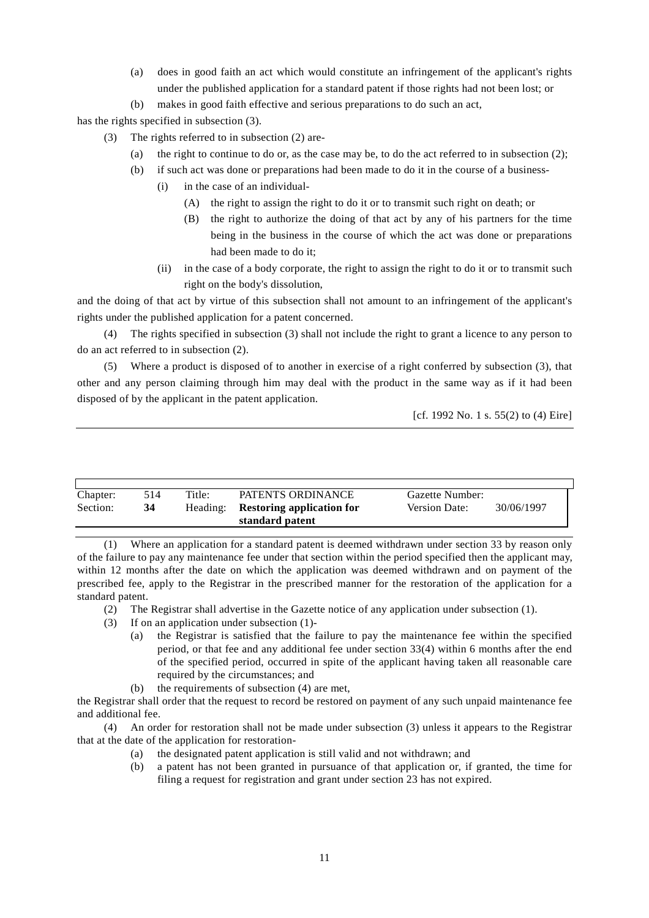- (a) does in good faith an act which would constitute an infringement of the applicant's rights under the published application for a standard patent if those rights had not been lost; or
- (b) makes in good faith effective and serious preparations to do such an act,

has the rights specified in subsection (3).

- (3) The rights referred to in subsection (2) are-
	- (a) the right to continue to do or, as the case may be, to do the act referred to in subsection (2);
	- (b) if such act was done or preparations had been made to do it in the course of a business-
		- (i) in the case of an individual-
			- (A) the right to assign the right to do it or to transmit such right on death; or
			- (B) the right to authorize the doing of that act by any of his partners for the time being in the business in the course of which the act was done or preparations had been made to do it;
			- (ii) in the case of a body corporate, the right to assign the right to do it or to transmit such right on the body's dissolution,

and the doing of that act by virtue of this subsection shall not amount to an infringement of the applicant's rights under the published application for a patent concerned.

(4) The rights specified in subsection (3) shall not include the right to grant a licence to any person to do an act referred to in subsection (2).

(5) Where a product is disposed of to another in exercise of a right conferred by subsection (3), that other and any person claiming through him may deal with the product in the same way as if it had been disposed of by the applicant in the patent application.

```
[cf. 1992 No. 1 s. 55(2) to (4) Eire]
```

| Chapter: | 514 | Title:   | PATENTS ORDINANCE                | Gazette Number:      |            |
|----------|-----|----------|----------------------------------|----------------------|------------|
| Section: | 34  | Heading: | <b>Restoring application for</b> | <b>Version Date:</b> | 30/06/1997 |
|          |     |          | standard patent                  |                      |            |

(1) Where an application for a standard patent is deemed withdrawn under section 33 by reason only of the failure to pay any maintenance fee under that section within the period specified then the applicant may, within 12 months after the date on which the application was deemed withdrawn and on payment of the prescribed fee, apply to the Registrar in the prescribed manner for the restoration of the application for a standard patent.

- (2) The Registrar shall advertise in the Gazette notice of any application under subsection (1).
- (3) If on an application under subsection (1)-
	- (a) the Registrar is satisfied that the failure to pay the maintenance fee within the specified period, or that fee and any additional fee under section 33(4) within 6 months after the end of the specified period, occurred in spite of the applicant having taken all reasonable care required by the circumstances; and
	- (b) the requirements of subsection (4) are met,

the Registrar shall order that the request to record be restored on payment of any such unpaid maintenance fee and additional fee.

(4) An order for restoration shall not be made under subsection (3) unless it appears to the Registrar that at the date of the application for restoration-

- (a) the designated patent application is still valid and not withdrawn; and
- (b) a patent has not been granted in pursuance of that application or, if granted, the time for filing a request for registration and grant under section 23 has not expired.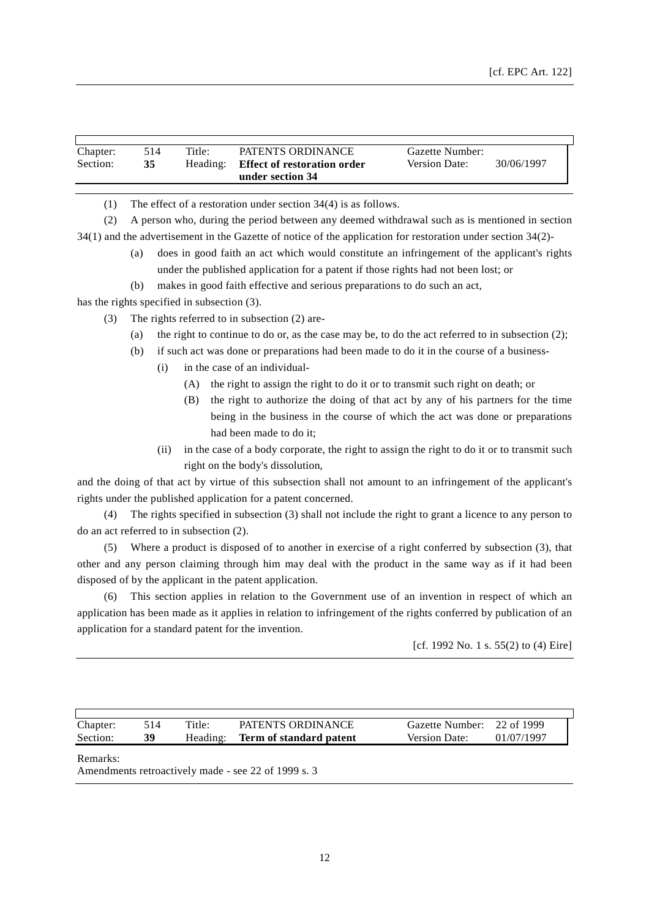| Chapter: | 514 | Title:   | PATENTS ORDINANCE                  | Gazette Number:      |            |
|----------|-----|----------|------------------------------------|----------------------|------------|
| Section: | 35  | Heading: | <b>Effect of restoration order</b> | <b>Version Date:</b> | 30/06/1997 |
|          |     |          | under section 34                   |                      |            |

(1) The effect of a restoration under section 34(4) is as follows.

(2) A person who, during the period between any deemed withdrawal such as is mentioned in section 34(1) and the advertisement in the Gazette of notice of the application for restoration under section 34(2)-

- (a) does in good faith an act which would constitute an infringement of the applicant's rights under the published application for a patent if those rights had not been lost; or
- (b) makes in good faith effective and serious preparations to do such an act,

has the rights specified in subsection (3).

- (3) The rights referred to in subsection (2) are-
	- (a) the right to continue to do or, as the case may be, to do the act referred to in subsection (2);
	- (b) if such act was done or preparations had been made to do it in the course of a business-
		- (i) in the case of an individual-
			- (A) the right to assign the right to do it or to transmit such right on death; or
			- (B) the right to authorize the doing of that act by any of his partners for the time being in the business in the course of which the act was done or preparations had been made to do it;
		- (ii) in the case of a body corporate, the right to assign the right to do it or to transmit such right on the body's dissolution,

and the doing of that act by virtue of this subsection shall not amount to an infringement of the applicant's rights under the published application for a patent concerned.

(4) The rights specified in subsection (3) shall not include the right to grant a licence to any person to do an act referred to in subsection (2).

(5) Where a product is disposed of to another in exercise of a right conferred by subsection (3), that other and any person claiming through him may deal with the product in the same way as if it had been disposed of by the applicant in the patent application.

(6) This section applies in relation to the Government use of an invention in respect of which an application has been made as it applies in relation to infringement of the rights conferred by publication of an application for a standard patent for the invention.

[cf. 1992 No. 1 s. 55(2) to (4) Eire]

| Chapter: |    | Title:   | PATENTS ORDINANCE       | Gazette Number: 22 of 1999 |            |  |
|----------|----|----------|-------------------------|----------------------------|------------|--|
| Section: | 39 | Heading: | Term of standard patent | <b>Version Date:</b>       | 01/07/1997 |  |
|          |    |          |                         |                            |            |  |

Remarks:

Amendments retroactively made - see 22 of 1999 s. 3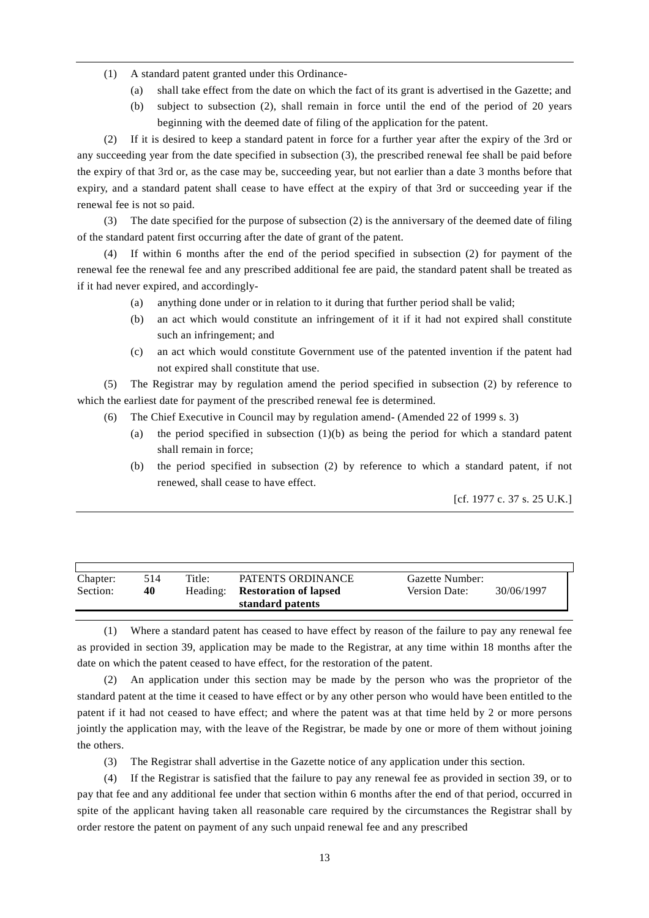- (1) A standard patent granted under this Ordinance-
	- (a) shall take effect from the date on which the fact of its grant is advertised in the Gazette; and
	- (b) subject to subsection (2), shall remain in force until the end of the period of 20 years beginning with the deemed date of filing of the application for the patent.

(2) If it is desired to keep a standard patent in force for a further year after the expiry of the 3rd or any succeeding year from the date specified in subsection (3), the prescribed renewal fee shall be paid before the expiry of that 3rd or, as the case may be, succeeding year, but not earlier than a date 3 months before that expiry, and a standard patent shall cease to have effect at the expiry of that 3rd or succeeding year if the renewal fee is not so paid.

(3) The date specified for the purpose of subsection (2) is the anniversary of the deemed date of filing of the standard patent first occurring after the date of grant of the patent.

If within 6 months after the end of the period specified in subsection (2) for payment of the renewal fee the renewal fee and any prescribed additional fee are paid, the standard patent shall be treated as if it had never expired, and accordingly-

- (a) anything done under or in relation to it during that further period shall be valid;
- (b) an act which would constitute an infringement of it if it had not expired shall constitute such an infringement; and
- (c) an act which would constitute Government use of the patented invention if the patent had not expired shall constitute that use.

(5) The Registrar may by regulation amend the period specified in subsection (2) by reference to which the earliest date for payment of the prescribed renewal fee is determined.

- (6) The Chief Executive in Council may by regulation amend- (Amended 22 of 1999 s. 3)
	- (a) the period specified in subsection  $(1)(b)$  as being the period for which a standard patent shall remain in force;
	- (b) the period specified in subsection (2) by reference to which a standard patent, if not renewed, shall cease to have effect.

[cf. 1977 c. 37 s. 25 U.K.]

| Chapter: | 514 | Title:   | PATENTS ORDINANCE            | Gazette Number: |            |
|----------|-----|----------|------------------------------|-----------------|------------|
| Section: | 40  | Heading: | <b>Restoration of lapsed</b> | Version Date:   | 30/06/1997 |
|          |     |          | standard patents             |                 |            |

(1) Where a standard patent has ceased to have effect by reason of the failure to pay any renewal fee as provided in section 39, application may be made to the Registrar, at any time within 18 months after the date on which the patent ceased to have effect, for the restoration of the patent.

(2) An application under this section may be made by the person who was the proprietor of the standard patent at the time it ceased to have effect or by any other person who would have been entitled to the patent if it had not ceased to have effect; and where the patent was at that time held by 2 or more persons jointly the application may, with the leave of the Registrar, be made by one or more of them without joining the others.

(3) The Registrar shall advertise in the Gazette notice of any application under this section.

(4) If the Registrar is satisfied that the failure to pay any renewal fee as provided in section 39, or to pay that fee and any additional fee under that section within 6 months after the end of that period, occurred in spite of the applicant having taken all reasonable care required by the circumstances the Registrar shall by order restore the patent on payment of any such unpaid renewal fee and any prescribed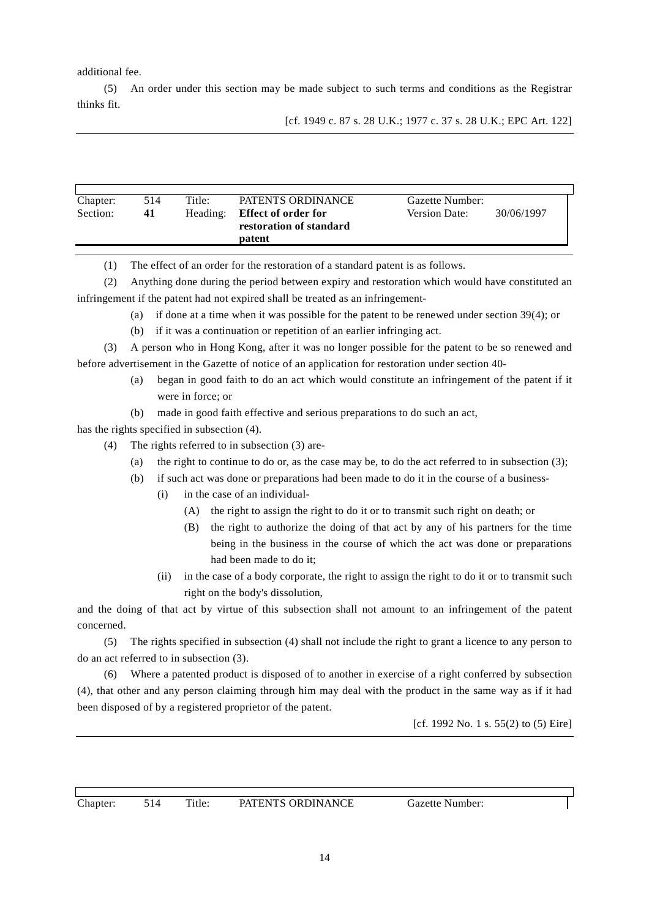additional fee.

(5) An order under this section may be made subject to such terms and conditions as the Registrar thinks fit.

| Chapter: | 514 | Title:   | PATENTS ORDINANCE          | Gazette Number:      |            |
|----------|-----|----------|----------------------------|----------------------|------------|
| Section: | 41  | Heading: | <b>Effect of order for</b> | <b>Version Date:</b> | 30/06/1997 |
|          |     |          | restoration of standard    |                      |            |
|          |     |          | patent                     |                      |            |

(1) The effect of an order for the restoration of a standard patent is as follows.

(2) Anything done during the period between expiry and restoration which would have constituted an infringement if the patent had not expired shall be treated as an infringement-

- (a) if done at a time when it was possible for the patent to be renewed under section 39(4); or
- (b) if it was a continuation or repetition of an earlier infringing act.

(3) A person who in Hong Kong, after it was no longer possible for the patent to be so renewed and before advertisement in the Gazette of notice of an application for restoration under section 40-

- (a) began in good faith to do an act which would constitute an infringement of the patent if it were in force; or
- (b) made in good faith effective and serious preparations to do such an act,

has the rights specified in subsection (4).

- (4) The rights referred to in subsection (3) are-
	- (a) the right to continue to do or, as the case may be, to do the act referred to in subsection (3);
	- (b) if such act was done or preparations had been made to do it in the course of a business-
		- (i) in the case of an individual-
			- (A) the right to assign the right to do it or to transmit such right on death; or
			- (B) the right to authorize the doing of that act by any of his partners for the time being in the business in the course of which the act was done or preparations had been made to do it;
		- (ii) in the case of a body corporate, the right to assign the right to do it or to transmit such right on the body's dissolution,

and the doing of that act by virtue of this subsection shall not amount to an infringement of the patent concerned.

(5) The rights specified in subsection (4) shall not include the right to grant a licence to any person to do an act referred to in subsection (3).

(6) Where a patented product is disposed of to another in exercise of a right conferred by subsection (4), that other and any person claiming through him may deal with the product in the same way as if it had been disposed of by a registered proprietor of the patent.

[cf. 1992 No. 1 s. 55(2) to (5) Eire]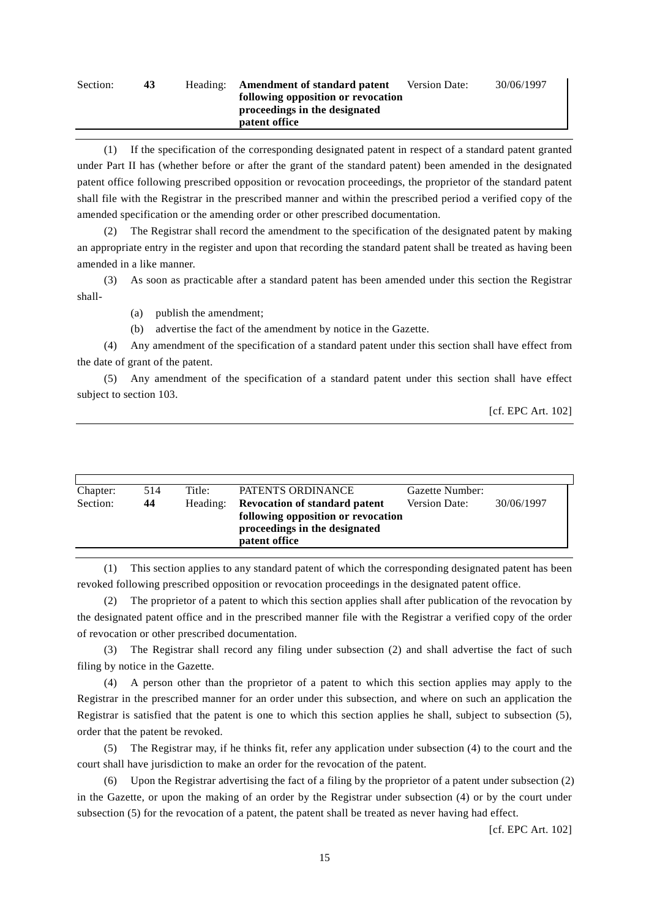#### Section: **43** Heading: **Amendment of standard patent following opposition or revocation proceedings in the designated patent office** Version Date: 30/06/1997

(1) If the specification of the corresponding designated patent in respect of a standard patent granted under Part II has (whether before or after the grant of the standard patent) been amended in the designated patent office following prescribed opposition or revocation proceedings, the proprietor of the standard patent shall file with the Registrar in the prescribed manner and within the prescribed period a verified copy of the amended specification or the amending order or other prescribed documentation.

(2) The Registrar shall record the amendment to the specification of the designated patent by making an appropriate entry in the register and upon that recording the standard patent shall be treated as having been amended in a like manner.

(3) As soon as practicable after a standard patent has been amended under this section the Registrar shall-

(a) publish the amendment;

(b) advertise the fact of the amendment by notice in the Gazette.

(4) Any amendment of the specification of a standard patent under this section shall have effect from the date of grant of the patent.

(5) Any amendment of the specification of a standard patent under this section shall have effect subject to section 103.

[cf. EPC Art. 102]

| Chapter: | 514 | Title:   | PATENTS ORDINANCE                                                          | Gazette Number:      |            |
|----------|-----|----------|----------------------------------------------------------------------------|----------------------|------------|
| Section: | 44  | Heading: | <b>Revocation of standard patent</b><br>following opposition or revocation | <b>Version Date:</b> | 30/06/1997 |
|          |     |          | proceedings in the designated<br>patent office                             |                      |            |

(1) This section applies to any standard patent of which the corresponding designated patent has been revoked following prescribed opposition or revocation proceedings in the designated patent office.

(2) The proprietor of a patent to which this section applies shall after publication of the revocation by the designated patent office and in the prescribed manner file with the Registrar a verified copy of the order of revocation or other prescribed documentation.

(3) The Registrar shall record any filing under subsection (2) and shall advertise the fact of such filing by notice in the Gazette.

(4) A person other than the proprietor of a patent to which this section applies may apply to the Registrar in the prescribed manner for an order under this subsection, and where on such an application the Registrar is satisfied that the patent is one to which this section applies he shall, subject to subsection (5), order that the patent be revoked.

(5) The Registrar may, if he thinks fit, refer any application under subsection (4) to the court and the court shall have jurisdiction to make an order for the revocation of the patent.

(6) Upon the Registrar advertising the fact of a filing by the proprietor of a patent under subsection (2) in the Gazette, or upon the making of an order by the Registrar under subsection (4) or by the court under subsection (5) for the revocation of a patent, the patent shall be treated as never having had effect.

[cf. EPC Art. 102]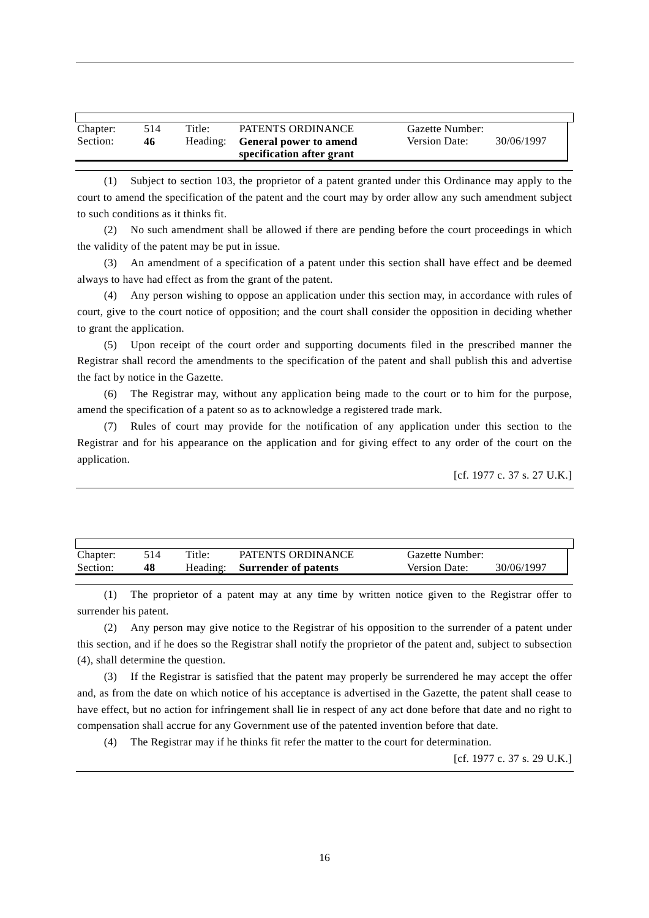| Chapter:<br>Title:<br>PATENTS ORDINANCE<br>514<br>Gazette Number:<br>Section:<br><b>Version Date:</b><br>Heading:<br><b>General power to amend</b><br>46<br>specification after grant | 30/06/1997 |
|---------------------------------------------------------------------------------------------------------------------------------------------------------------------------------------|------------|
|---------------------------------------------------------------------------------------------------------------------------------------------------------------------------------------|------------|

(1) Subject to section 103, the proprietor of a patent granted under this Ordinance may apply to the court to amend the specification of the patent and the court may by order allow any such amendment subject to such conditions as it thinks fit.

(2) No such amendment shall be allowed if there are pending before the court proceedings in which the validity of the patent may be put in issue.

(3) An amendment of a specification of a patent under this section shall have effect and be deemed always to have had effect as from the grant of the patent.

(4) Any person wishing to oppose an application under this section may, in accordance with rules of court, give to the court notice of opposition; and the court shall consider the opposition in deciding whether to grant the application.

(5) Upon receipt of the court order and supporting documents filed in the prescribed manner the Registrar shall record the amendments to the specification of the patent and shall publish this and advertise the fact by notice in the Gazette.

(6) The Registrar may, without any application being made to the court or to him for the purpose, amend the specification of a patent so as to acknowledge a registered trade mark.

(7) Rules of court may provide for the notification of any application under this section to the Registrar and for his appearance on the application and for giving effect to any order of the court on the application.

```
[cf. 1977 c. 37 s. 27 U.K.]
```

| Chapter: | 514. | Title: | PATENTS ORDINANCE             | Gazette Number: |            |
|----------|------|--------|-------------------------------|-----------------|------------|
| Section: | 48   |        | Heading: Surrender of patents | Version Date:   | 30/06/1997 |

(1) The proprietor of a patent may at any time by written notice given to the Registrar offer to surrender his patent.

(2) Any person may give notice to the Registrar of his opposition to the surrender of a patent under this section, and if he does so the Registrar shall notify the proprietor of the patent and, subject to subsection (4), shall determine the question.

(3) If the Registrar is satisfied that the patent may properly be surrendered he may accept the offer and, as from the date on which notice of his acceptance is advertised in the Gazette, the patent shall cease to have effect, but no action for infringement shall lie in respect of any act done before that date and no right to compensation shall accrue for any Government use of the patented invention before that date.

(4) The Registrar may if he thinks fit refer the matter to the court for determination.

[cf. 1977 c. 37 s. 29 U.K.]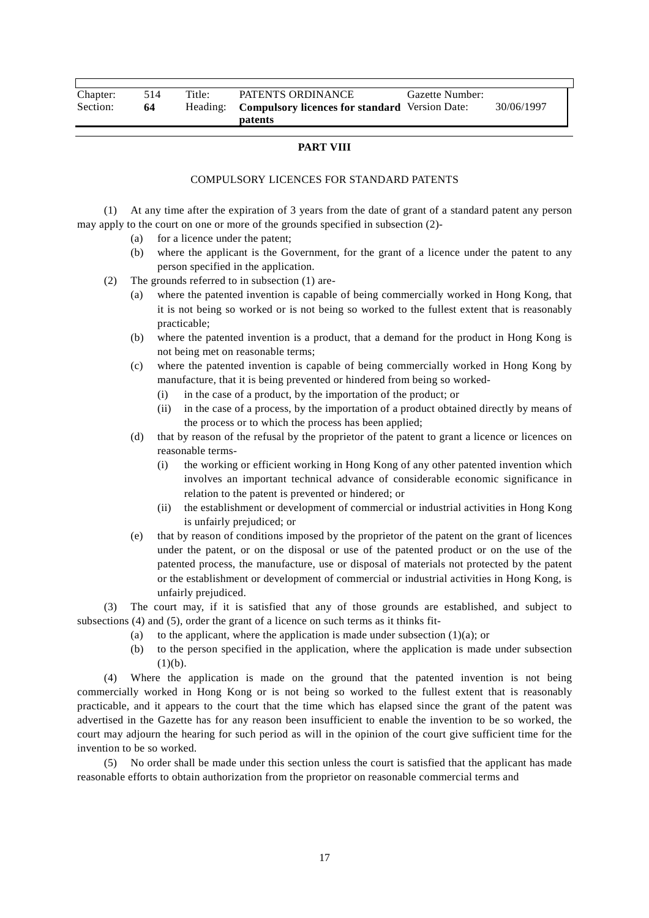| Chapter: | 514 | Title: | PATENTS ORDINANCE                                       | Gazette Number: |            |
|----------|-----|--------|---------------------------------------------------------|-----------------|------------|
| Section: | 64  |        | Heading: Compulsory licences for standard Version Date: |                 | 30/06/1997 |
|          |     |        | patents                                                 |                 |            |

#### **PART VIII**

#### COMPULSORY LICENCES FOR STANDARD PATENTS

(1) At any time after the expiration of 3 years from the date of grant of a standard patent any person may apply to the court on one or more of the grounds specified in subsection (2)-

- (a) for a licence under the patent;
- (b) where the applicant is the Government, for the grant of a licence under the patent to any person specified in the application.
- (2) The grounds referred to in subsection (1) are-
	- (a) where the patented invention is capable of being commercially worked in Hong Kong, that it is not being so worked or is not being so worked to the fullest extent that is reasonably practicable;
	- (b) where the patented invention is a product, that a demand for the product in Hong Kong is not being met on reasonable terms;
	- (c) where the patented invention is capable of being commercially worked in Hong Kong by manufacture, that it is being prevented or hindered from being so worked-
		- (i) in the case of a product, by the importation of the product; or
		- (ii) in the case of a process, by the importation of a product obtained directly by means of the process or to which the process has been applied;
	- (d) that by reason of the refusal by the proprietor of the patent to grant a licence or licences on reasonable terms-
		- (i) the working or efficient working in Hong Kong of any other patented invention which involves an important technical advance of considerable economic significance in relation to the patent is prevented or hindered; or
		- (ii) the establishment or development of commercial or industrial activities in Hong Kong is unfairly prejudiced; or
	- (e) that by reason of conditions imposed by the proprietor of the patent on the grant of licences under the patent, or on the disposal or use of the patented product or on the use of the patented process, the manufacture, use or disposal of materials not protected by the patent or the establishment or development of commercial or industrial activities in Hong Kong, is unfairly prejudiced.

(3) The court may, if it is satisfied that any of those grounds are established, and subject to subsections (4) and (5), order the grant of a licence on such terms as it thinks fit-

- (a) to the applicant, where the application is made under subsection  $(1)(a)$ ; or
- (b) to the person specified in the application, where the application is made under subsection  $(1)(b)$ .

(4) Where the application is made on the ground that the patented invention is not being commercially worked in Hong Kong or is not being so worked to the fullest extent that is reasonably practicable, and it appears to the court that the time which has elapsed since the grant of the patent was advertised in the Gazette has for any reason been insufficient to enable the invention to be so worked, the court may adjourn the hearing for such period as will in the opinion of the court give sufficient time for the invention to be so worked.

(5) No order shall be made under this section unless the court is satisfied that the applicant has made reasonable efforts to obtain authorization from the proprietor on reasonable commercial terms and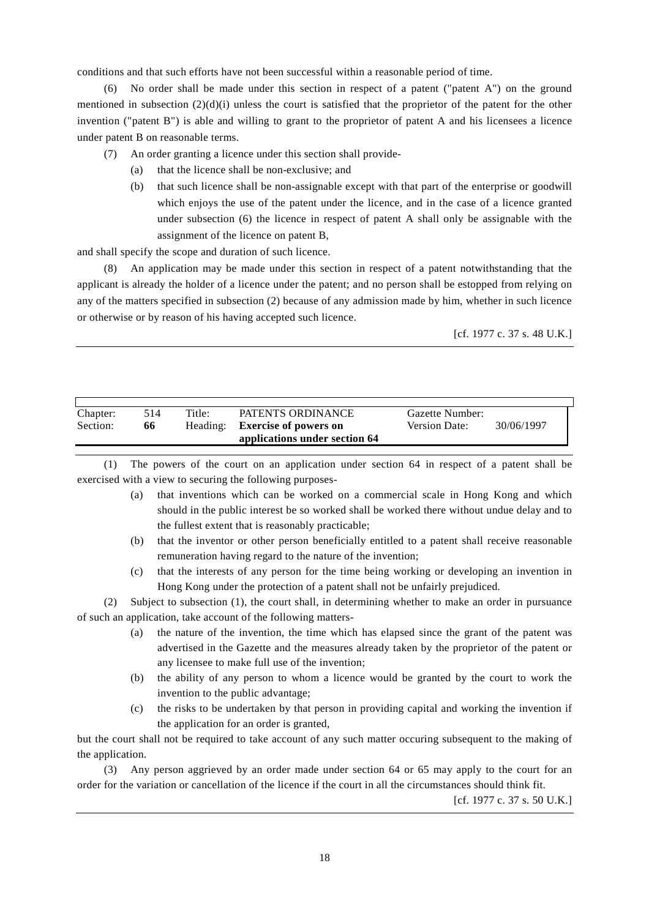conditions and that such efforts have not been successful within a reasonable period of time.

(6) No order shall be made under this section in respect of a patent ("patent A") on the ground mentioned in subsection  $(2)(d)(i)$  unless the court is satisfied that the proprietor of the patent for the other invention ("patent B") is able and willing to grant to the proprietor of patent A and his licensees a licence under patent B on reasonable terms.

- (7) An order granting a licence under this section shall provide-
	- (a) that the licence shall be non-exclusive; and
	- (b) that such licence shall be non-assignable except with that part of the enterprise or goodwill which enjoys the use of the patent under the licence, and in the case of a licence granted under subsection (6) the licence in respect of patent A shall only be assignable with the assignment of the licence on patent B,

and shall specify the scope and duration of such licence.

An application may be made under this section in respect of a patent notwithstanding that the applicant is already the holder of a licence under the patent; and no person shall be estopped from relying on any of the matters specified in subsection (2) because of any admission made by him, whether in such licence or otherwise or by reason of his having accepted such licence.

[cf. 1977 c. 37 s. 48 U.K.]

| 66 | Heading: | <b>Exercise of powers on</b>  | Version Date:     | 30/06/1997      |
|----|----------|-------------------------------|-------------------|-----------------|
|    |          | applications under section 64 |                   |                 |
|    | 514      | Title:                        | PATENTS ORDINANCE | Gazette Number: |

(1) The powers of the court on an application under section 64 in respect of a patent shall be exercised with a view to securing the following purposes-

- (a) that inventions which can be worked on a commercial scale in Hong Kong and which should in the public interest be so worked shall be worked there without undue delay and to the fullest extent that is reasonably practicable;
- (b) that the inventor or other person beneficially entitled to a patent shall receive reasonable remuneration having regard to the nature of the invention;
- (c) that the interests of any person for the time being working or developing an invention in Hong Kong under the protection of a patent shall not be unfairly prejudiced.

(2) Subject to subsection (1), the court shall, in determining whether to make an order in pursuance of such an application, take account of the following matters-

- (a) the nature of the invention, the time which has elapsed since the grant of the patent was advertised in the Gazette and the measures already taken by the proprietor of the patent or any licensee to make full use of the invention;
- (b) the ability of any person to whom a licence would be granted by the court to work the invention to the public advantage;
- (c) the risks to be undertaken by that person in providing capital and working the invention if the application for an order is granted,

but the court shall not be required to take account of any such matter occuring subsequent to the making of the application.

(3) Any person aggrieved by an order made under section 64 or 65 may apply to the court for an order for the variation or cancellation of the licence if the court in all the circumstances should think fit.

[cf. 1977 c. 37 s. 50 U.K.]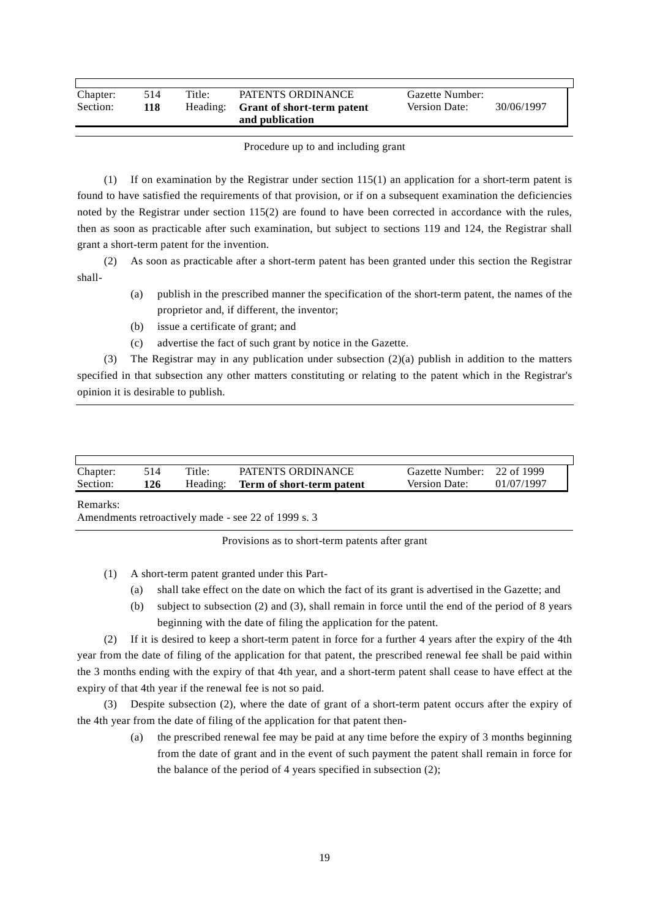| Chapter: | 514 | Title: | PATENTS ORDINANCE                   | Gazette Number: |            |  |
|----------|-----|--------|-------------------------------------|-----------------|------------|--|
| Section: | 118 |        | Heading: Grant of short-term patent | Version Date:   | 30/06/1997 |  |
|          |     |        | and publication                     |                 |            |  |

#### Procedure up to and including grant

(1) If on examination by the Registrar under section 115(1) an application for a short-term patent is found to have satisfied the requirements of that provision, or if on a subsequent examination the deficiencies noted by the Registrar under section 115(2) are found to have been corrected in accordance with the rules, then as soon as practicable after such examination, but subject to sections 119 and 124, the Registrar shall grant a short-term patent for the invention.

(2) As soon as practicable after a short-term patent has been granted under this section the Registrar shall-

- (a) publish in the prescribed manner the specification of the short-term patent, the names of the proprietor and, if different, the inventor;
- (b) issue a certificate of grant; and
- (c) advertise the fact of such grant by notice in the Gazette.

(3) The Registrar may in any publication under subsection  $(2)(a)$  publish in addition to the matters specified in that subsection any other matters constituting or relating to the patent which in the Registrar's opinion it is desirable to publish.

| Chapter: | 514. | Title:   | PATENTS ORDINANCE         | Gazette Number: 22 of 1999 |            |
|----------|------|----------|---------------------------|----------------------------|------------|
| Section: | l 26 | Heading: | Term of short-term patent | <b>Version Date:</b>       | 01/07/1997 |

#### Remarks:

Amendments retroactively made - see 22 of 1999 s. 3

Provisions as to short-term patents after grant

(1) A short-term patent granted under this Part-

- (a) shall take effect on the date on which the fact of its grant is advertised in the Gazette; and
- (b) subject to subsection (2) and (3), shall remain in force until the end of the period of 8 years beginning with the date of filing the application for the patent.

(2) If it is desired to keep a short-term patent in force for a further 4 years after the expiry of the 4th year from the date of filing of the application for that patent, the prescribed renewal fee shall be paid within the 3 months ending with the expiry of that 4th year, and a short-term patent shall cease to have effect at the expiry of that 4th year if the renewal fee is not so paid.

(3) Despite subsection (2), where the date of grant of a short-term patent occurs after the expiry of the 4th year from the date of filing of the application for that patent then-

> (a) the prescribed renewal fee may be paid at any time before the expiry of 3 months beginning from the date of grant and in the event of such payment the patent shall remain in force for the balance of the period of 4 years specified in subsection (2);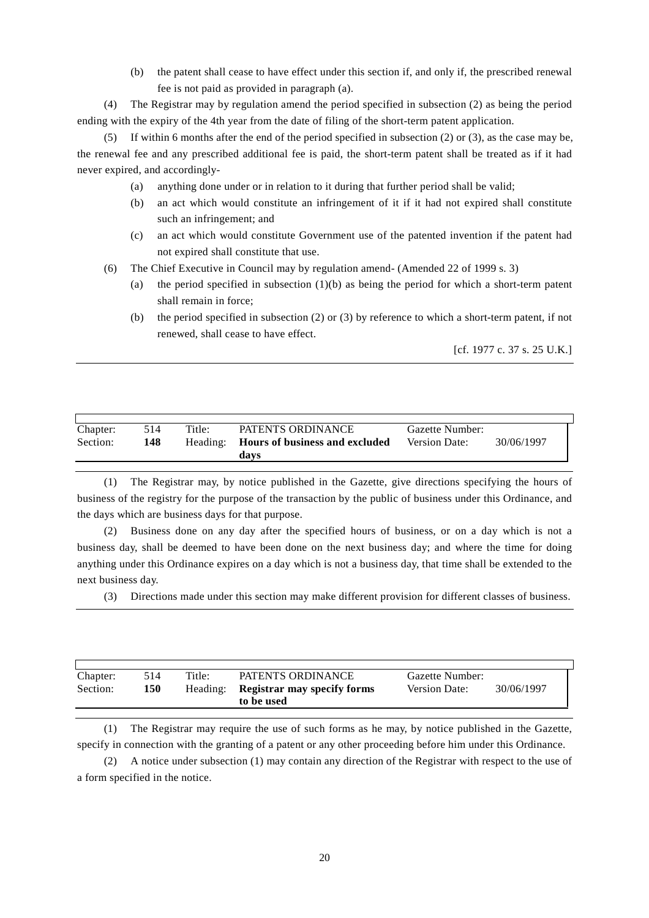(b) the patent shall cease to have effect under this section if, and only if, the prescribed renewal fee is not paid as provided in paragraph (a).

(4) The Registrar may by regulation amend the period specified in subsection (2) as being the period ending with the expiry of the 4th year from the date of filing of the short-term patent application.

(5) If within 6 months after the end of the period specified in subsection (2) or (3), as the case may be, the renewal fee and any prescribed additional fee is paid, the short-term patent shall be treated as if it had never expired, and accordingly-

- (a) anything done under or in relation to it during that further period shall be valid;
- (b) an act which would constitute an infringement of it if it had not expired shall constitute such an infringement; and
- (c) an act which would constitute Government use of the patented invention if the patent had not expired shall constitute that use.
- (6) The Chief Executive in Council may by regulation amend- (Amended 22 of 1999 s. 3)
	- (a) the period specified in subsection  $(1)(b)$  as being the period for which a short-term patent shall remain in force;
	- (b) the period specified in subsection (2) or (3) by reference to which a short-term patent, if not renewed, shall cease to have effect.

[cf. 1977 c. 37 s. 25 U.K.]

| Chapter: | 514 | Title:   | PATENTS ORDINANCE              | Gazette Number:      |            |
|----------|-----|----------|--------------------------------|----------------------|------------|
| Section: | 148 | Heading: | Hours of business and excluded | <b>Version Date:</b> | 30/06/1997 |
|          |     |          | davs                           |                      |            |

(1) The Registrar may, by notice published in the Gazette, give directions specifying the hours of business of the registry for the purpose of the transaction by the public of business under this Ordinance, and the days which are business days for that purpose.

(2) Business done on any day after the specified hours of business, or on a day which is not a business day, shall be deemed to have been done on the next business day; and where the time for doing anything under this Ordinance expires on a day which is not a business day, that time shall be extended to the next business day.

(3) Directions made under this section may make different provision for different classes of business.

| Chapter: | 514 | Title:   | PATENTS ORDINANCE                                | Gazette Number:      |            |
|----------|-----|----------|--------------------------------------------------|----------------------|------------|
| Section: | 150 | Heading: | <b>Registrar may specify forms</b><br>to be used | <b>Version Date:</b> | 30/06/1997 |

(1) The Registrar may require the use of such forms as he may, by notice published in the Gazette, specify in connection with the granting of a patent or any other proceeding before him under this Ordinance.

(2) A notice under subsection (1) may contain any direction of the Registrar with respect to the use of a form specified in the notice.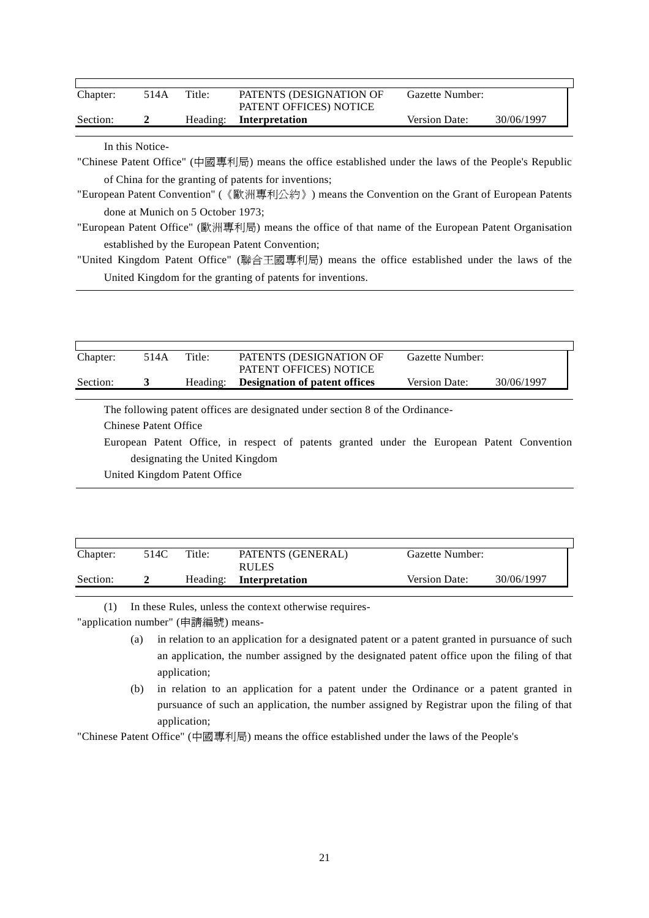| Chapter:<br>Section: | 514A            | Title:                            | PATENTS (DESIGNATION OF<br>PATENT OFFICES) NOTICE                                                    | Gazette Number:      |            |  |
|----------------------|-----------------|-----------------------------------|------------------------------------------------------------------------------------------------------|----------------------|------------|--|
|                      | $\mathbf{2}$    | Heading:                          | Interpretation                                                                                       | <b>Version Date:</b> | 30/06/1997 |  |
|                      |                 |                                   |                                                                                                      |                      |            |  |
|                      | In this Notice- |                                   |                                                                                                      |                      |            |  |
|                      |                 |                                   | "Chinese Patent Office" (中國專利局) means the office established under the laws of the People's Republic |                      |            |  |
|                      |                 |                                   | of China for the granting of patents for inventions;                                                 |                      |            |  |
|                      |                 |                                   | "European Patent Convention" (《歐洲專利公約》) means the Convention on the Grant of European Patents        |                      |            |  |
|                      |                 | done at Munich on 5 October 1973; |                                                                                                      |                      |            |  |
|                      |                 |                                   | "European Patent Office" (歐洲專利局) means the office of that name of the European Patent Organisation   |                      |            |  |
|                      |                 |                                   | established by the European Patent Convention;                                                       |                      |            |  |
|                      |                 |                                   | "United Kingdom Patent Office" (腦合王國專利局) means the office established under the laws of the          |                      |            |  |

 $\operatorname*{gdom}% \left( V\right) =\operatorname*{gdom}$  Patent Office" (聯合土國專利局) United Kingdom for the granting of patents for inventions.

| Chapter: | 514A | Title: | PATENTS (DESIGNATION OF<br>PATENT OFFICES) NOTICE | Gazette Number:      |            |  |
|----------|------|--------|---------------------------------------------------|----------------------|------------|--|
| Section: |      |        | Heading: Designation of patent offices            | <b>Version Date:</b> | 30/06/1997 |  |

The following patent offices are designated under section 8 of the Ordinance-

Chinese Patent Office

European Patent Office, in respect of patents granted under the European Patent Convention designating the United Kingdom

United Kingdom Patent Office

| Chapter: | 514C | Title: | PATENTS (GENERAL)<br><b>RULES</b> | Gazette Number:      |            |
|----------|------|--------|-----------------------------------|----------------------|------------|
| Section: |      |        | Heading: Interpretation           | <b>Version Date:</b> | 30/06/1997 |

(1) In these Rules, unless the context otherwise requires- "application number" (申請編號) means-

- (a) in relation to an application for a designated patent or a patent granted in pursuance of such an application, the number assigned by the designated patent office upon the filing of that application;
- (b) in relation to an application for a patent under the Ordinance or a patent granted in pursuance of such an application, the number assigned by Registrar upon the filing of that application;

"Chinese Patent Office" (中國專利局) means the office established under the laws of the People's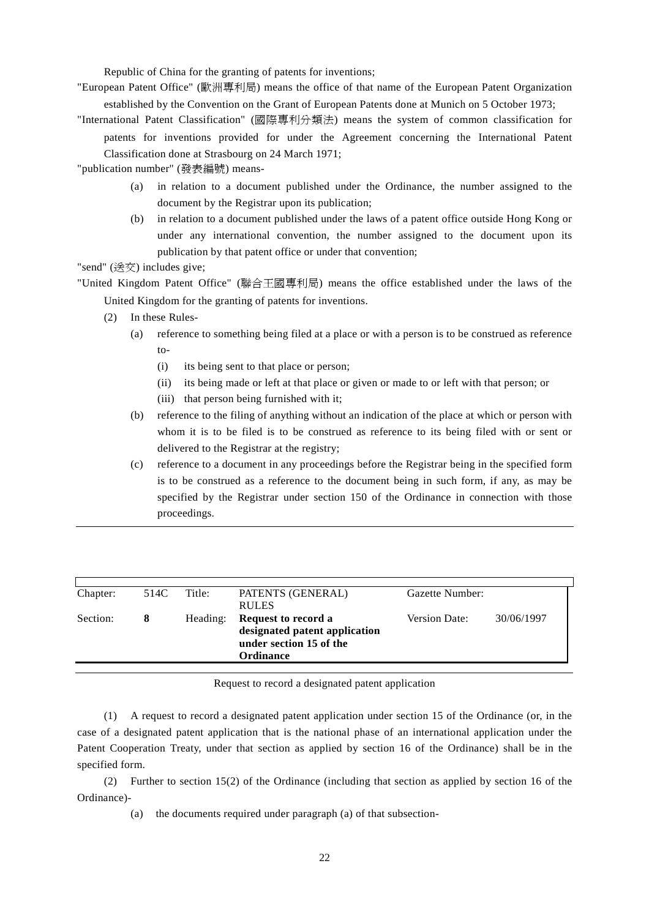Republic of China for the granting of patents for inventions;

"European Patent Office" (歐洲專利局) means the office of that name of the European Patent Organization established by the Convention on the Grant of European Patents done at Munich on 5 October 1973;

"International Patent Classification" (國際專利分類法) means the system of common classification for patents for inventions provided for under the Agreement concerning the International Patent Classification done at Strasbourg on 24 March 1971;

"publication number" (發表編號) means-

- (a) in relation to a document published under the Ordinance, the number assigned to the document by the Registrar upon its publication;
- (b) in relation to a document published under the laws of a patent office outside Hong Kong or under any international convention, the number assigned to the document upon its publication by that patent office or under that convention;

"send" (送交) includes give;

"United Kingdom Patent Office" (聯合王國專利局) means the office established under the laws of the United Kingdom for the granting of patents for inventions.

- (2) In these Rules-
	- (a) reference to something being filed at a place or with a person is to be construed as reference to-
		- (i) its being sent to that place or person;
		- (ii) its being made or left at that place or given or made to or left with that person; or
		- (iii) that person being furnished with it;
	- (b) reference to the filing of anything without an indication of the place at which or person with whom it is to be filed is to be construed as reference to its being filed with or sent or delivered to the Registrar at the registry;
	- (c) reference to a document in any proceedings before the Registrar being in the specified form is to be construed as a reference to the document being in such form, if any, as may be specified by the Registrar under section 150 of the Ordinance in connection with those proceedings.

| Chapter: | 514C | Title:   | PATENTS (GENERAL)<br><b>RULES</b>                                                                   | Gazette Number: |            |
|----------|------|----------|-----------------------------------------------------------------------------------------------------|-----------------|------------|
| Section: | x    | Heading: | Request to record a<br>designated patent application<br>under section 15 of the<br><b>Ordinance</b> | Version Date:   | 30/06/1997 |

Request to record a designated patent application

(1) A request to record a designated patent application under section 15 of the Ordinance (or, in the case of a designated patent application that is the national phase of an international application under the Patent Cooperation Treaty, under that section as applied by section 16 of the Ordinance) shall be in the specified form.

(2) Further to section 15(2) of the Ordinance (including that section as applied by section 16 of the Ordinance)-

(a) the documents required under paragraph (a) of that subsection-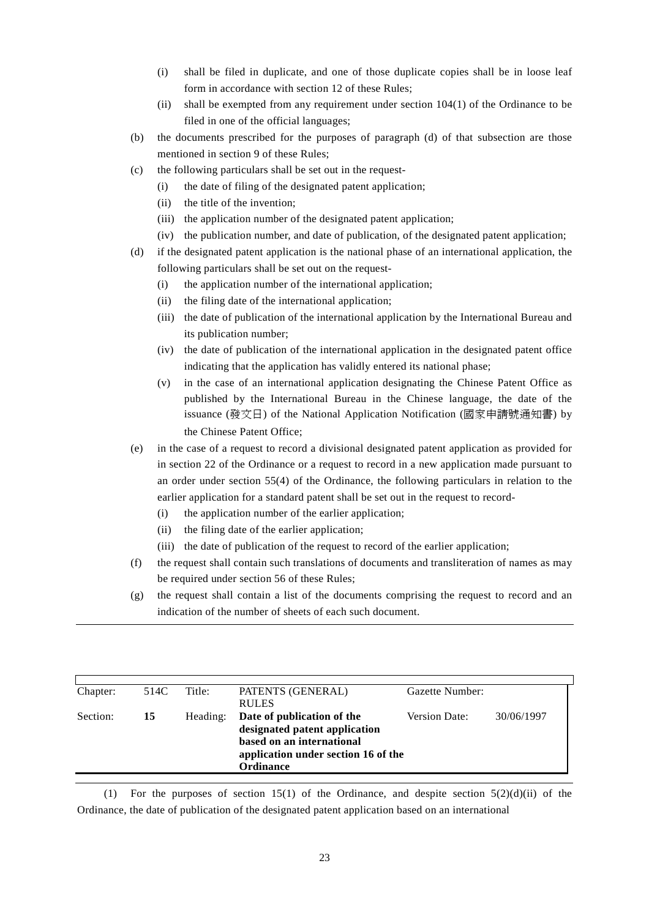- (i) shall be filed in duplicate, and one of those duplicate copies shall be in loose leaf form in accordance with section 12 of these Rules;
- (ii) shall be exempted from any requirement under section 104(1) of the Ordinance to be filed in one of the official languages;
- (b) the documents prescribed for the purposes of paragraph (d) of that subsection are those mentioned in section 9 of these Rules;
- (c) the following particulars shall be set out in the request-
	- (i) the date of filing of the designated patent application;
	- (ii) the title of the invention;
	- (iii) the application number of the designated patent application;
	- (iv) the publication number, and date of publication, of the designated patent application;
- (d) if the designated patent application is the national phase of an international application, the following particulars shall be set out on the request-
	- (i) the application number of the international application;
	- (ii) the filing date of the international application;
	- (iii) the date of publication of the international application by the International Bureau and its publication number;
	- (iv) the date of publication of the international application in the designated patent office indicating that the application has validly entered its national phase;
	- (v) in the case of an international application designating the Chinese Patent Office as published by the International Bureau in the Chinese language, the date of the issuance (發文日) of the National Application Notification (國家申請號通知書) by the Chinese Patent Office;
- (e) in the case of a request to record a divisional designated patent application as provided for in section 22 of the Ordinance or a request to record in a new application made pursuant to an order under section 55(4) of the Ordinance, the following particulars in relation to the earlier application for a standard patent shall be set out in the request to record-
	- (i) the application number of the earlier application;
	- (ii) the filing date of the earlier application;
	- (iii) the date of publication of the request to record of the earlier application;
- (f) the request shall contain such translations of documents and transliteration of names as may be required under section 56 of these Rules;
- (g) the request shall contain a list of the documents comprising the request to record and an indication of the number of sheets of each such document.

| Chapter: | 514C | Title:   | PATENTS (GENERAL)                   | Gazette Number: |            |
|----------|------|----------|-------------------------------------|-----------------|------------|
|          |      |          | <b>RULES</b>                        |                 |            |
| Section: | 15   | Heading: | Date of publication of the          | Version Date:   | 30/06/1997 |
|          |      |          | designated patent application       |                 |            |
|          |      |          | based on an international           |                 |            |
|          |      |          | application under section 16 of the |                 |            |
|          |      |          | <b>Ordinance</b>                    |                 |            |
|          |      |          |                                     |                 |            |

(1) For the purposes of section 15(1) of the Ordinance, and despite section  $5(2)(d)(ii)$  of the Ordinance, the date of publication of the designated patent application based on an international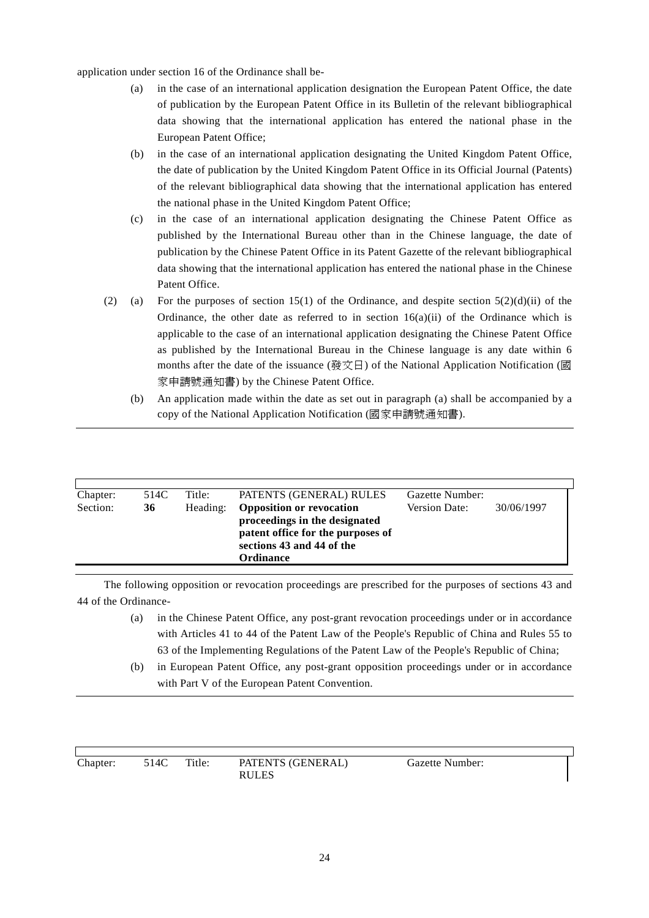application under section 16 of the Ordinance shall be-

- (a) in the case of an international application designation the European Patent Office, the date of publication by the European Patent Office in its Bulletin of the relevant bibliographical data showing that the international application has entered the national phase in the European Patent Office;
- (b) in the case of an international application designating the United Kingdom Patent Office, the date of publication by the United Kingdom Patent Office in its Official Journal (Patents) of the relevant bibliographical data showing that the international application has entered the national phase in the United Kingdom Patent Office;
- (c) in the case of an international application designating the Chinese Patent Office as published by the International Bureau other than in the Chinese language, the date of publication by the Chinese Patent Office in its Patent Gazette of the relevant bibliographical data showing that the international application has entered the national phase in the Chinese Patent Office.
- (2) (a) For the purposes of section 15(1) of the Ordinance, and despite section 5(2)(d)(ii) of the Ordinance, the other date as referred to in section  $16(a)(ii)$  of the Ordinance which is applicable to the case of an international application designating the Chinese Patent Office as published by the International Bureau in the Chinese language is any date within 6 months after the date of the issuance (發文日) of the National Application Notification (國 家申請號通知書) by the Chinese Patent Office.
	- (b) An application made within the date as set out in paragraph (a) shall be accompanied by a copy of the National Application Notification (國家申請號通知書).

| Chapter: | 514C | Title: . | PATENTS (GENERAL) RULES           | Gazette Number:      |            |  |
|----------|------|----------|-----------------------------------|----------------------|------------|--|
| Section: | 36   | Heading: | <b>Opposition or revocation</b>   | <b>Version Date:</b> | 30/06/1997 |  |
|          |      |          | proceedings in the designated     |                      |            |  |
|          |      |          | patent office for the purposes of |                      |            |  |
|          |      |          | sections 43 and 44 of the         |                      |            |  |
|          |      |          | <b>Ordinance</b>                  |                      |            |  |
|          |      |          |                                   |                      |            |  |

The following opposition or revocation proceedings are prescribed for the purposes of sections 43 and 44 of the Ordinance-

- (a) in the Chinese Patent Office, any post-grant revocation proceedings under or in accordance with Articles 41 to 44 of the Patent Law of the People's Republic of China and Rules 55 to 63 of the Implementing Regulations of the Patent Law of the People's Republic of China;
- (b) in European Patent Office, any post-grant opposition proceedings under or in accordance with Part V of the European Patent Convention.

| Chapter: | 514C | Title: | PATENTS (GENERAL)<br><b>RULES</b> | Gazette Number: |
|----------|------|--------|-----------------------------------|-----------------|
|          |      |        |                                   |                 |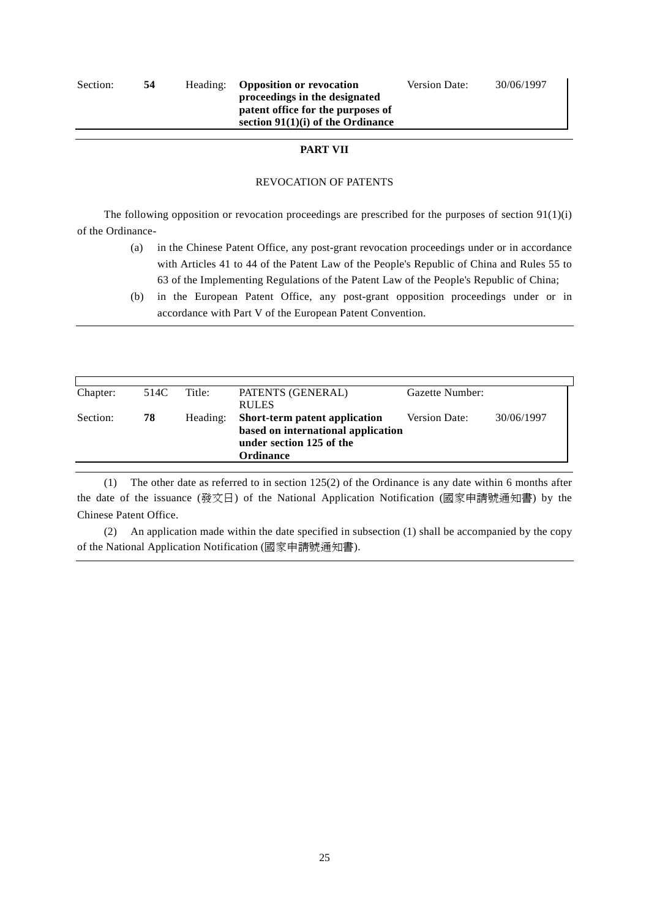#### **PART VII**

#### REVOCATION OF PATENTS

The following opposition or revocation proceedings are prescribed for the purposes of section  $91(1)(i)$ of the Ordinance-

- (a) in the Chinese Patent Office, any post-grant revocation proceedings under or in accordance with Articles 41 to 44 of the Patent Law of the People's Republic of China and Rules 55 to 63 of the Implementing Regulations of the Patent Law of the People's Republic of China;
- (b) in the European Patent Office, any post-grant opposition proceedings under or in accordance with Part V of the European Patent Convention.

| 514C | Title:   | PATENTS (GENERAL)                  |                      |                 |
|------|----------|------------------------------------|----------------------|-----------------|
|      |          | <b>RULES</b>                       |                      |                 |
| 78   | Heading: | Short-term patent application      | <b>Version Date:</b> | 30/06/1997      |
|      |          | based on international application |                      |                 |
|      |          | under section 125 of the           |                      |                 |
|      |          | Ordinance                          |                      |                 |
|      |          |                                    |                      | Gazette Number: |

(1) The other date as referred to in section 125(2) of the Ordinance is any date within 6 months after the date of the issuance (發文日) of the National Application Notification (國家申請號通知書) by the Chinese Patent Office.

(2) An application made within the date specified in subsection (1) shall be accompanied by the copy of the National Application Notification (國家申請號通知書).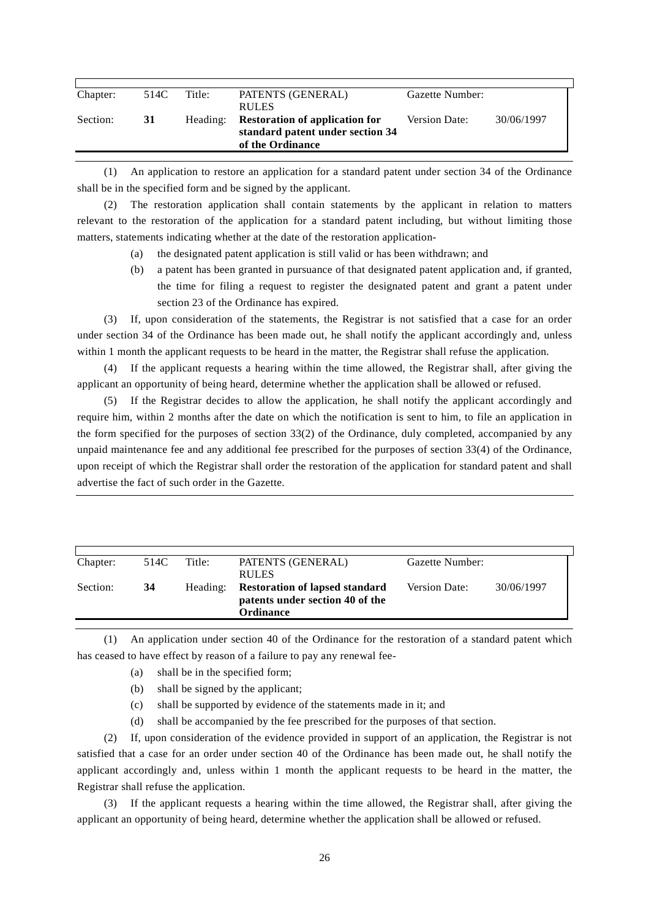| Chapter: | 514C | Title:   | PATENTS (GENERAL)<br><b>RULES</b>                                                             | Gazette Number:      |            |
|----------|------|----------|-----------------------------------------------------------------------------------------------|----------------------|------------|
| Section: | 31   | Heading: | <b>Restoration of application for</b><br>standard patent under section 34<br>of the Ordinance | <b>Version Date:</b> | 30/06/1997 |

(1) An application to restore an application for a standard patent under section 34 of the Ordinance shall be in the specified form and be signed by the applicant.

(2) The restoration application shall contain statements by the applicant in relation to matters relevant to the restoration of the application for a standard patent including, but without limiting those matters, statements indicating whether at the date of the restoration application-

- (a) the designated patent application is still valid or has been withdrawn; and
- (b) a patent has been granted in pursuance of that designated patent application and, if granted, the time for filing a request to register the designated patent and grant a patent under section 23 of the Ordinance has expired.

(3) If, upon consideration of the statements, the Registrar is not satisfied that a case for an order under section 34 of the Ordinance has been made out, he shall notify the applicant accordingly and, unless within 1 month the applicant requests to be heard in the matter, the Registrar shall refuse the application.

(4) If the applicant requests a hearing within the time allowed, the Registrar shall, after giving the applicant an opportunity of being heard, determine whether the application shall be allowed or refused.

(5) If the Registrar decides to allow the application, he shall notify the applicant accordingly and require him, within 2 months after the date on which the notification is sent to him, to file an application in the form specified for the purposes of section 33(2) of the Ordinance, duly completed, accompanied by any unpaid maintenance fee and any additional fee prescribed for the purposes of section 33(4) of the Ordinance, upon receipt of which the Registrar shall order the restoration of the application for standard patent and shall advertise the fact of such order in the Gazette.

| Chapter: | 514C | Title:   | PATENTS (GENERAL)<br><b>RULES</b>                                                            | Gazette Number: |            |
|----------|------|----------|----------------------------------------------------------------------------------------------|-----------------|------------|
| Section: | 34   | Heading: | <b>Restoration of lapsed standard</b><br>patents under section 40 of the<br><b>Ordinance</b> | Version Date:   | 30/06/1997 |

(1) An application under section 40 of the Ordinance for the restoration of a standard patent which has ceased to have effect by reason of a failure to pay any renewal fee-

- (a) shall be in the specified form;
- (b) shall be signed by the applicant;
- (c) shall be supported by evidence of the statements made in it; and
- (d) shall be accompanied by the fee prescribed for the purposes of that section.

(2) If, upon consideration of the evidence provided in support of an application, the Registrar is not satisfied that a case for an order under section 40 of the Ordinance has been made out, he shall notify the applicant accordingly and, unless within 1 month the applicant requests to be heard in the matter, the Registrar shall refuse the application.

(3) If the applicant requests a hearing within the time allowed, the Registrar shall, after giving the applicant an opportunity of being heard, determine whether the application shall be allowed or refused.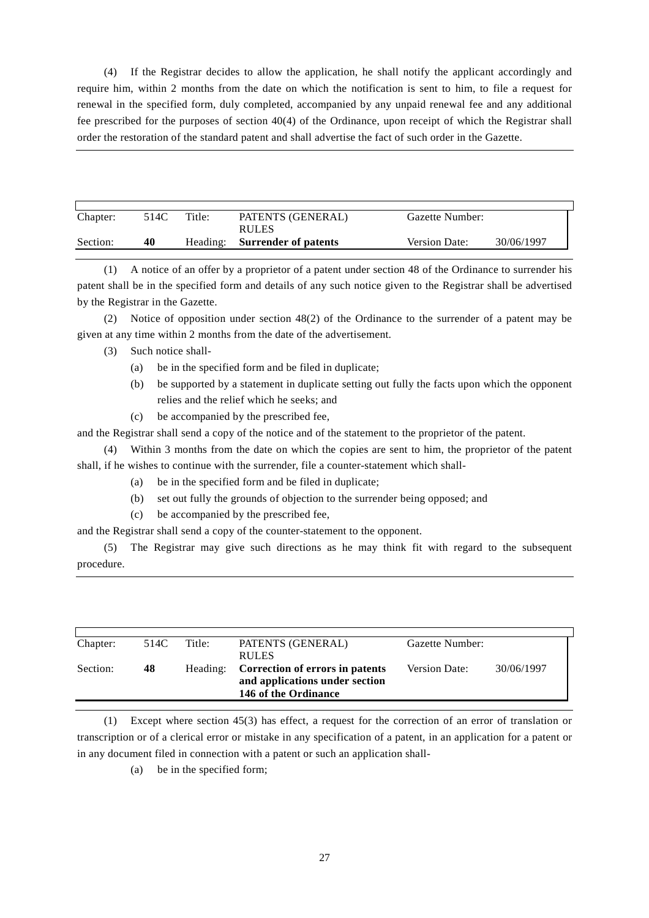(4) If the Registrar decides to allow the application, he shall notify the applicant accordingly and require him, within 2 months from the date on which the notification is sent to him, to file a request for renewal in the specified form, duly completed, accompanied by any unpaid renewal fee and any additional fee prescribed for the purposes of section 40(4) of the Ordinance, upon receipt of which the Registrar shall order the restoration of the standard patent and shall advertise the fact of such order in the Gazette.

| Chapter: | 514C | Title:   | PATENTS (GENERAL)<br><b>RULES</b> | Gazette Number:      |            |
|----------|------|----------|-----------------------------------|----------------------|------------|
| Section: | 40   | Heading: | <b>Surrender of patents</b>       | <b>Version Date:</b> | 30/06/1997 |

(1) A notice of an offer by a proprietor of a patent under section 48 of the Ordinance to surrender his patent shall be in the specified form and details of any such notice given to the Registrar shall be advertised by the Registrar in the Gazette.

(2) Notice of opposition under section 48(2) of the Ordinance to the surrender of a patent may be given at any time within 2 months from the date of the advertisement.

#### (3) Such notice shall-

- (a) be in the specified form and be filed in duplicate;
- (b) be supported by a statement in duplicate setting out fully the facts upon which the opponent relies and the relief which he seeks; and
- (c) be accompanied by the prescribed fee,

and the Registrar shall send a copy of the notice and of the statement to the proprietor of the patent.

(4) Within 3 months from the date on which the copies are sent to him, the proprietor of the patent shall, if he wishes to continue with the surrender, file a counter-statement which shall-

- (a) be in the specified form and be filed in duplicate;
- (b) set out fully the grounds of objection to the surrender being opposed; and
- (c) be accompanied by the prescribed fee,

and the Registrar shall send a copy of the counter-statement to the opponent.

(5) The Registrar may give such directions as he may think fit with regard to the subsequent procedure.

| Chapter: | 514C | Title:   | PATENTS (GENERAL)<br><b>RULES</b>                                                         | Gazette Number: |            |
|----------|------|----------|-------------------------------------------------------------------------------------------|-----------------|------------|
| Section: | 48   | Heading: | Correction of errors in patents<br>and applications under section<br>146 of the Ordinance | Version Date:   | 30/06/1997 |

(1) Except where section 45(3) has effect, a request for the correction of an error of translation or transcription or of a clerical error or mistake in any specification of a patent, in an application for a patent or in any document filed in connection with a patent or such an application shall-

(a) be in the specified form;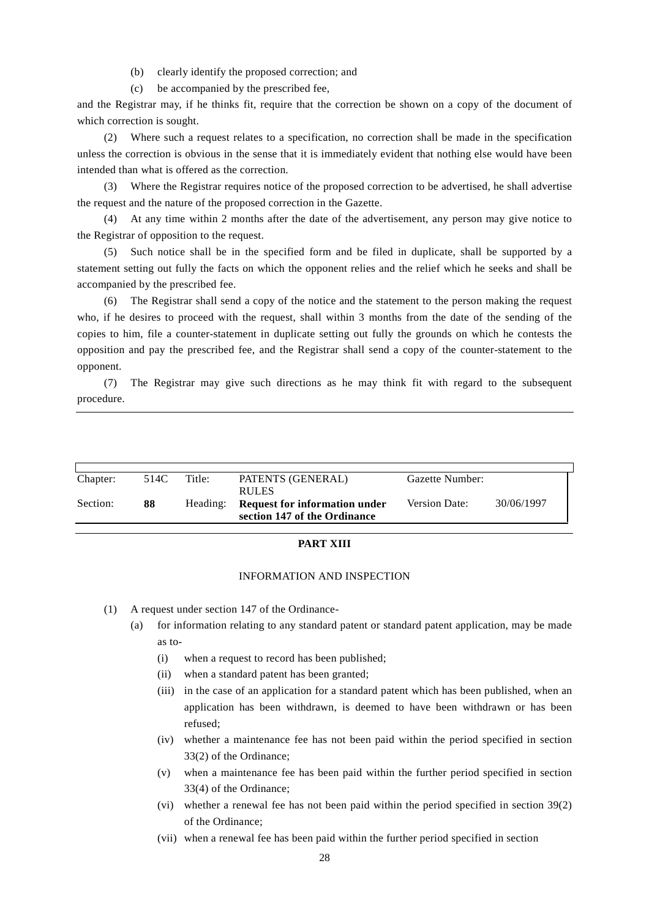(b) clearly identify the proposed correction; and

(c) be accompanied by the prescribed fee,

and the Registrar may, if he thinks fit, require that the correction be shown on a copy of the document of which correction is sought.

(2) Where such a request relates to a specification, no correction shall be made in the specification unless the correction is obvious in the sense that it is immediately evident that nothing else would have been intended than what is offered as the correction.

(3) Where the Registrar requires notice of the proposed correction to be advertised, he shall advertise the request and the nature of the proposed correction in the Gazette.

(4) At any time within 2 months after the date of the advertisement, any person may give notice to the Registrar of opposition to the request.

(5) Such notice shall be in the specified form and be filed in duplicate, shall be supported by a statement setting out fully the facts on which the opponent relies and the relief which he seeks and shall be accompanied by the prescribed fee.

(6) The Registrar shall send a copy of the notice and the statement to the person making the request who, if he desires to proceed with the request, shall within 3 months from the date of the sending of the copies to him, file a counter-statement in duplicate setting out fully the grounds on which he contests the opposition and pay the prescribed fee, and the Registrar shall send a copy of the counter-statement to the opponent.

(7) The Registrar may give such directions as he may think fit with regard to the subsequent procedure.

| Chapter: | 514C | Title:   | PATENTS (GENERAL)<br><b>RULES</b>                                    | Gazette Number: |            |
|----------|------|----------|----------------------------------------------------------------------|-----------------|------------|
| Section: | 88   | Heading: | <b>Request for information under</b><br>section 147 of the Ordinance | Version Date:   | 30/06/1997 |

#### **PART XIII**

#### INFORMATION AND INSPECTION

- (1) A request under section 147 of the Ordinance-
	- (a) for information relating to any standard patent or standard patent application, may be made as to-
		- (i) when a request to record has been published;
		- (ii) when a standard patent has been granted;
		- (iii) in the case of an application for a standard patent which has been published, when an application has been withdrawn, is deemed to have been withdrawn or has been refused;
		- (iv) whether a maintenance fee has not been paid within the period specified in section 33(2) of the Ordinance;
		- (v) when a maintenance fee has been paid within the further period specified in section 33(4) of the Ordinance;
		- (vi) whether a renewal fee has not been paid within the period specified in section 39(2) of the Ordinance;
		- (vii) when a renewal fee has been paid within the further period specified in section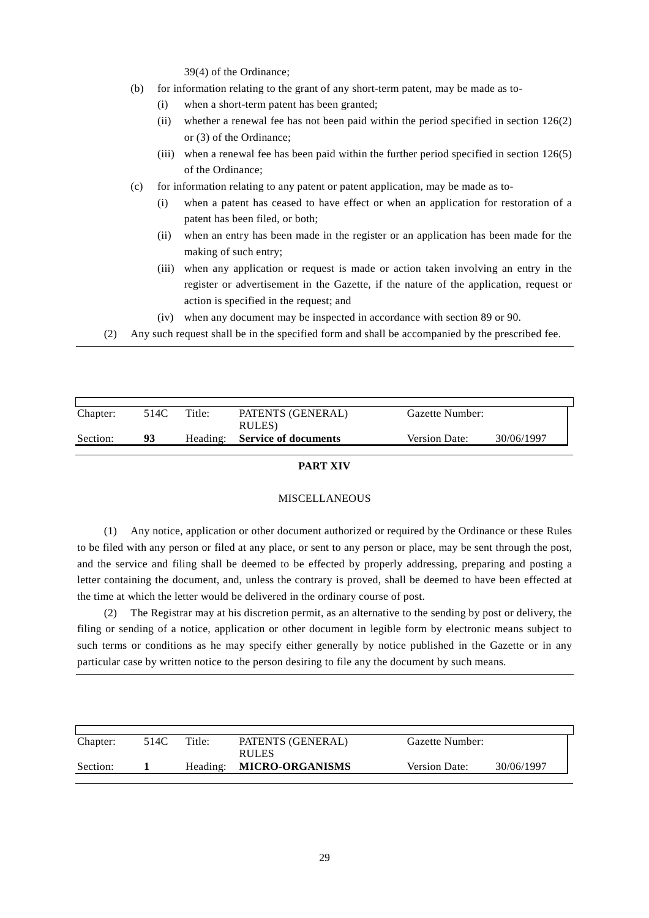39(4) of the Ordinance;

- (b) for information relating to the grant of any short-term patent, may be made as to-
	- (i) when a short-term patent has been granted;
	- (ii) whether a renewal fee has not been paid within the period specified in section 126(2) or (3) of the Ordinance;
	- (iii) when a renewal fee has been paid within the further period specified in section 126(5) of the Ordinance;
- (c) for information relating to any patent or patent application, may be made as to-
	- (i) when a patent has ceased to have effect or when an application for restoration of a patent has been filed, or both;
	- (ii) when an entry has been made in the register or an application has been made for the making of such entry;
	- (iii) when any application or request is made or action taken involving an entry in the register or advertisement in the Gazette, if the nature of the application, request or action is specified in the request; and
	- (iv) when any document may be inspected in accordance with section 89 or 90.

(2) Any such request shall be in the specified form and shall be accompanied by the prescribed fee.

| Chapter: | 514C | Title: | PATENTS (GENERAL)<br>RULES)   | Gazette Number: |            |
|----------|------|--------|-------------------------------|-----------------|------------|
| Section: | 93   |        | Heading: Service of documents | Version Date:   | 30/06/1997 |

#### **PART XIV**

#### MISCELLANEOUS

(1) Any notice, application or other document authorized or required by the Ordinance or these Rules to be filed with any person or filed at any place, or sent to any person or place, may be sent through the post, and the service and filing shall be deemed to be effected by properly addressing, preparing and posting a letter containing the document, and, unless the contrary is proved, shall be deemed to have been effected at the time at which the letter would be delivered in the ordinary course of post.

(2) The Registrar may at his discretion permit, as an alternative to the sending by post or delivery, the filing or sending of a notice, application or other document in legible form by electronic means subject to such terms or conditions as he may specify either generally by notice published in the Gazette or in any particular case by written notice to the person desiring to file any the document by such means.

| Chapter: | 514C | Title:   | PATENTS (GENERAL)<br><b>RULES</b> | Gazette Number: |            |
|----------|------|----------|-----------------------------------|-----------------|------------|
| Section: |      | Heading: | <b>MICRO-ORGANISMS</b>            | Version Date:   | 30/06/1997 |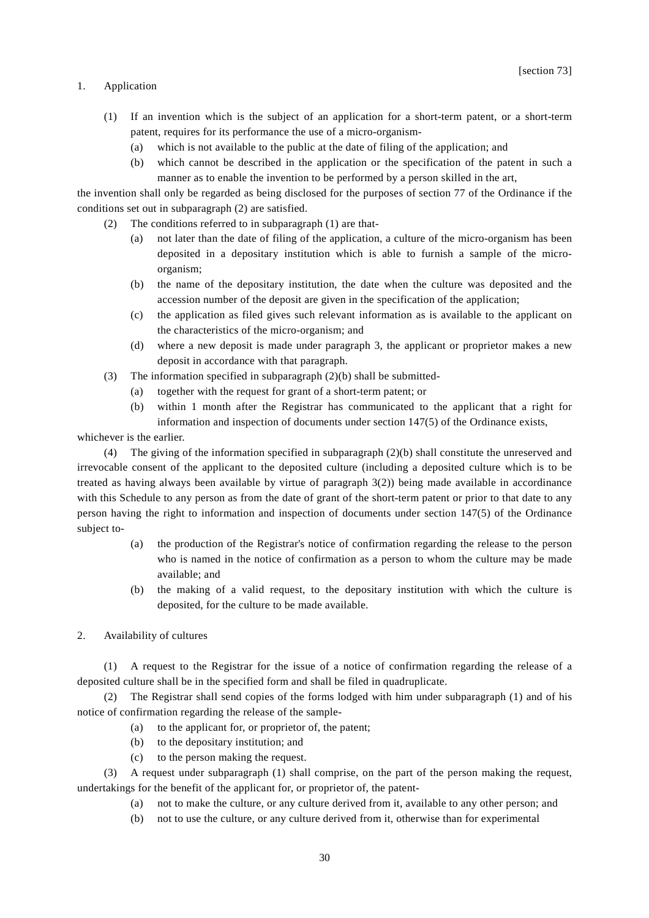#### 1. Application

- (1) If an invention which is the subject of an application for a short-term patent, or a short-term patent, requires for its performance the use of a micro-organism-
	- (a) which is not available to the public at the date of filing of the application; and
	- (b) which cannot be described in the application or the specification of the patent in such a manner as to enable the invention to be performed by a person skilled in the art,

the invention shall only be regarded as being disclosed for the purposes of section 77 of the Ordinance if the conditions set out in subparagraph (2) are satisfied.

- (2) The conditions referred to in subparagraph (1) are that-
	- (a) not later than the date of filing of the application, a culture of the micro-organism has been deposited in a depositary institution which is able to furnish a sample of the microorganism;
	- (b) the name of the depositary institution, the date when the culture was deposited and the accession number of the deposit are given in the specification of the application;
	- (c) the application as filed gives such relevant information as is available to the applicant on the characteristics of the micro-organism; and
	- (d) where a new deposit is made under paragraph 3, the applicant or proprietor makes a new deposit in accordance with that paragraph.
- (3) The information specified in subparagraph (2)(b) shall be submitted-
	- (a) together with the request for grant of a short-term patent; or
	- (b) within 1 month after the Registrar has communicated to the applicant that a right for information and inspection of documents under section 147(5) of the Ordinance exists,

whichever is the earlier.

(4) The giving of the information specified in subparagraph (2)(b) shall constitute the unreserved and irrevocable consent of the applicant to the deposited culture (including a deposited culture which is to be treated as having always been available by virtue of paragraph 3(2)) being made available in accordinance with this Schedule to any person as from the date of grant of the short-term patent or prior to that date to any person having the right to information and inspection of documents under section 147(5) of the Ordinance subject to-

- (a) the production of the Registrar's notice of confirmation regarding the release to the person who is named in the notice of confirmation as a person to whom the culture may be made available; and
- (b) the making of a valid request, to the depositary institution with which the culture is deposited, for the culture to be made available.
- 2. Availability of cultures

(1) A request to the Registrar for the issue of a notice of confirmation regarding the release of a deposited culture shall be in the specified form and shall be filed in quadruplicate.

The Registrar shall send copies of the forms lodged with him under subparagraph (1) and of his notice of confirmation regarding the release of the sample-

- (a) to the applicant for, or proprietor of, the patent;
- (b) to the depositary institution; and
- (c) to the person making the request.

(3) A request under subparagraph (1) shall comprise, on the part of the person making the request, undertakings for the benefit of the applicant for, or proprietor of, the patent-

- (a) not to make the culture, or any culture derived from it, available to any other person; and
- (b) not to use the culture, or any culture derived from it, otherwise than for experimental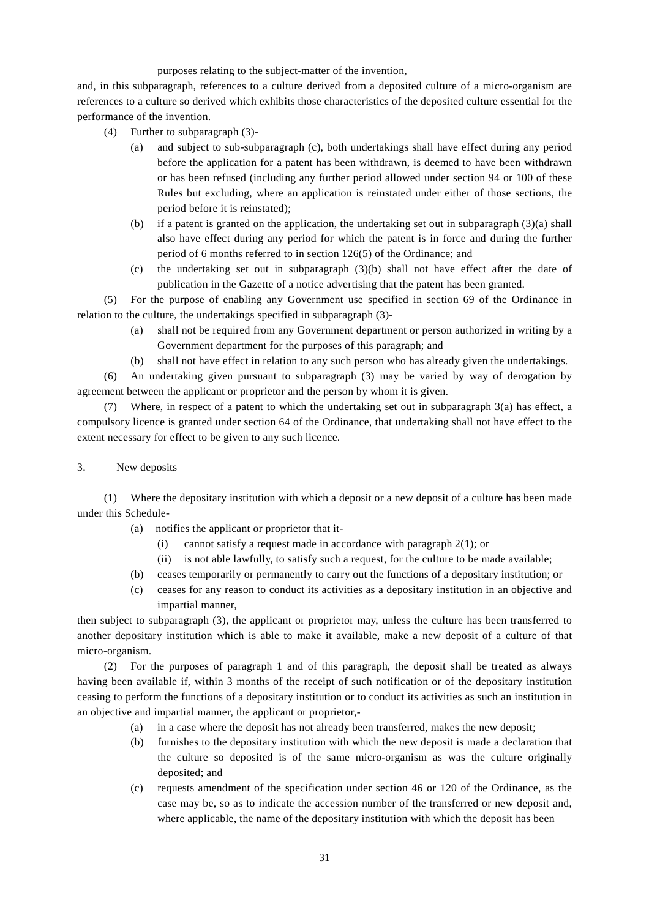purposes relating to the subject-matter of the invention,

and, in this subparagraph, references to a culture derived from a deposited culture of a micro-organism are references to a culture so derived which exhibits those characteristics of the deposited culture essential for the performance of the invention.

- (4) Further to subparagraph (3)-
	- (a) and subject to sub-subparagraph (c), both undertakings shall have effect during any period before the application for a patent has been withdrawn, is deemed to have been withdrawn or has been refused (including any further period allowed under section 94 or 100 of these Rules but excluding, where an application is reinstated under either of those sections, the period before it is reinstated);
	- (b) if a patent is granted on the application, the undertaking set out in subparagraph (3)(a) shall also have effect during any period for which the patent is in force and during the further period of 6 months referred to in section 126(5) of the Ordinance; and
	- (c) the undertaking set out in subparagraph (3)(b) shall not have effect after the date of publication in the Gazette of a notice advertising that the patent has been granted.

(5) For the purpose of enabling any Government use specified in section 69 of the Ordinance in relation to the culture, the undertakings specified in subparagraph (3)-

- (a) shall not be required from any Government department or person authorized in writing by a Government department for the purposes of this paragraph; and
- (b) shall not have effect in relation to any such person who has already given the undertakings.

(6) An undertaking given pursuant to subparagraph (3) may be varied by way of derogation by agreement between the applicant or proprietor and the person by whom it is given.

Where, in respect of a patent to which the undertaking set out in subparagraph  $3(a)$  has effect, a compulsory licence is granted under section 64 of the Ordinance, that undertaking shall not have effect to the extent necessary for effect to be given to any such licence.

3. New deposits

(1) Where the depositary institution with which a deposit or a new deposit of a culture has been made under this Schedule-

- (a) notifies the applicant or proprietor that it-
	- (i) cannot satisfy a request made in accordance with paragraph 2(1); or
	- (ii) is not able lawfully, to satisfy such a request, for the culture to be made available;
- (b) ceases temporarily or permanently to carry out the functions of a depositary institution; or
- (c) ceases for any reason to conduct its activities as a depositary institution in an objective and impartial manner,

then subject to subparagraph (3), the applicant or proprietor may, unless the culture has been transferred to another depositary institution which is able to make it available, make a new deposit of a culture of that micro-organism.

(2) For the purposes of paragraph 1 and of this paragraph, the deposit shall be treated as always having been available if, within 3 months of the receipt of such notification or of the depositary institution ceasing to perform the functions of a depositary institution or to conduct its activities as such an institution in an objective and impartial manner, the applicant or proprietor,-

- (a) in a case where the deposit has not already been transferred, makes the new deposit;
- (b) furnishes to the depositary institution with which the new deposit is made a declaration that the culture so deposited is of the same micro-organism as was the culture originally deposited; and
- (c) requests amendment of the specification under section 46 or 120 of the Ordinance, as the case may be, so as to indicate the accession number of the transferred or new deposit and, where applicable, the name of the depositary institution with which the deposit has been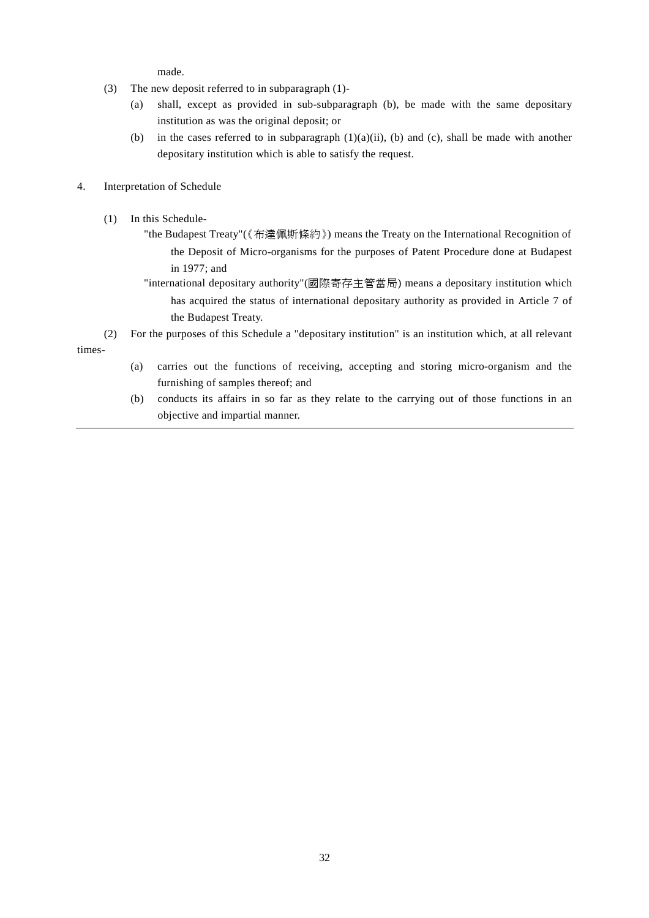made.

- (3) The new deposit referred to in subparagraph (1)-
	- (a) shall, except as provided in sub-subparagraph (b), be made with the same depositary institution as was the original deposit; or
	- (b) in the cases referred to in subparagraph  $(1)(a)(ii)$ , (b) and (c), shall be made with another depositary institution which is able to satisfy the request.
- 4. Interpretation of Schedule
	- (1) In this Schedule-
		- "the Budapest Treaty"(《布達佩斯條約》) means the Treaty on the International Recognition of the Deposit of Micro-organisms for the purposes of Patent Procedure done at Budapest in 1977; and
		- "international depositary authority"(國際寄存主管當局) means a depositary institution which has acquired the status of international depositary authority as provided in Article 7 of the Budapest Treaty.
- (2) For the purposes of this Schedule a "depositary institution" is an institution which, at all relevant times-
	- (a) carries out the functions of receiving, accepting and storing micro-organism and the furnishing of samples thereof; and
	- (b) conducts its affairs in so far as they relate to the carrying out of those functions in an objective and impartial manner.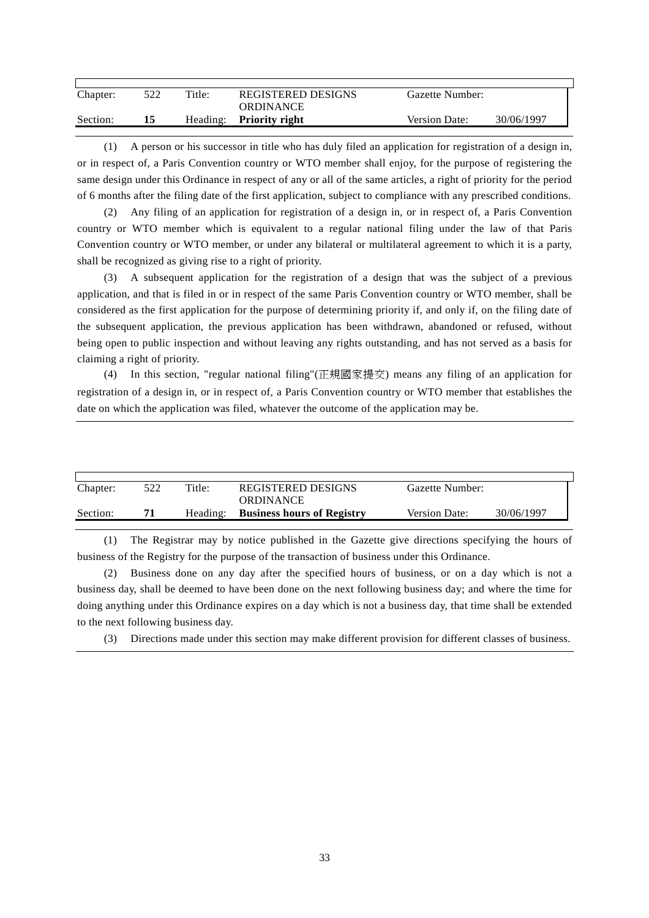| Chapter: | 522 | Title: | <b>REGISTERED DESIGNS</b><br><b>ORDINANCE</b> | Gazette Number: |            |
|----------|-----|--------|-----------------------------------------------|-----------------|------------|
| Section: |     |        | Heading: Priority right                       | Version Date:   | 30/06/1997 |

(1) A person or his successor in title who has duly filed an application for registration of a design in, or in respect of, a Paris Convention country or WTO member shall enjoy, for the purpose of registering the same design under this Ordinance in respect of any or all of the same articles, a right of priority for the period of 6 months after the filing date of the first application, subject to compliance with any prescribed conditions.

(2) Any filing of an application for registration of a design in, or in respect of, a Paris Convention country or WTO member which is equivalent to a regular national filing under the law of that Paris Convention country or WTO member, or under any bilateral or multilateral agreement to which it is a party, shall be recognized as giving rise to a right of priority.

(3) A subsequent application for the registration of a design that was the subject of a previous application, and that is filed in or in respect of the same Paris Convention country or WTO member, shall be considered as the first application for the purpose of determining priority if, and only if, on the filing date of the subsequent application, the previous application has been withdrawn, abandoned or refused, without being open to public inspection and without leaving any rights outstanding, and has not served as a basis for claiming a right of priority.

(4) In this section, "regular national filing"(正規國家提交) means any filing of an application for registration of a design in, or in respect of, a Paris Convention country or WTO member that establishes the date on which the application was filed, whatever the outcome of the application may be.

| Chapter: | 522 | Title:   | REGISTERED DESIGNS<br><b>ORDINANCE</b> | Gazette Number: |            |  |
|----------|-----|----------|----------------------------------------|-----------------|------------|--|
| Section: | 71  | Heading: | <b>Business hours of Registry</b>      | Version Date:   | 30/06/1997 |  |

(1) The Registrar may by notice published in the Gazette give directions specifying the hours of business of the Registry for the purpose of the transaction of business under this Ordinance.

(2) Business done on any day after the specified hours of business, or on a day which is not a business day, shall be deemed to have been done on the next following business day; and where the time for doing anything under this Ordinance expires on a day which is not a business day, that time shall be extended to the next following business day.

(3) Directions made under this section may make different provision for different classes of business.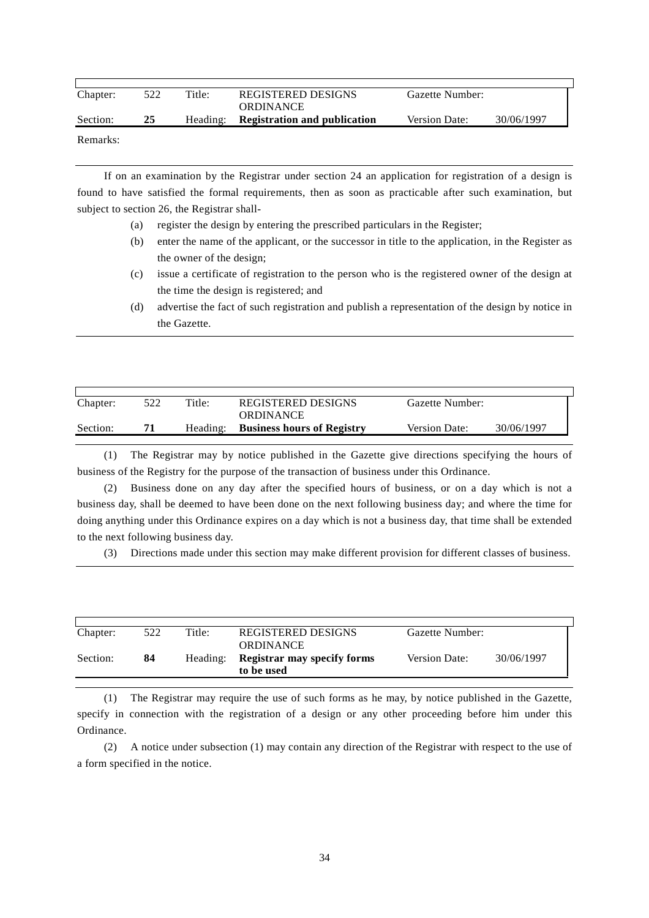| Chapter: | 522 | Title:   | <b>REGISTERED DESIGNS</b><br><b>ORDINANCE</b> | Gazette Number: |            |
|----------|-----|----------|-----------------------------------------------|-----------------|------------|
| Section: | 25  | Heading: | <b>Registration and publication</b>           | Version Date:   | 30/06/1997 |
| Remarks: |     |          |                                               |                 |            |

If on an examination by the Registrar under section 24 an application for registration of a design is found to have satisfied the formal requirements, then as soon as practicable after such examination, but subject to section 26, the Registrar shall-

- (a) register the design by entering the prescribed particulars in the Register;
- (b) enter the name of the applicant, or the successor in title to the application, in the Register as the owner of the design;
- (c) issue a certificate of registration to the person who is the registered owner of the design at the time the design is registered; and
- (d) advertise the fact of such registration and publish a representation of the design by notice in the Gazette.

| Chapter: | 522 | Title:   | REGISTERED DESIGNS<br><b>ORDINANCE</b> | Gazette Number: |            |
|----------|-----|----------|----------------------------------------|-----------------|------------|
| Section: | 71  | Heading: | <b>Business hours of Registry</b>      | Version Date:   | 30/06/1997 |

(1) The Registrar may by notice published in the Gazette give directions specifying the hours of business of the Registry for the purpose of the transaction of business under this Ordinance.

(2) Business done on any day after the specified hours of business, or on a day which is not a business day, shall be deemed to have been done on the next following business day; and where the time for doing anything under this Ordinance expires on a day which is not a business day, that time shall be extended to the next following business day.

(3) Directions made under this section may make different provision for different classes of business.

| Chapter: | 522 | Title:   | REGISTERED DESIGNS<br><b>ORDINANCE</b>    | Gazette Number: |            |
|----------|-----|----------|-------------------------------------------|-----------------|------------|
| Section: | 84  | Heading: | Registrar may specify forms<br>to be used | Version Date:   | 30/06/1997 |

(1) The Registrar may require the use of such forms as he may, by notice published in the Gazette, specify in connection with the registration of a design or any other proceeding before him under this Ordinance.

(2) A notice under subsection (1) may contain any direction of the Registrar with respect to the use of a form specified in the notice.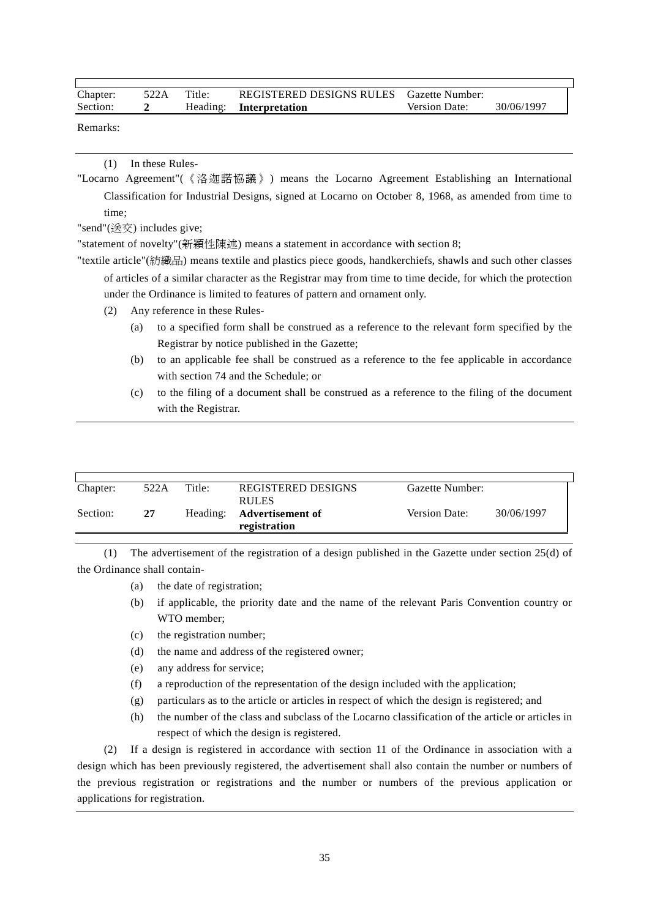| Chapter: | 522A Title: | REGISTERED DESIGNS RULES Gazette Number: |                      |            |
|----------|-------------|------------------------------------------|----------------------|------------|
| Section: |             | Heading: Interpretation                  | <b>Version Date:</b> | 30/06/1997 |

Remarks:

(1) In these Rules-

"Locarno Agreement"(《洛迦諾協議》) means the Locarno Agreement Establishing an International Classification for Industrial Designs, signed at Locarno on October 8, 1968, as amended from time to time;

"send"(送交) includes give;

"statement of novelty"(新穎性陳述) means a statement in accordance with section 8;

"textile article"(紡織品) means textile and plastics piece goods, handkerchiefs, shawls and such other classes of articles of a similar character as the Registrar may from time to time decide, for which the protection under the Ordinance is limited to features of pattern and ornament only.

(2) Any reference in these Rules-

- (a) to a specified form shall be construed as a reference to the relevant form specified by the Registrar by notice published in the Gazette;
- (b) to an applicable fee shall be construed as a reference to the fee applicable in accordance with section 74 and the Schedule; or
- (c) to the filing of a document shall be construed as a reference to the filing of the document with the Registrar.

| Chapter: | 522A | Title:   | <b>REGISTERED DESIGNS</b><br><b>RULES</b> | Gazette Number: |            |
|----------|------|----------|-------------------------------------------|-----------------|------------|
| Section: | 27   | Heading: | Advertisement of<br>registration          | Version Date:   | 30/06/1997 |

(1) The advertisement of the registration of a design published in the Gazette under section 25(d) of the Ordinance shall contain-

- (a) the date of registration;
- (b) if applicable, the priority date and the name of the relevant Paris Convention country or WTO member;
- (c) the registration number;
- (d) the name and address of the registered owner;
- (e) any address for service;
- (f) a reproduction of the representation of the design included with the application;
- (g) particulars as to the article or articles in respect of which the design is registered; and
- (h) the number of the class and subclass of the Locarno classification of the article or articles in respect of which the design is registered.

(2) If a design is registered in accordance with section 11 of the Ordinance in association with a design which has been previously registered, the advertisement shall also contain the number or numbers of the previous registration or registrations and the number or numbers of the previous application or applications for registration.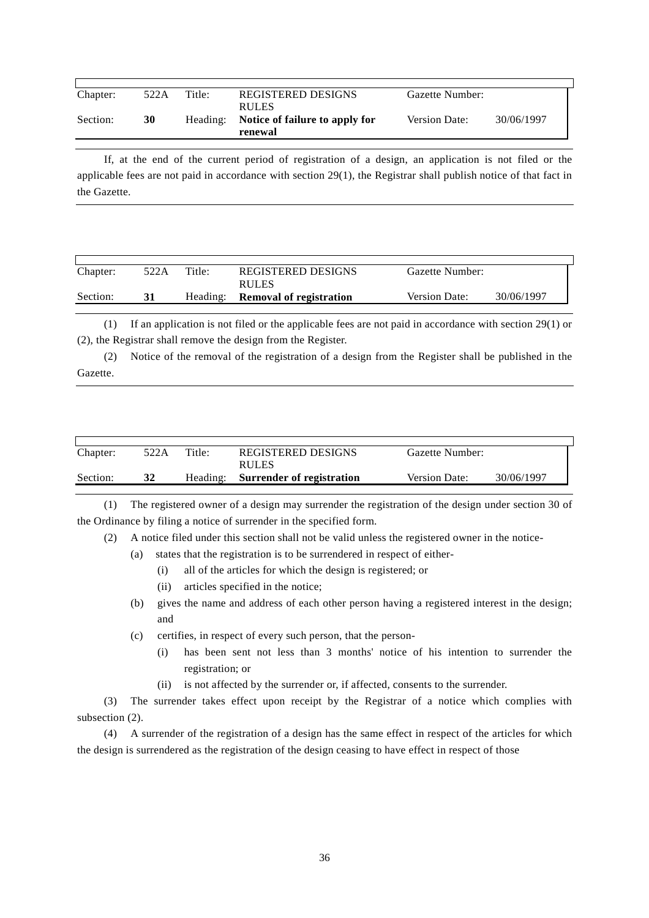| Chapter: | 522A | Title:   | <b>REGISTERED DESIGNS</b><br><b>RULES</b> | Gazette Number:      |            |
|----------|------|----------|-------------------------------------------|----------------------|------------|
| Section: | 30   | Heading: | Notice of failure to apply for<br>renewal | <b>Version Date:</b> | 30/06/1997 |

If, at the end of the current period of registration of a design, an application is not filed or the applicable fees are not paid in accordance with section 29(1), the Registrar shall publish notice of that fact in the Gazette.

| Chapter: | 522A | Title:   | REGISTERED DESIGNS<br>RULES    | Gazette Number:      |            |
|----------|------|----------|--------------------------------|----------------------|------------|
| Section: |      | Heading: | <b>Removal of registration</b> | <b>Version Date:</b> | 30/06/1997 |

(1) If an application is not filed or the applicable fees are not paid in accordance with section 29(1) or (2), the Registrar shall remove the design from the Register.

(2) Notice of the removal of the registration of a design from the Register shall be published in the Gazette.

| Chapter: | 522A | Title: | <b>REGISTERED DESIGNS</b><br>RULES | Gazette Number:      |            |
|----------|------|--------|------------------------------------|----------------------|------------|
| Section: | 32   |        | Heading: Surrender of registration | <b>Version Date:</b> | 30/06/1997 |

(1) The registered owner of a design may surrender the registration of the design under section 30 of the Ordinance by filing a notice of surrender in the specified form.

(2) A notice filed under this section shall not be valid unless the registered owner in the notice-

- (a) states that the registration is to be surrendered in respect of either-
	- (i) all of the articles for which the design is registered; or
	- (ii) articles specified in the notice;
- (b) gives the name and address of each other person having a registered interest in the design; and
- (c) certifies, in respect of every such person, that the person-
	- (i) has been sent not less than 3 months' notice of his intention to surrender the registration; or
	- (ii) is not affected by the surrender or, if affected, consents to the surrender.

(3) The surrender takes effect upon receipt by the Registrar of a notice which complies with subsection (2).

(4) A surrender of the registration of a design has the same effect in respect of the articles for which the design is surrendered as the registration of the design ceasing to have effect in respect of those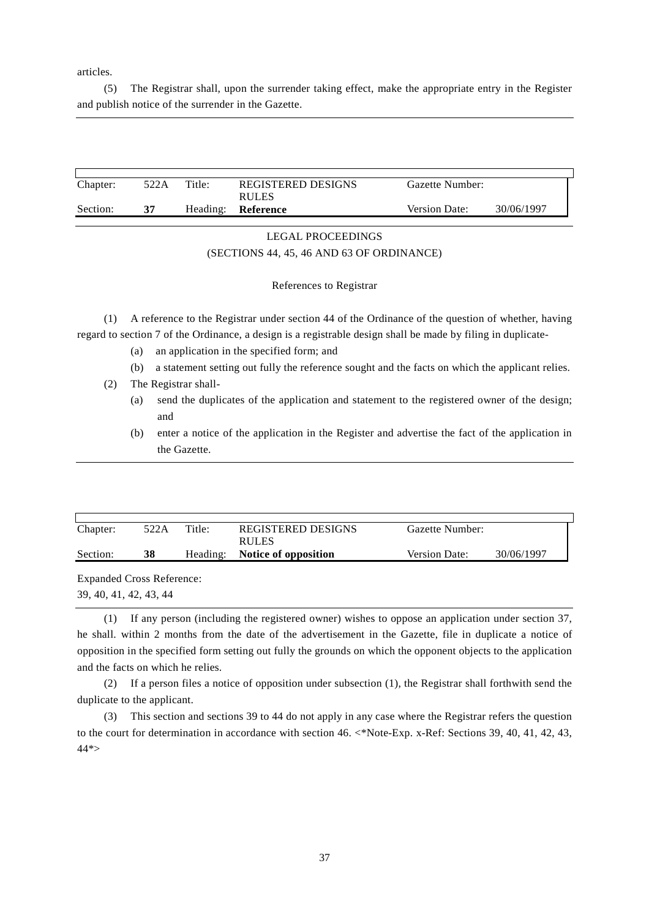articles.

(5) The Registrar shall, upon the surrender taking effect, make the appropriate entry in the Register and publish notice of the surrender in the Gazette.

| Chapter: | 522A | Title:   | REGISTERED DESIGNS<br><b>RULES</b> | Gazette Number: |            |
|----------|------|----------|------------------------------------|-----------------|------------|
| Section: |      | Heading: | Reference                          | Version Date:   | 30/06/1997 |

## LEGAL PROCEEDINGS (SECTIONS 44, 45, 46 AND 63 OF ORDINANCE)

#### References to Registrar

(1) A reference to the Registrar under section 44 of the Ordinance of the question of whether, having regard to section 7 of the Ordinance, a design is a registrable design shall be made by filing in duplicate-

- (a) an application in the specified form; and
- (b) a statement setting out fully the reference sought and the facts on which the applicant relies.
- (2) The Registrar shall-
	- (a) send the duplicates of the application and statement to the registered owner of the design; and
	- (b) enter a notice of the application in the Register and advertise the fact of the application in the Gazette.

| Chapter: | 522A | Title:   | REGISTERED DESIGNS<br>RULES | Gazette Number:      |            |
|----------|------|----------|-----------------------------|----------------------|------------|
| Section: | 38   | Heading: | Notice of opposition        | <b>Version Date:</b> | 30/06/1997 |

Expanded Cross Reference: 39, 40, 41, 42, 43, 44

(1) If any person (including the registered owner) wishes to oppose an application under section 37, he shall. within 2 months from the date of the advertisement in the Gazette, file in duplicate a notice of opposition in the specified form setting out fully the grounds on which the opponent objects to the application and the facts on which he relies.

(2) If a person files a notice of opposition under subsection (1), the Registrar shall forthwith send the duplicate to the applicant.

(3) This section and sections 39 to 44 do not apply in any case where the Registrar refers the question to the court for determination in accordance with section 46. <\*Note-Exp. x-Ref: Sections 39, 40, 41, 42, 43, 44\*>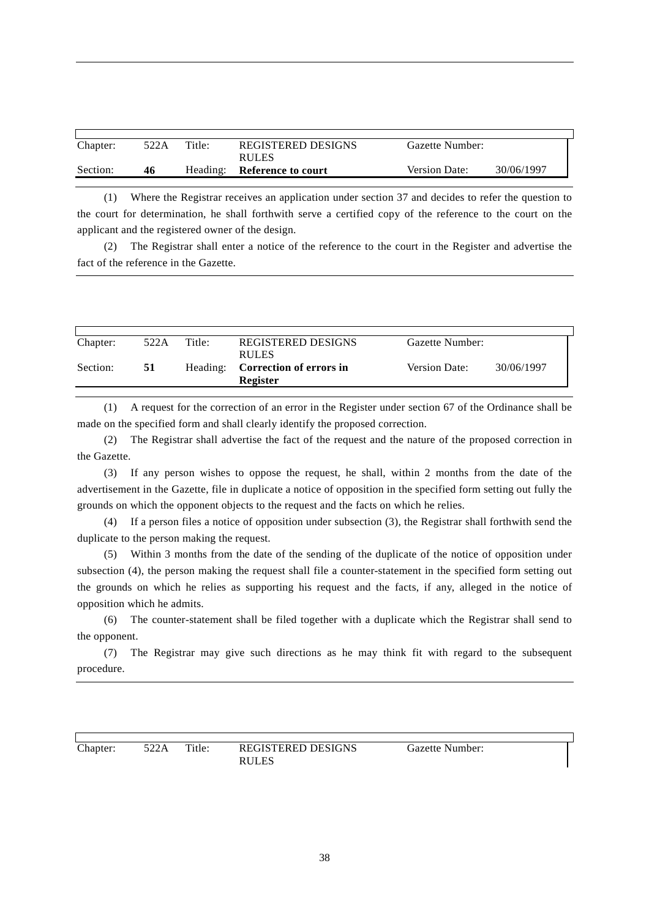| Chapter: | 522A | Title:   | REGISTERED DESIGNS<br><b>RULES</b> | Gazette Number:      |            |
|----------|------|----------|------------------------------------|----------------------|------------|
| Section: | 46   | Heading: | Reference to court                 | <b>Version Date:</b> | 30/06/1997 |

(1) Where the Registrar receives an application under section 37 and decides to refer the question to the court for determination, he shall forthwith serve a certified copy of the reference to the court on the applicant and the registered owner of the design.

(2) The Registrar shall enter a notice of the reference to the court in the Register and advertise the fact of the reference in the Gazette.

| Chapter: | 522A | Title:   | REGISTERED DESIGNS<br><b>RULES</b>         | Gazette Number: |            |
|----------|------|----------|--------------------------------------------|-----------------|------------|
| Section: | 51   | Heading: | Correction of errors in<br><b>Register</b> | Version Date:   | 30/06/1997 |

(1) A request for the correction of an error in the Register under section 67 of the Ordinance shall be made on the specified form and shall clearly identify the proposed correction.

(2) The Registrar shall advertise the fact of the request and the nature of the proposed correction in the Gazette.

(3) If any person wishes to oppose the request, he shall, within 2 months from the date of the advertisement in the Gazette, file in duplicate a notice of opposition in the specified form setting out fully the grounds on which the opponent objects to the request and the facts on which he relies.

(4) If a person files a notice of opposition under subsection (3), the Registrar shall forthwith send the duplicate to the person making the request.

(5) Within 3 months from the date of the sending of the duplicate of the notice of opposition under subsection (4), the person making the request shall file a counter-statement in the specified form setting out the grounds on which he relies as supporting his request and the facts, if any, alleged in the notice of opposition which he admits.

(6) The counter-statement shall be filed together with a duplicate which the Registrar shall send to the opponent.

(7) The Registrar may give such directions as he may think fit with regard to the subsequent procedure.

Chapter: 522A Title: REGISTERED DESIGNS RULES

Gazette Number: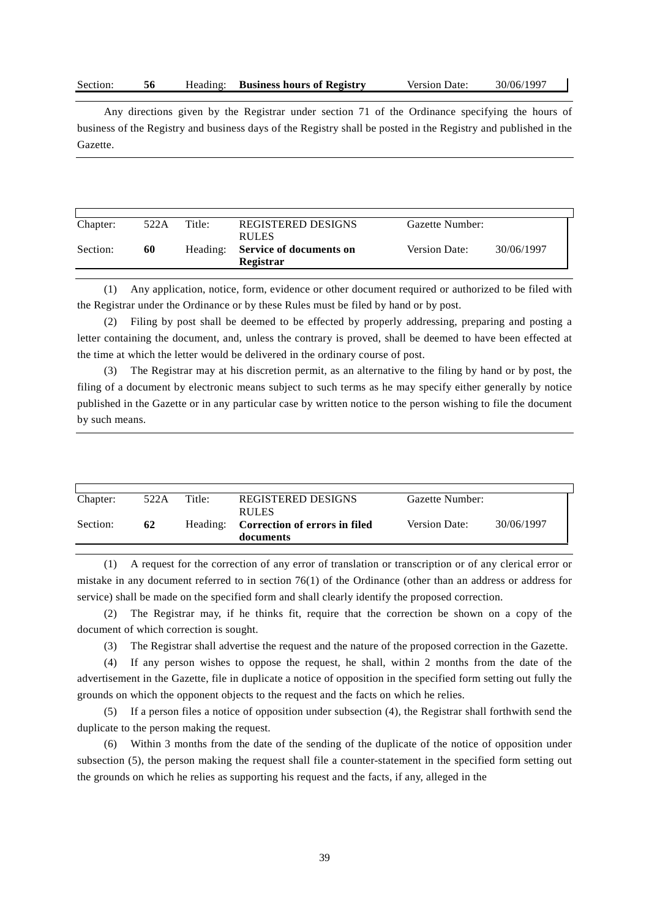| Section: |  | Heading: | <b>Business hours of Registry</b> | Version Date: | 30/06/1997 |  |
|----------|--|----------|-----------------------------------|---------------|------------|--|
|----------|--|----------|-----------------------------------|---------------|------------|--|

Any directions given by the Registrar under section 71 of the Ordinance specifying the hours of business of the Registry and business days of the Registry shall be posted in the Registry and published in the Gazette.

| Chapter: | 522A | Title:   | <b>REGISTERED DESIGNS</b><br><b>RULES</b>   | Gazette Number: |            |
|----------|------|----------|---------------------------------------------|-----------------|------------|
| Section: | 60   | Heading: | <b>Service of documents on</b><br>Registrar | Version Date:   | 30/06/1997 |

(1) Any application, notice, form, evidence or other document required or authorized to be filed with the Registrar under the Ordinance or by these Rules must be filed by hand or by post.

(2) Filing by post shall be deemed to be effected by properly addressing, preparing and posting a letter containing the document, and, unless the contrary is proved, shall be deemed to have been effected at the time at which the letter would be delivered in the ordinary course of post.

(3) The Registrar may at his discretion permit, as an alternative to the filing by hand or by post, the filing of a document by electronic means subject to such terms as he may specify either generally by notice published in the Gazette or in any particular case by written notice to the person wishing to file the document by such means.

| Chapter: | 522A | Title: | <b>REGISTERED DESIGNS</b><br><b>RULES</b>           | Gazette Number:      |            |
|----------|------|--------|-----------------------------------------------------|----------------------|------------|
| Section: | 62   |        | Heading: Correction of errors in filed<br>documents | <b>Version Date:</b> | 30/06/1997 |

(1) A request for the correction of any error of translation or transcription or of any clerical error or mistake in any document referred to in section 76(1) of the Ordinance (other than an address or address for service) shall be made on the specified form and shall clearly identify the proposed correction.

(2) The Registrar may, if he thinks fit, require that the correction be shown on a copy of the document of which correction is sought.

(3) The Registrar shall advertise the request and the nature of the proposed correction in the Gazette.

(4) If any person wishes to oppose the request, he shall, within 2 months from the date of the advertisement in the Gazette, file in duplicate a notice of opposition in the specified form setting out fully the grounds on which the opponent objects to the request and the facts on which he relies.

(5) If a person files a notice of opposition under subsection (4), the Registrar shall forthwith send the duplicate to the person making the request.

(6) Within 3 months from the date of the sending of the duplicate of the notice of opposition under subsection (5), the person making the request shall file a counter-statement in the specified form setting out the grounds on which he relies as supporting his request and the facts, if any, alleged in the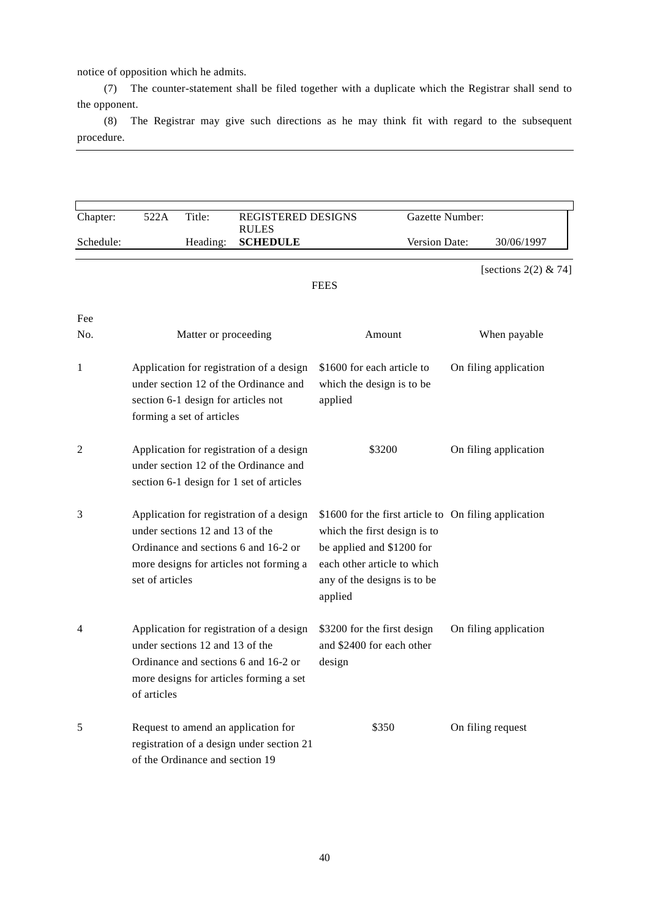notice of opposition which he admits.

(7) The counter-statement shall be filed together with a duplicate which the Registrar shall send to the opponent.

(8) The Registrar may give such directions as he may think fit with regard to the subsequent procedure.

| Chapter:  | 522A                                                                                                                                                                              | Title:                          | REGISTERED DESIGNS                                                                                                          |                                                                                                                                                                                             | Gazette Number:        |  |
|-----------|-----------------------------------------------------------------------------------------------------------------------------------------------------------------------------------|---------------------------------|-----------------------------------------------------------------------------------------------------------------------------|---------------------------------------------------------------------------------------------------------------------------------------------------------------------------------------------|------------------------|--|
| Schedule: |                                                                                                                                                                                   | Heading:                        | <b>RULES</b><br><b>SCHEDULE</b>                                                                                             | Version Date:                                                                                                                                                                               | 30/06/1997             |  |
|           |                                                                                                                                                                                   |                                 |                                                                                                                             | <b>FEES</b>                                                                                                                                                                                 | [sections $2(2)$ & 74] |  |
| Fee       |                                                                                                                                                                                   |                                 |                                                                                                                             |                                                                                                                                                                                             |                        |  |
| No.       |                                                                                                                                                                                   | Matter or proceeding            |                                                                                                                             | Amount                                                                                                                                                                                      | When payable           |  |
| 1         | Application for registration of a design<br>under section 12 of the Ordinance and<br>section 6-1 design for articles not<br>forming a set of articles                             |                                 |                                                                                                                             | \$1600 for each article to<br>which the design is to be<br>applied                                                                                                                          | On filing application  |  |
| 2         | Application for registration of a design<br>under section 12 of the Ordinance and<br>section 6-1 design for 1 set of articles                                                     |                                 |                                                                                                                             | \$3200                                                                                                                                                                                      | On filing application  |  |
| 3         | Application for registration of a design<br>under sections 12 and 13 of the<br>Ordinance and sections 6 and 16-2 or<br>more designs for articles not forming a<br>set of articles |                                 |                                                                                                                             | \$1600 for the first article to On filing application<br>which the first design is to<br>be applied and \$1200 for<br>each other article to which<br>any of the designs is to be<br>applied |                        |  |
| 4         | of articles                                                                                                                                                                       | under sections 12 and 13 of the | Application for registration of a design<br>Ordinance and sections 6 and 16-2 or<br>more designs for articles forming a set | \$3200 for the first design<br>and \$2400 for each other<br>design                                                                                                                          | On filing application  |  |
| 5         |                                                                                                                                                                                   | of the Ordinance and section 19 | Request to amend an application for<br>registration of a design under section 21                                            | \$350                                                                                                                                                                                       | On filing request      |  |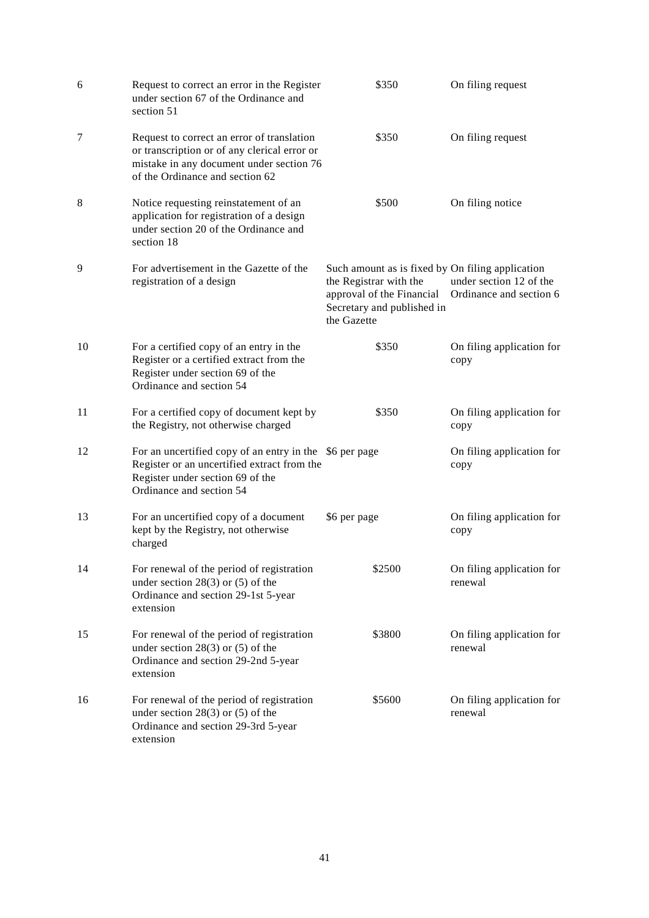| 6  | Request to correct an error in the Register<br>under section 67 of the Ordinance and<br>section 51                                                                        | \$350                                                                                                                                                | On filing request                                  |
|----|---------------------------------------------------------------------------------------------------------------------------------------------------------------------------|------------------------------------------------------------------------------------------------------------------------------------------------------|----------------------------------------------------|
| 7  | Request to correct an error of translation<br>or transcription or of any clerical error or<br>mistake in any document under section 76<br>of the Ordinance and section 62 | \$350                                                                                                                                                | On filing request                                  |
| 8  | Notice requesting reinstatement of an<br>application for registration of a design<br>under section 20 of the Ordinance and<br>section 18                                  | \$500                                                                                                                                                | On filing notice                                   |
| 9  | For advertisement in the Gazette of the<br>registration of a design                                                                                                       | Such amount as is fixed by On filing application<br>the Registrar with the<br>approval of the Financial<br>Secretary and published in<br>the Gazette | under section 12 of the<br>Ordinance and section 6 |
| 10 | For a certified copy of an entry in the<br>Register or a certified extract from the<br>Register under section 69 of the<br>Ordinance and section 54                       | \$350                                                                                                                                                | On filing application for<br>copy                  |
| 11 | For a certified copy of document kept by<br>the Registry, not otherwise charged                                                                                           | \$350                                                                                                                                                | On filing application for<br>copy                  |
| 12 | For an uncertified copy of an entry in the \$6 per page<br>Register or an uncertified extract from the<br>Register under section 69 of the<br>Ordinance and section 54    |                                                                                                                                                      | On filing application for<br>copy                  |
| 13 | For an uncertified copy of a document<br>kept by the Registry, not otherwise<br>charged                                                                                   | \$6 per page                                                                                                                                         | On filing application for<br>copy                  |
| 14 | For renewal of the period of registration<br>under section $28(3)$ or $(5)$ of the<br>Ordinance and section 29-1st 5-year<br>extension                                    | \$2500                                                                                                                                               | On filing application for<br>renewal               |
| 15 | For renewal of the period of registration<br>under section $28(3)$ or $(5)$ of the<br>Ordinance and section 29-2nd 5-year<br>extension                                    | \$3800                                                                                                                                               | On filing application for<br>renewal               |
| 16 | For renewal of the period of registration<br>under section $28(3)$ or $(5)$ of the<br>Ordinance and section 29-3rd 5-year<br>extension                                    | \$5600                                                                                                                                               | On filing application for<br>renewal               |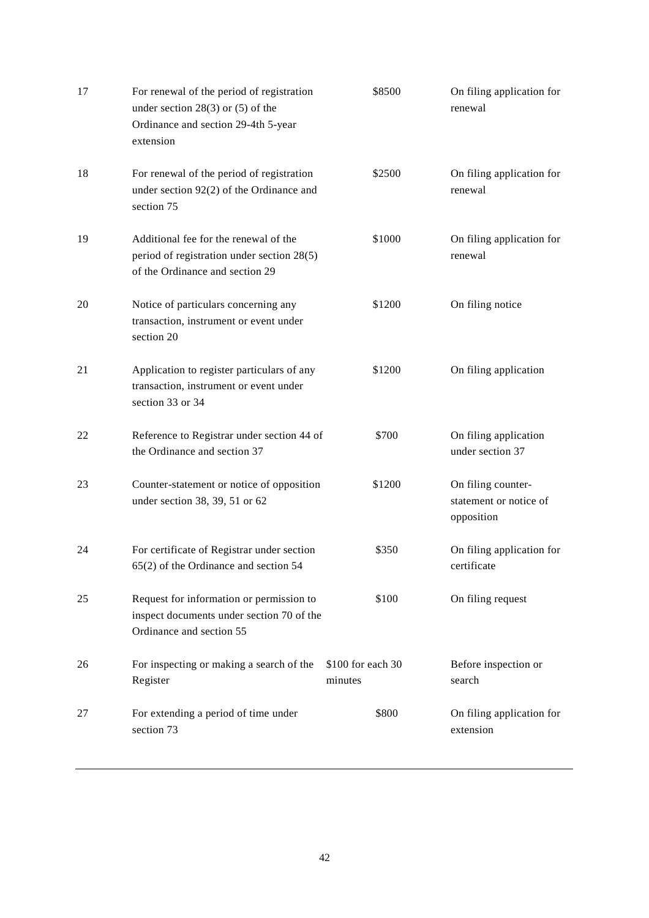| 17 | For renewal of the period of registration<br>under section $28(3)$ or $(5)$ of the<br>Ordinance and section 29-4th 5-year<br>extension | \$8500                        | On filing application for<br>renewal                       |
|----|----------------------------------------------------------------------------------------------------------------------------------------|-------------------------------|------------------------------------------------------------|
| 18 | For renewal of the period of registration<br>under section 92(2) of the Ordinance and<br>section 75                                    | \$2500                        | On filing application for<br>renewal                       |
| 19 | Additional fee for the renewal of the<br>period of registration under section 28(5)<br>of the Ordinance and section 29                 | \$1000                        | On filing application for<br>renewal                       |
| 20 | Notice of particulars concerning any<br>transaction, instrument or event under<br>section 20                                           | \$1200                        | On filing notice                                           |
| 21 | Application to register particulars of any<br>transaction, instrument or event under<br>section 33 or 34                               | \$1200                        | On filing application                                      |
| 22 | Reference to Registrar under section 44 of<br>the Ordinance and section 37                                                             | \$700                         | On filing application<br>under section 37                  |
| 23 | Counter-statement or notice of opposition<br>under section 38, 39, 51 or 62                                                            | \$1200                        | On filing counter-<br>statement or notice of<br>opposition |
| 24 | For certificate of Registrar under section<br>$65(2)$ of the Ordinance and section 54                                                  | \$350                         | On filing application for<br>certificate                   |
| 25 | Request for information or permission to<br>inspect documents under section 70 of the<br>Ordinance and section 55                      | \$100                         | On filing request                                          |
| 26 | For inspecting or making a search of the<br>Register                                                                                   | $$100$ for each 30<br>minutes | Before inspection or<br>search                             |
| 27 | For extending a period of time under<br>section 73                                                                                     | \$800                         | On filing application for<br>extension                     |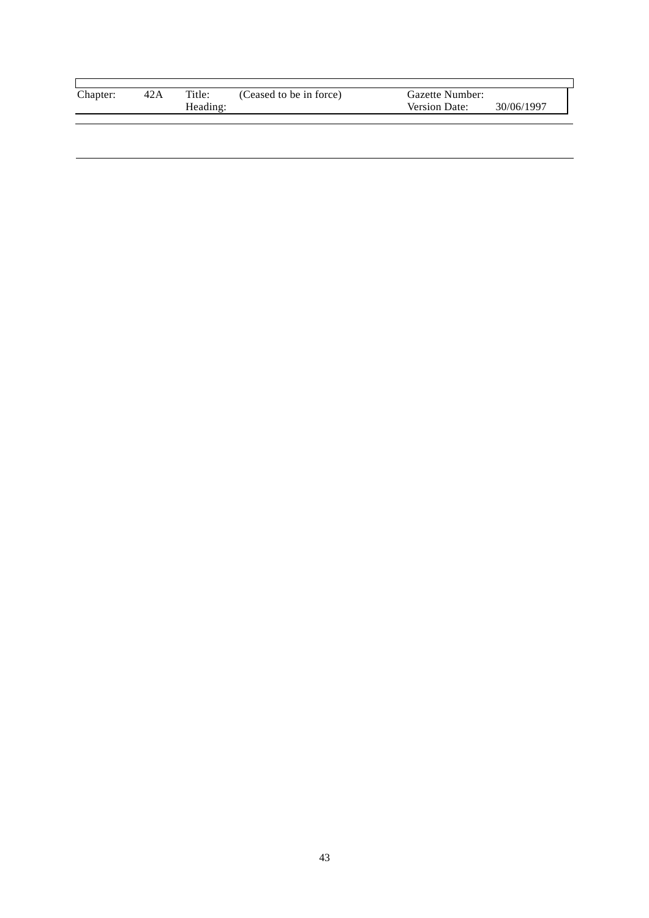| Chapter: | 42A | Title:   | (Ceased to be in force) | Gazette Number:      |            |
|----------|-----|----------|-------------------------|----------------------|------------|
|          |     | Heading: |                         | <b>Version Date:</b> | 30/06/1997 |